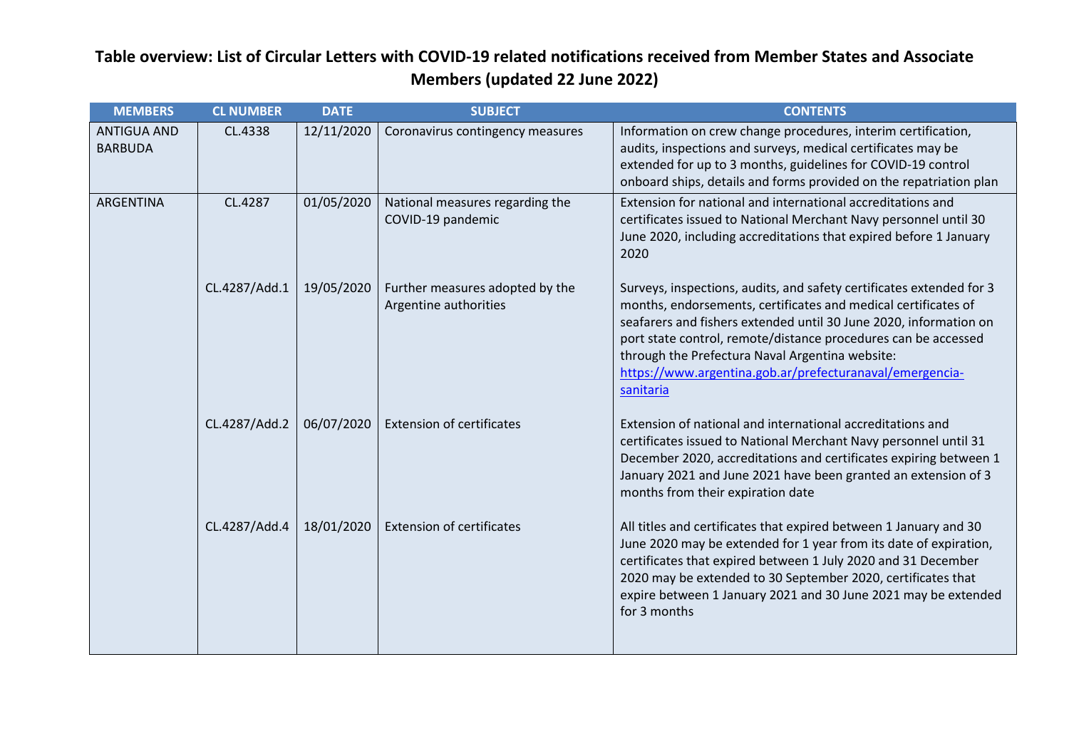| <b>MEMBERS</b>                       | <b>CL NUMBER</b> | <b>DATE</b> | <b>SUBJECT</b>                                           | <b>CONTENTS</b>                                                                                                                                                                                                                                                                                                                                                                                           |
|--------------------------------------|------------------|-------------|----------------------------------------------------------|-----------------------------------------------------------------------------------------------------------------------------------------------------------------------------------------------------------------------------------------------------------------------------------------------------------------------------------------------------------------------------------------------------------|
| <b>ANTIGUA AND</b><br><b>BARBUDA</b> | CL.4338          | 12/11/2020  | Coronavirus contingency measures                         | Information on crew change procedures, interim certification,<br>audits, inspections and surveys, medical certificates may be<br>extended for up to 3 months, guidelines for COVID-19 control<br>onboard ships, details and forms provided on the repatriation plan                                                                                                                                       |
| ARGENTINA                            | CL.4287          | 01/05/2020  | National measures regarding the<br>COVID-19 pandemic     | Extension for national and international accreditations and<br>certificates issued to National Merchant Navy personnel until 30<br>June 2020, including accreditations that expired before 1 January<br>2020                                                                                                                                                                                              |
|                                      | CL.4287/Add.1    | 19/05/2020  | Further measures adopted by the<br>Argentine authorities | Surveys, inspections, audits, and safety certificates extended for 3<br>months, endorsements, certificates and medical certificates of<br>seafarers and fishers extended until 30 June 2020, information on<br>port state control, remote/distance procedures can be accessed<br>through the Prefectura Naval Argentina website:<br>https://www.argentina.gob.ar/prefecturanaval/emergencia-<br>sanitaria |
|                                      | CL.4287/Add.2    | 06/07/2020  | <b>Extension of certificates</b>                         | Extension of national and international accreditations and<br>certificates issued to National Merchant Navy personnel until 31<br>December 2020, accreditations and certificates expiring between 1<br>January 2021 and June 2021 have been granted an extension of 3<br>months from their expiration date                                                                                                |
|                                      | CL.4287/Add.4    | 18/01/2020  | <b>Extension of certificates</b>                         | All titles and certificates that expired between 1 January and 30<br>June 2020 may be extended for 1 year from its date of expiration,<br>certificates that expired between 1 July 2020 and 31 December<br>2020 may be extended to 30 September 2020, certificates that<br>expire between 1 January 2021 and 30 June 2021 may be extended<br>for 3 months                                                 |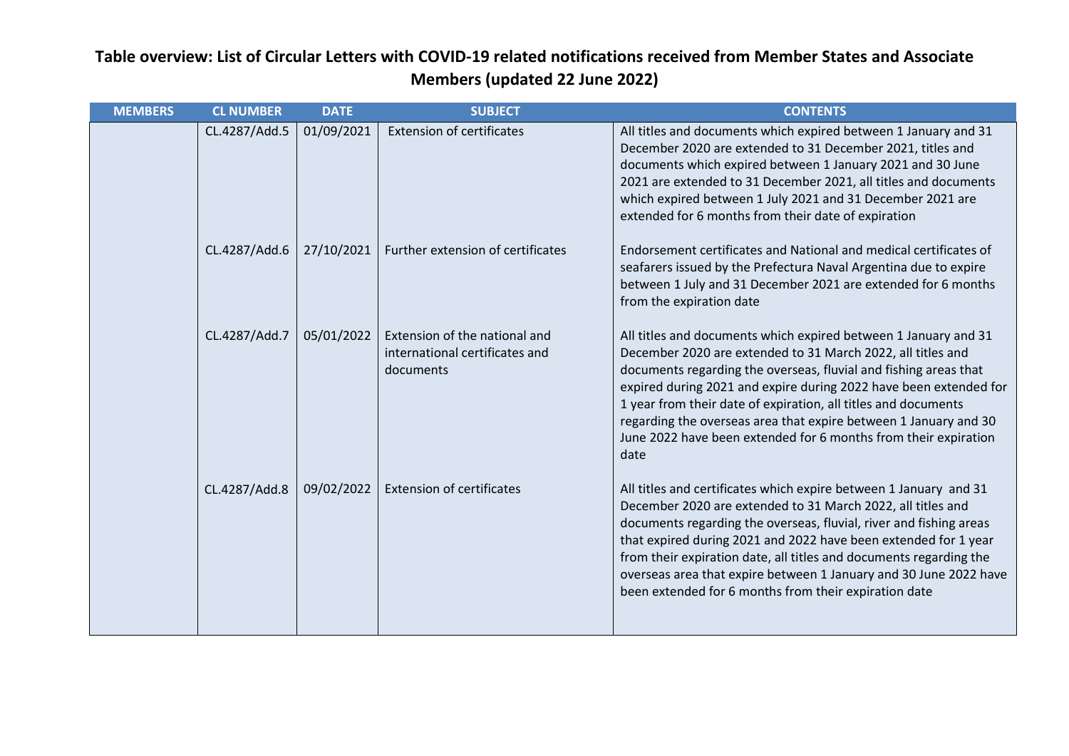| <b>MEMBERS</b> | <b>CL NUMBER</b> | <b>DATE</b> | <b>SUBJECT</b>                                                               | <b>CONTENTS</b>                                                                                                                                                                                                                                                                                                                                                                                                                                                                          |
|----------------|------------------|-------------|------------------------------------------------------------------------------|------------------------------------------------------------------------------------------------------------------------------------------------------------------------------------------------------------------------------------------------------------------------------------------------------------------------------------------------------------------------------------------------------------------------------------------------------------------------------------------|
|                | CL.4287/Add.5    | 01/09/2021  | <b>Extension of certificates</b>                                             | All titles and documents which expired between 1 January and 31<br>December 2020 are extended to 31 December 2021, titles and<br>documents which expired between 1 January 2021 and 30 June<br>2021 are extended to 31 December 2021, all titles and documents<br>which expired between 1 July 2021 and 31 December 2021 are<br>extended for 6 months from their date of expiration                                                                                                      |
|                | CL.4287/Add.6    | 27/10/2021  | Further extension of certificates                                            | Endorsement certificates and National and medical certificates of<br>seafarers issued by the Prefectura Naval Argentina due to expire<br>between 1 July and 31 December 2021 are extended for 6 months<br>from the expiration date                                                                                                                                                                                                                                                       |
|                | CL.4287/Add.7    | 05/01/2022  | Extension of the national and<br>international certificates and<br>documents | All titles and documents which expired between 1 January and 31<br>December 2020 are extended to 31 March 2022, all titles and<br>documents regarding the overseas, fluvial and fishing areas that<br>expired during 2021 and expire during 2022 have been extended for<br>1 year from their date of expiration, all titles and documents<br>regarding the overseas area that expire between 1 January and 30<br>June 2022 have been extended for 6 months from their expiration<br>date |
|                | CL.4287/Add.8    | 09/02/2022  | <b>Extension of certificates</b>                                             | All titles and certificates which expire between 1 January and 31<br>December 2020 are extended to 31 March 2022, all titles and<br>documents regarding the overseas, fluvial, river and fishing areas<br>that expired during 2021 and 2022 have been extended for 1 year<br>from their expiration date, all titles and documents regarding the<br>overseas area that expire between 1 January and 30 June 2022 have<br>been extended for 6 months from their expiration date            |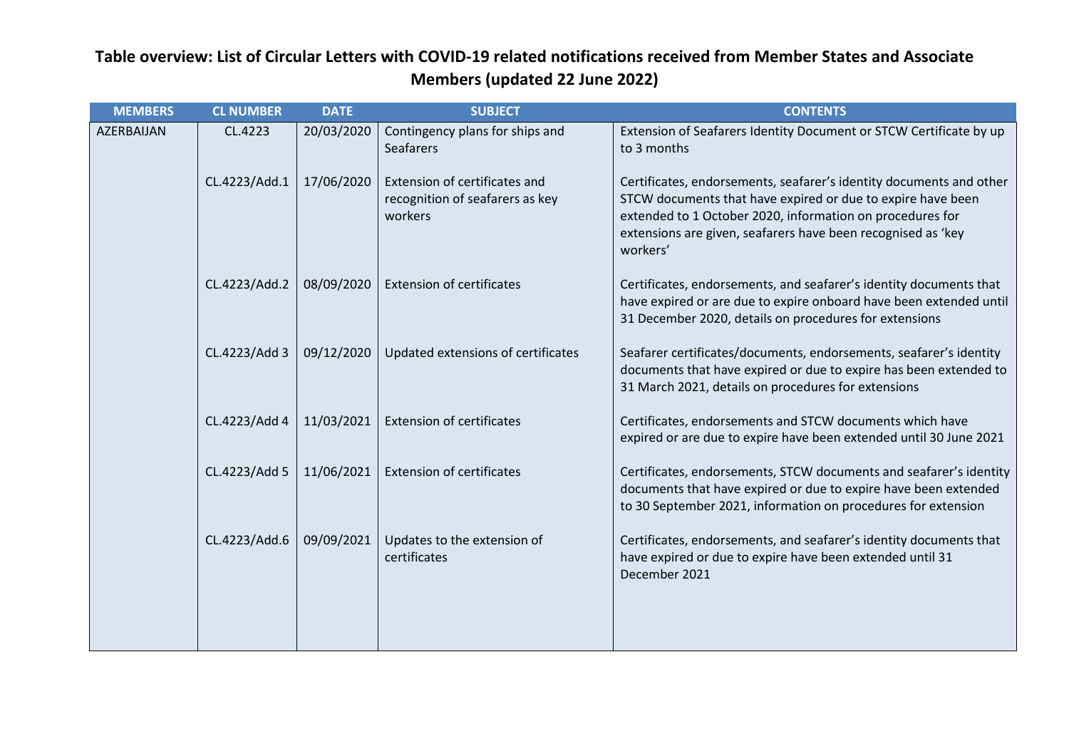| <b>MEMBERS</b> | <b>CL NUMBER</b> | <b>DATE</b> | <b>SUBJECT</b>                                                              | <b>CONTENTS</b>                                                                                                                                                                                                                                                             |
|----------------|------------------|-------------|-----------------------------------------------------------------------------|-----------------------------------------------------------------------------------------------------------------------------------------------------------------------------------------------------------------------------------------------------------------------------|
| AZERBAIJAN     | CL.4223          | 20/03/2020  | Contingency plans for ships and<br>Seafarers                                | Extension of Seafarers Identity Document or STCW Certificate by up<br>to 3 months                                                                                                                                                                                           |
|                | CL.4223/Add.1    | 17/06/2020  | Extension of certificates and<br>recognition of seafarers as key<br>workers | Certificates, endorsements, seafarer's identity documents and other<br>STCW documents that have expired or due to expire have been<br>extended to 1 October 2020, information on procedures for<br>extensions are given, seafarers have been recognised as 'key<br>workers' |
|                | CL.4223/Add.2    | 08/09/2020  | <b>Extension of certificates</b>                                            | Certificates, endorsements, and seafarer's identity documents that<br>have expired or are due to expire onboard have been extended until<br>31 December 2020, details on procedures for extensions                                                                          |
|                | CL.4223/Add 3    | 09/12/2020  | Updated extensions of certificates                                          | Seafarer certificates/documents, endorsements, seafarer's identity<br>documents that have expired or due to expire has been extended to<br>31 March 2021, details on procedures for extensions                                                                              |
|                | CL.4223/Add 4    | 11/03/2021  | <b>Extension of certificates</b>                                            | Certificates, endorsements and STCW documents which have<br>expired or are due to expire have been extended until 30 June 2021                                                                                                                                              |
|                | CL.4223/Add 5    | 11/06/2021  | <b>Extension of certificates</b>                                            | Certificates, endorsements, STCW documents and seafarer's identity<br>documents that have expired or due to expire have been extended<br>to 30 September 2021, information on procedures for extension                                                                      |
|                | CL.4223/Add.6    | 09/09/2021  | Updates to the extension of<br>certificates                                 | Certificates, endorsements, and seafarer's identity documents that<br>have expired or due to expire have been extended until 31<br>December 2021                                                                                                                            |
|                |                  |             |                                                                             |                                                                                                                                                                                                                                                                             |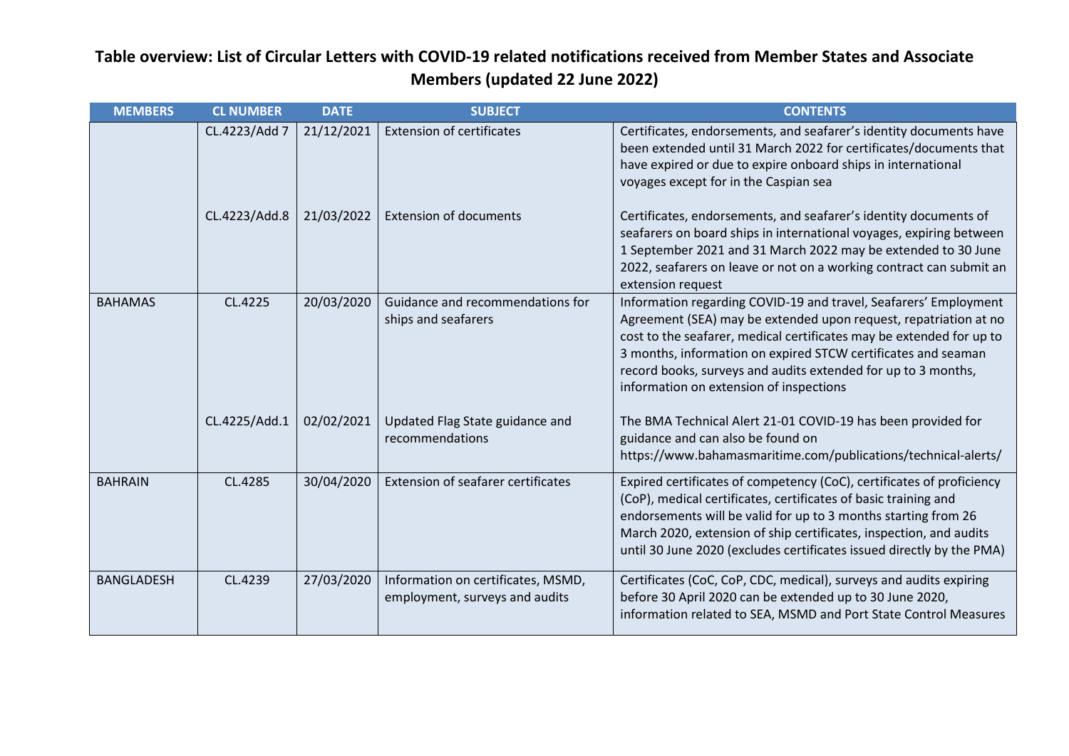| <b>MEMBERS</b>    | <b>CL NUMBER</b> | <b>DATE</b> | <b>SUBJECT</b>                                                       | <b>CONTENTS</b>                                                                                                                                                                                                                                                                                                                                                                           |
|-------------------|------------------|-------------|----------------------------------------------------------------------|-------------------------------------------------------------------------------------------------------------------------------------------------------------------------------------------------------------------------------------------------------------------------------------------------------------------------------------------------------------------------------------------|
|                   | CL.4223/Add 7    | 21/12/2021  | <b>Extension of certificates</b>                                     | Certificates, endorsements, and seafarer's identity documents have<br>been extended until 31 March 2022 for certificates/documents that<br>have expired or due to expire onboard ships in international<br>voyages except for in the Caspian sea                                                                                                                                          |
|                   | CL.4223/Add.8    | 21/03/2022  | <b>Extension of documents</b>                                        | Certificates, endorsements, and seafarer's identity documents of<br>seafarers on board ships in international voyages, expiring between<br>1 September 2021 and 31 March 2022 may be extended to 30 June<br>2022, seafarers on leave or not on a working contract can submit an<br>extension request                                                                                      |
| <b>BAHAMAS</b>    | CL.4225          | 20/03/2020  | Guidance and recommendations for<br>ships and seafarers              | Information regarding COVID-19 and travel, Seafarers' Employment<br>Agreement (SEA) may be extended upon request, repatriation at no<br>cost to the seafarer, medical certificates may be extended for up to<br>3 months, information on expired STCW certificates and seaman<br>record books, surveys and audits extended for up to 3 months,<br>information on extension of inspections |
|                   | CL.4225/Add.1    | 02/02/2021  | Updated Flag State guidance and<br>recommendations                   | The BMA Technical Alert 21-01 COVID-19 has been provided for<br>guidance and can also be found on<br>https://www.bahamasmaritime.com/publications/technical-alerts/                                                                                                                                                                                                                       |
| <b>BAHRAIN</b>    | CL.4285          | 30/04/2020  | <b>Extension of seafarer certificates</b>                            | Expired certificates of competency (CoC), certificates of proficiency<br>(CoP), medical certificates, certificates of basic training and<br>endorsements will be valid for up to 3 months starting from 26<br>March 2020, extension of ship certificates, inspection, and audits<br>until 30 June 2020 (excludes certificates issued directly by the PMA)                                 |
| <b>BANGLADESH</b> | CL.4239          | 27/03/2020  | Information on certificates, MSMD,<br>employment, surveys and audits | Certificates (CoC, CoP, CDC, medical), surveys and audits expiring<br>before 30 April 2020 can be extended up to 30 June 2020,<br>information related to SEA, MSMD and Port State Control Measures                                                                                                                                                                                        |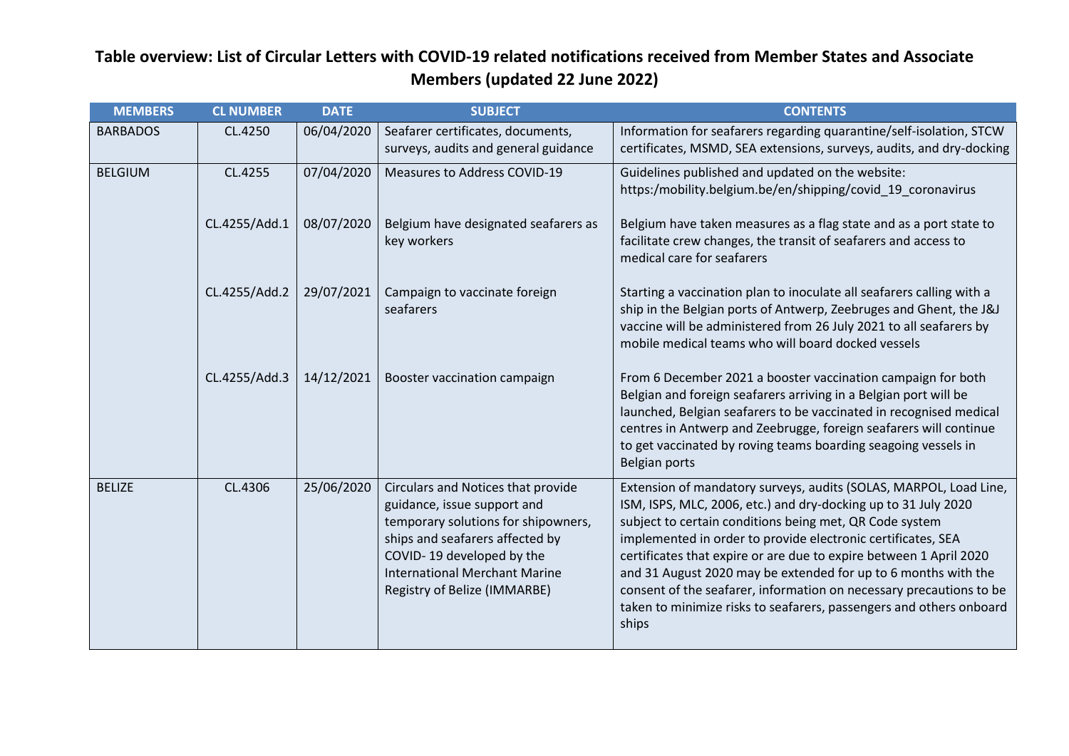| <b>MEMBERS</b>  | <b>CL NUMBER</b> | <b>DATE</b> | <b>SUBJECT</b>                                                                                                                                                                                                                                   | <b>CONTENTS</b>                                                                                                                                                                                                                                                                                                                                                                                                                                                                                                                                               |
|-----------------|------------------|-------------|--------------------------------------------------------------------------------------------------------------------------------------------------------------------------------------------------------------------------------------------------|---------------------------------------------------------------------------------------------------------------------------------------------------------------------------------------------------------------------------------------------------------------------------------------------------------------------------------------------------------------------------------------------------------------------------------------------------------------------------------------------------------------------------------------------------------------|
| <b>BARBADOS</b> | CL.4250          | 06/04/2020  | Seafarer certificates, documents,<br>surveys, audits and general guidance                                                                                                                                                                        | Information for seafarers regarding quarantine/self-isolation, STCW<br>certificates, MSMD, SEA extensions, surveys, audits, and dry-docking                                                                                                                                                                                                                                                                                                                                                                                                                   |
| <b>BELGIUM</b>  | CL.4255          | 07/04/2020  | Measures to Address COVID-19                                                                                                                                                                                                                     | Guidelines published and updated on the website:<br>https:/mobility.belgium.be/en/shipping/covid 19 coronavirus                                                                                                                                                                                                                                                                                                                                                                                                                                               |
|                 | CL.4255/Add.1    | 08/07/2020  | Belgium have designated seafarers as<br>key workers                                                                                                                                                                                              | Belgium have taken measures as a flag state and as a port state to<br>facilitate crew changes, the transit of seafarers and access to<br>medical care for seafarers                                                                                                                                                                                                                                                                                                                                                                                           |
|                 | CL.4255/Add.2    | 29/07/2021  | Campaign to vaccinate foreign<br>seafarers                                                                                                                                                                                                       | Starting a vaccination plan to inoculate all seafarers calling with a<br>ship in the Belgian ports of Antwerp, Zeebruges and Ghent, the J&J<br>vaccine will be administered from 26 July 2021 to all seafarers by<br>mobile medical teams who will board docked vessels                                                                                                                                                                                                                                                                                       |
|                 | CL.4255/Add.3    | 14/12/2021  | Booster vaccination campaign                                                                                                                                                                                                                     | From 6 December 2021 a booster vaccination campaign for both<br>Belgian and foreign seafarers arriving in a Belgian port will be<br>launched, Belgian seafarers to be vaccinated in recognised medical<br>centres in Antwerp and Zeebrugge, foreign seafarers will continue<br>to get vaccinated by roving teams boarding seagoing vessels in<br>Belgian ports                                                                                                                                                                                                |
| <b>BELIZE</b>   | CL.4306          | 25/06/2020  | Circulars and Notices that provide<br>guidance, issue support and<br>temporary solutions for shipowners,<br>ships and seafarers affected by<br>COVID-19 developed by the<br><b>International Merchant Marine</b><br>Registry of Belize (IMMARBE) | Extension of mandatory surveys, audits (SOLAS, MARPOL, Load Line,<br>ISM, ISPS, MLC, 2006, etc.) and dry-docking up to 31 July 2020<br>subject to certain conditions being met, QR Code system<br>implemented in order to provide electronic certificates, SEA<br>certificates that expire or are due to expire between 1 April 2020<br>and 31 August 2020 may be extended for up to 6 months with the<br>consent of the seafarer, information on necessary precautions to be<br>taken to minimize risks to seafarers, passengers and others onboard<br>ships |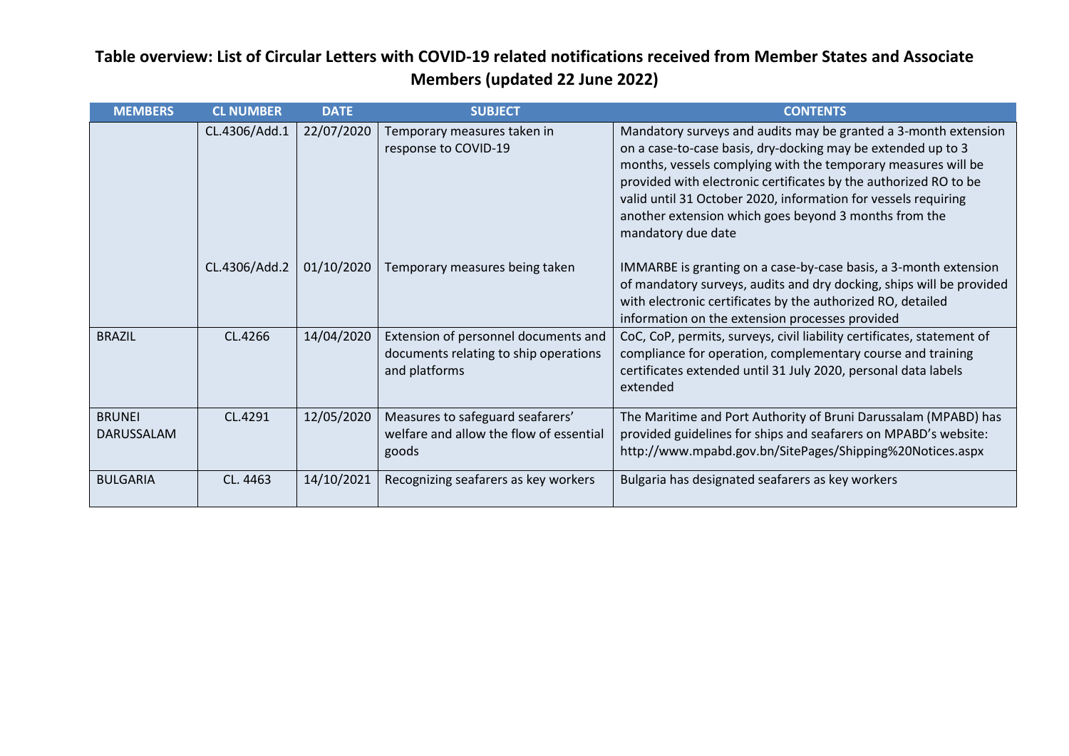| <b>MEMBERS</b>                     | <b>CL NUMBER</b> | <b>DATE</b> | <b>SUBJECT</b>                                                                                 | <b>CONTENTS</b>                                                                                                                                                                                                                                                                                                                                                                                                       |
|------------------------------------|------------------|-------------|------------------------------------------------------------------------------------------------|-----------------------------------------------------------------------------------------------------------------------------------------------------------------------------------------------------------------------------------------------------------------------------------------------------------------------------------------------------------------------------------------------------------------------|
|                                    | CL.4306/Add.1    | 22/07/2020  | Temporary measures taken in<br>response to COVID-19                                            | Mandatory surveys and audits may be granted a 3-month extension<br>on a case-to-case basis, dry-docking may be extended up to 3<br>months, vessels complying with the temporary measures will be<br>provided with electronic certificates by the authorized RO to be<br>valid until 31 October 2020, information for vessels requiring<br>another extension which goes beyond 3 months from the<br>mandatory due date |
|                                    | CL.4306/Add.2    | 01/10/2020  | Temporary measures being taken                                                                 | IMMARBE is granting on a case-by-case basis, a 3-month extension<br>of mandatory surveys, audits and dry docking, ships will be provided<br>with electronic certificates by the authorized RO, detailed<br>information on the extension processes provided                                                                                                                                                            |
| <b>BRAZIL</b>                      | CL.4266          | 14/04/2020  | Extension of personnel documents and<br>documents relating to ship operations<br>and platforms | CoC, CoP, permits, surveys, civil liability certificates, statement of<br>compliance for operation, complementary course and training<br>certificates extended until 31 July 2020, personal data labels<br>extended                                                                                                                                                                                                   |
| <b>BRUNEI</b><br><b>DARUSSALAM</b> | CL.4291          | 12/05/2020  | Measures to safeguard seafarers'<br>welfare and allow the flow of essential<br>goods           | The Maritime and Port Authority of Bruni Darussalam (MPABD) has<br>provided guidelines for ships and seafarers on MPABD's website:<br>http://www.mpabd.gov.bn/SitePages/Shipping%20Notices.aspx                                                                                                                                                                                                                       |
| <b>BULGARIA</b>                    | CL. 4463         | 14/10/2021  | Recognizing seafarers as key workers                                                           | Bulgaria has designated seafarers as key workers                                                                                                                                                                                                                                                                                                                                                                      |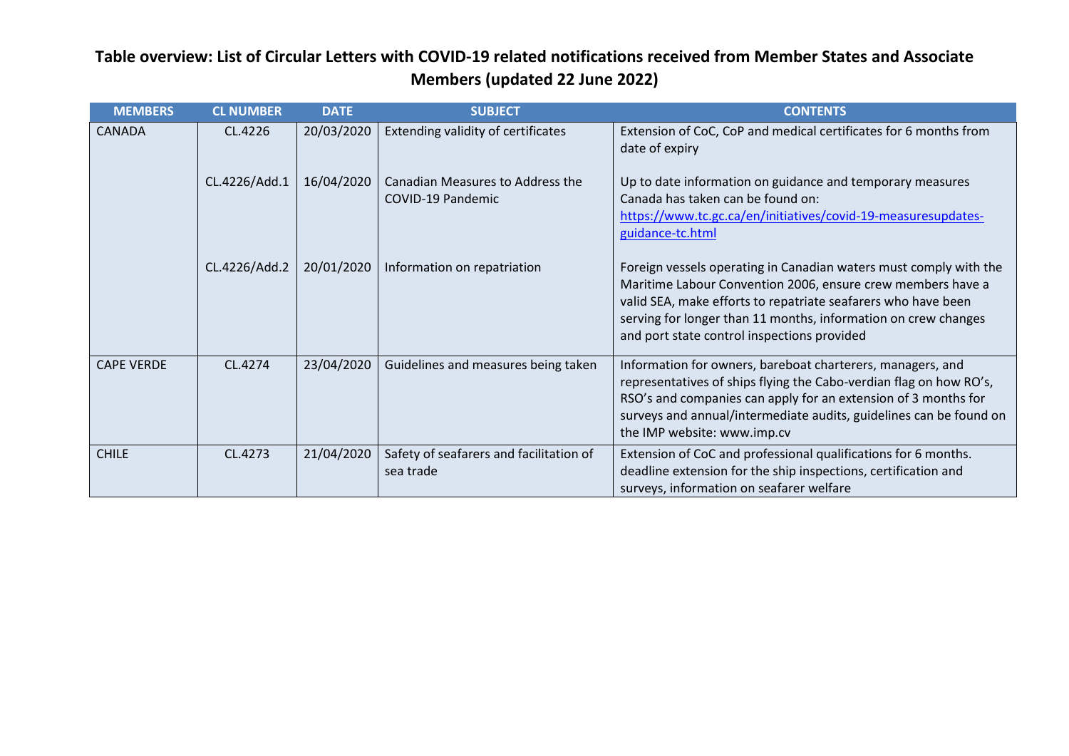| <b>MEMBERS</b>    | <b>CL NUMBER</b> | <b>DATE</b> | <b>SUBJECT</b>                                        | <b>CONTENTS</b>                                                                                                                                                                                                                                                                                                    |
|-------------------|------------------|-------------|-------------------------------------------------------|--------------------------------------------------------------------------------------------------------------------------------------------------------------------------------------------------------------------------------------------------------------------------------------------------------------------|
| <b>CANADA</b>     | CL.4226          | 20/03/2020  | Extending validity of certificates                    | Extension of CoC, CoP and medical certificates for 6 months from<br>date of expiry                                                                                                                                                                                                                                 |
|                   | CL.4226/Add.1    | 16/04/2020  | Canadian Measures to Address the<br>COVID-19 Pandemic | Up to date information on guidance and temporary measures<br>Canada has taken can be found on:<br>https://www.tc.gc.ca/en/initiatives/covid-19-measuresupdates-<br>guidance-tc.html                                                                                                                                |
|                   | CL.4226/Add.2    | 20/01/2020  | Information on repatriation                           | Foreign vessels operating in Canadian waters must comply with the<br>Maritime Labour Convention 2006, ensure crew members have a<br>valid SEA, make efforts to repatriate seafarers who have been<br>serving for longer than 11 months, information on crew changes<br>and port state control inspections provided |
| <b>CAPE VERDE</b> | CL.4274          | 23/04/2020  | Guidelines and measures being taken                   | Information for owners, bareboat charterers, managers, and<br>representatives of ships flying the Cabo-verdian flag on how RO's,<br>RSO's and companies can apply for an extension of 3 months for<br>surveys and annual/intermediate audits, guidelines can be found on<br>the IMP website: www.imp.cv            |
| <b>CHILE</b>      | CL.4273          | 21/04/2020  | Safety of seafarers and facilitation of<br>sea trade  | Extension of CoC and professional qualifications for 6 months.<br>deadline extension for the ship inspections, certification and<br>surveys, information on seafarer welfare                                                                                                                                       |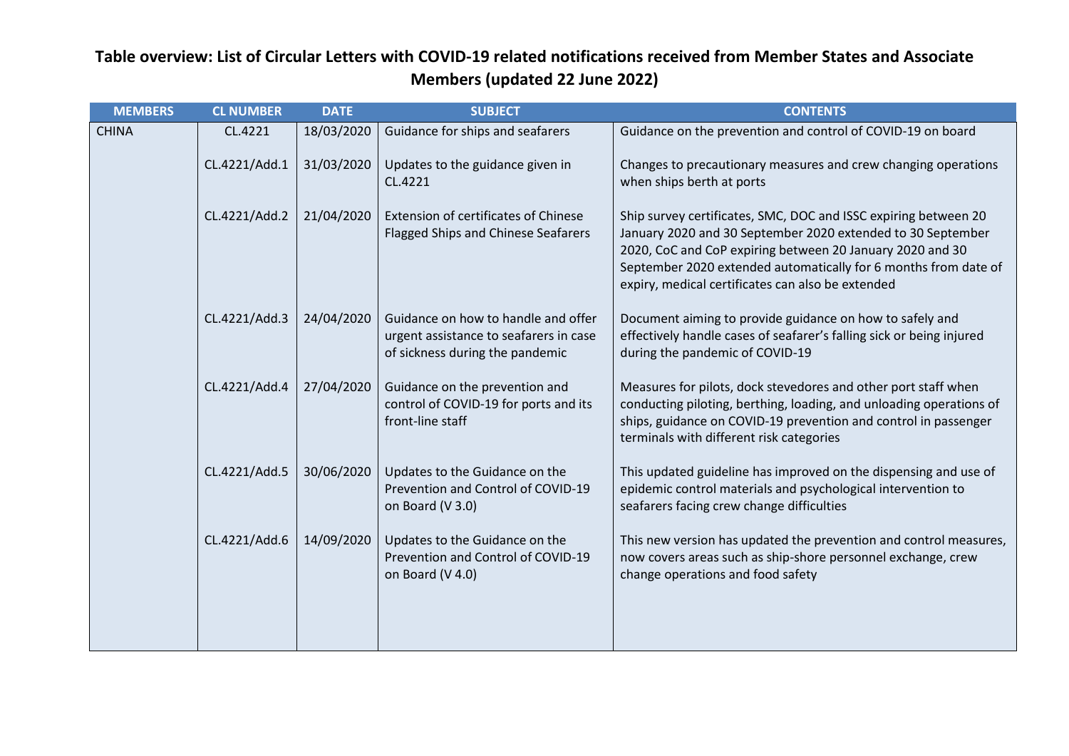| <b>MEMBERS</b> | <b>CL NUMBER</b> | <b>DATE</b> | <b>SUBJECT</b>                                                                                                   | <b>CONTENTS</b>                                                                                                                                                                                                                                                                                                     |
|----------------|------------------|-------------|------------------------------------------------------------------------------------------------------------------|---------------------------------------------------------------------------------------------------------------------------------------------------------------------------------------------------------------------------------------------------------------------------------------------------------------------|
| <b>CHINA</b>   | CL.4221          | 18/03/2020  | Guidance for ships and seafarers                                                                                 | Guidance on the prevention and control of COVID-19 on board                                                                                                                                                                                                                                                         |
|                | CL.4221/Add.1    | 31/03/2020  | Updates to the guidance given in<br>CL.4221                                                                      | Changes to precautionary measures and crew changing operations<br>when ships berth at ports                                                                                                                                                                                                                         |
|                | CL.4221/Add.2    | 21/04/2020  | <b>Extension of certificates of Chinese</b><br><b>Flagged Ships and Chinese Seafarers</b>                        | Ship survey certificates, SMC, DOC and ISSC expiring between 20<br>January 2020 and 30 September 2020 extended to 30 September<br>2020, CoC and CoP expiring between 20 January 2020 and 30<br>September 2020 extended automatically for 6 months from date of<br>expiry, medical certificates can also be extended |
|                | CL.4221/Add.3    | 24/04/2020  | Guidance on how to handle and offer<br>urgent assistance to seafarers in case<br>of sickness during the pandemic | Document aiming to provide guidance on how to safely and<br>effectively handle cases of seafarer's falling sick or being injured<br>during the pandemic of COVID-19                                                                                                                                                 |
|                | CL.4221/Add.4    | 27/04/2020  | Guidance on the prevention and<br>control of COVID-19 for ports and its<br>front-line staff                      | Measures for pilots, dock stevedores and other port staff when<br>conducting piloting, berthing, loading, and unloading operations of<br>ships, guidance on COVID-19 prevention and control in passenger<br>terminals with different risk categories                                                                |
|                | CL.4221/Add.5    | 30/06/2020  | Updates to the Guidance on the<br>Prevention and Control of COVID-19<br>on Board (V 3.0)                         | This updated guideline has improved on the dispensing and use of<br>epidemic control materials and psychological intervention to<br>seafarers facing crew change difficulties                                                                                                                                       |
|                | CL.4221/Add.6    | 14/09/2020  | Updates to the Guidance on the<br>Prevention and Control of COVID-19<br>on Board (V 4.0)                         | This new version has updated the prevention and control measures,<br>now covers areas such as ship-shore personnel exchange, crew<br>change operations and food safety                                                                                                                                              |
|                |                  |             |                                                                                                                  |                                                                                                                                                                                                                                                                                                                     |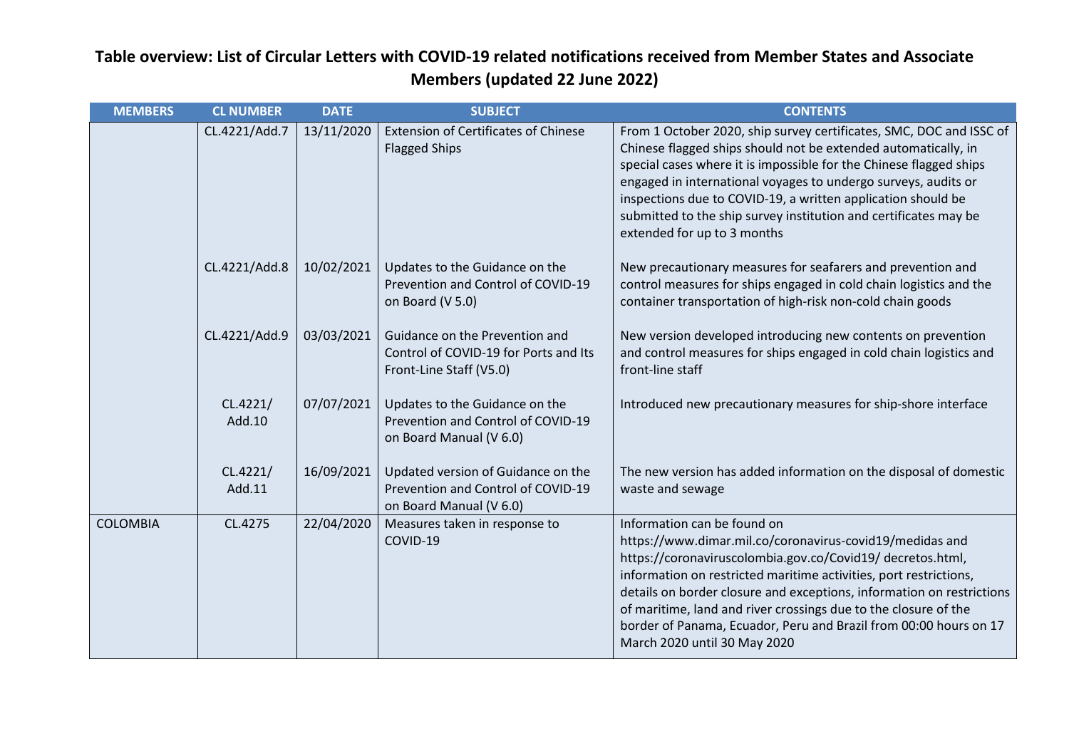| <b>MEMBERS</b>  | <b>CL NUMBER</b>   | <b>DATE</b> | <b>SUBJECT</b>                                                                                      | <b>CONTENTS</b>                                                                                                                                                                                                                                                                                                                                                                                                                                                             |
|-----------------|--------------------|-------------|-----------------------------------------------------------------------------------------------------|-----------------------------------------------------------------------------------------------------------------------------------------------------------------------------------------------------------------------------------------------------------------------------------------------------------------------------------------------------------------------------------------------------------------------------------------------------------------------------|
|                 | CL.4221/Add.7      | 13/11/2020  | <b>Extension of Certificates of Chinese</b><br><b>Flagged Ships</b>                                 | From 1 October 2020, ship survey certificates, SMC, DOC and ISSC of<br>Chinese flagged ships should not be extended automatically, in<br>special cases where it is impossible for the Chinese flagged ships<br>engaged in international voyages to undergo surveys, audits or<br>inspections due to COVID-19, a written application should be<br>submitted to the ship survey institution and certificates may be<br>extended for up to 3 months                            |
|                 | CL.4221/Add.8      | 10/02/2021  | Updates to the Guidance on the<br>Prevention and Control of COVID-19<br>on Board (V 5.0)            | New precautionary measures for seafarers and prevention and<br>control measures for ships engaged in cold chain logistics and the<br>container transportation of high-risk non-cold chain goods                                                                                                                                                                                                                                                                             |
|                 | CL.4221/Add.9      | 03/03/2021  | Guidance on the Prevention and<br>Control of COVID-19 for Ports and Its<br>Front-Line Staff (V5.0)  | New version developed introducing new contents on prevention<br>and control measures for ships engaged in cold chain logistics and<br>front-line staff                                                                                                                                                                                                                                                                                                                      |
|                 | CL.4221/<br>Add.10 | 07/07/2021  | Updates to the Guidance on the<br>Prevention and Control of COVID-19<br>on Board Manual (V 6.0)     | Introduced new precautionary measures for ship-shore interface                                                                                                                                                                                                                                                                                                                                                                                                              |
|                 | CL.4221/<br>Add.11 | 16/09/2021  | Updated version of Guidance on the<br>Prevention and Control of COVID-19<br>on Board Manual (V 6.0) | The new version has added information on the disposal of domestic<br>waste and sewage                                                                                                                                                                                                                                                                                                                                                                                       |
| <b>COLOMBIA</b> | CL.4275            | 22/04/2020  | Measures taken in response to<br>COVID-19                                                           | Information can be found on<br>https://www.dimar.mil.co/coronavirus-covid19/medidas and<br>https://coronaviruscolombia.gov.co/Covid19/ decretos.html,<br>information on restricted maritime activities, port restrictions,<br>details on border closure and exceptions, information on restrictions<br>of maritime, land and river crossings due to the closure of the<br>border of Panama, Ecuador, Peru and Brazil from 00:00 hours on 17<br>March 2020 until 30 May 2020 |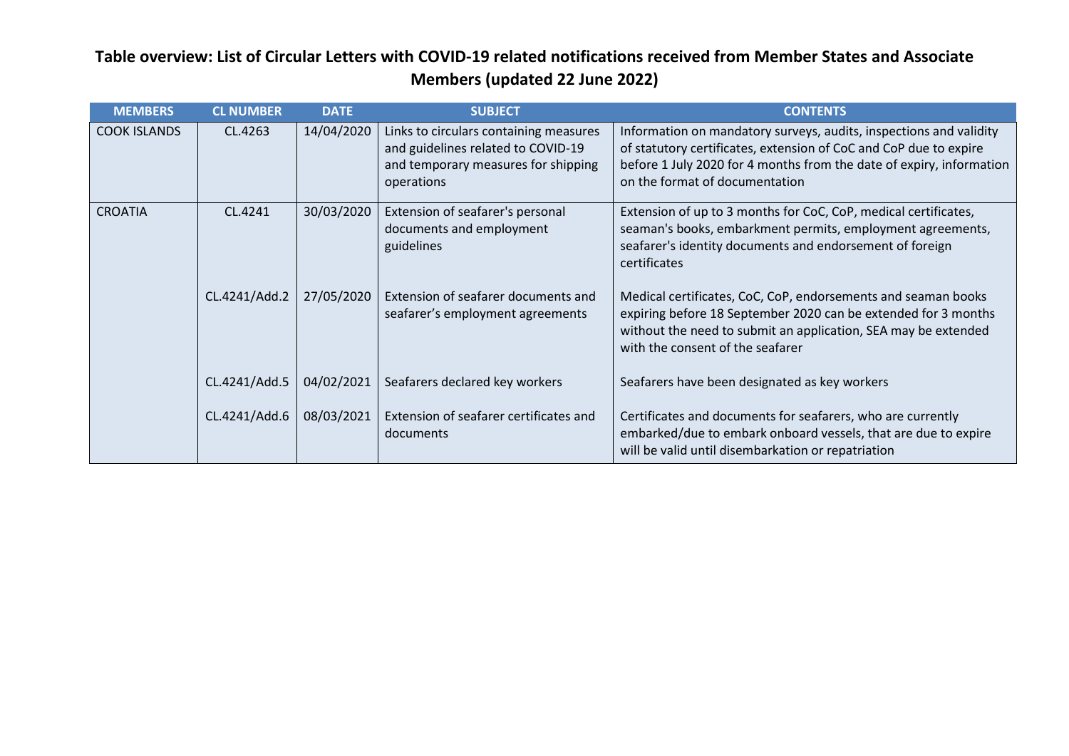| <b>MEMBERS</b>      | <b>CL NUMBER</b> | <b>DATE</b> | <b>SUBJECT</b>                                                                                                                    | <b>CONTENTS</b>                                                                                                                                                                                                                                   |
|---------------------|------------------|-------------|-----------------------------------------------------------------------------------------------------------------------------------|---------------------------------------------------------------------------------------------------------------------------------------------------------------------------------------------------------------------------------------------------|
| <b>COOK ISLANDS</b> | CL.4263          | 14/04/2020  | Links to circulars containing measures<br>and guidelines related to COVID-19<br>and temporary measures for shipping<br>operations | Information on mandatory surveys, audits, inspections and validity<br>of statutory certificates, extension of CoC and CoP due to expire<br>before 1 July 2020 for 4 months from the date of expiry, information<br>on the format of documentation |
| <b>CROATIA</b>      | CL.4241          | 30/03/2020  | Extension of seafarer's personal<br>documents and employment<br>guidelines                                                        | Extension of up to 3 months for CoC, CoP, medical certificates,<br>seaman's books, embarkment permits, employment agreements,<br>seafarer's identity documents and endorsement of foreign<br>certificates                                         |
|                     | CL.4241/Add.2    | 27/05/2020  | Extension of seafarer documents and<br>seafarer's employment agreements                                                           | Medical certificates, CoC, CoP, endorsements and seaman books<br>expiring before 18 September 2020 can be extended for 3 months<br>without the need to submit an application, SEA may be extended<br>with the consent of the seafarer             |
|                     | CL.4241/Add.5    | 04/02/2021  | Seafarers declared key workers                                                                                                    | Seafarers have been designated as key workers                                                                                                                                                                                                     |
|                     | CL.4241/Add.6    | 08/03/2021  | Extension of seafarer certificates and<br>documents                                                                               | Certificates and documents for seafarers, who are currently<br>embarked/due to embark onboard vessels, that are due to expire<br>will be valid until disembarkation or repatriation                                                               |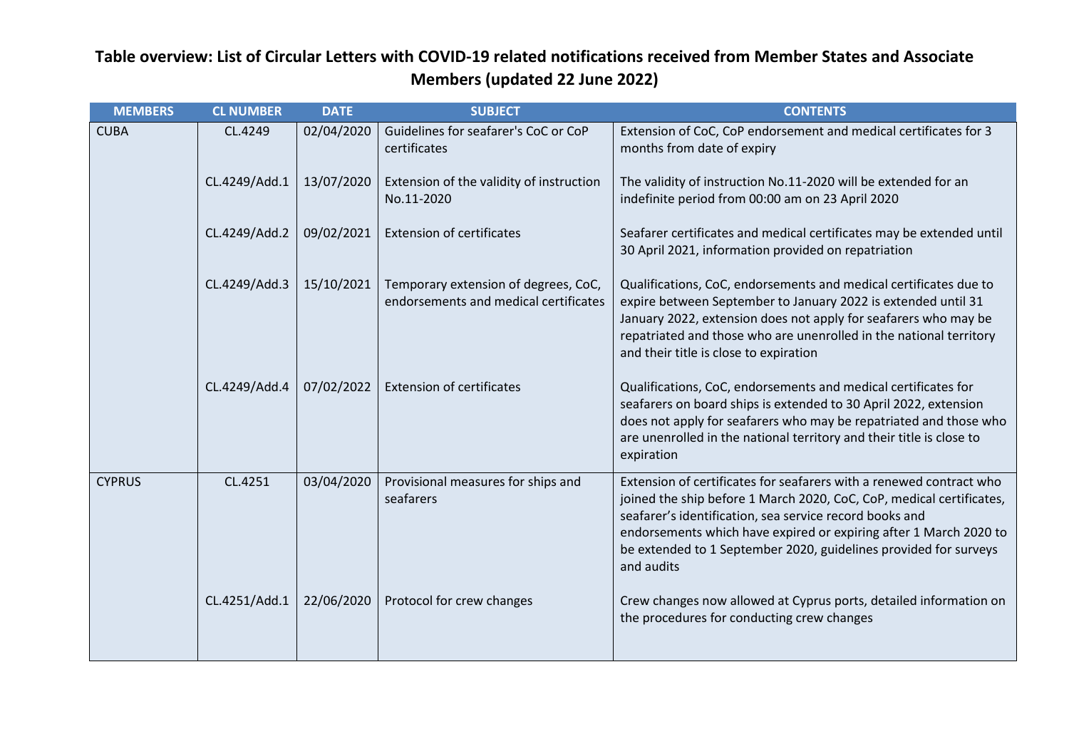| <b>MEMBERS</b> | <b>CL NUMBER</b> | <b>DATE</b> | <b>SUBJECT</b>                                                                | <b>CONTENTS</b>                                                                                                                                                                                                                                                                                                                                               |
|----------------|------------------|-------------|-------------------------------------------------------------------------------|---------------------------------------------------------------------------------------------------------------------------------------------------------------------------------------------------------------------------------------------------------------------------------------------------------------------------------------------------------------|
| <b>CUBA</b>    | CL.4249          | 02/04/2020  | Guidelines for seafarer's CoC or CoP<br>certificates                          | Extension of CoC, CoP endorsement and medical certificates for 3<br>months from date of expiry                                                                                                                                                                                                                                                                |
|                | CL.4249/Add.1    | 13/07/2020  | Extension of the validity of instruction<br>No.11-2020                        | The validity of instruction No.11-2020 will be extended for an<br>indefinite period from 00:00 am on 23 April 2020                                                                                                                                                                                                                                            |
|                | CL.4249/Add.2    | 09/02/2021  | <b>Extension of certificates</b>                                              | Seafarer certificates and medical certificates may be extended until<br>30 April 2021, information provided on repatriation                                                                                                                                                                                                                                   |
|                | CL.4249/Add.3    | 15/10/2021  | Temporary extension of degrees, CoC,<br>endorsements and medical certificates | Qualifications, CoC, endorsements and medical certificates due to<br>expire between September to January 2022 is extended until 31<br>January 2022, extension does not apply for seafarers who may be<br>repatriated and those who are unenrolled in the national territory<br>and their title is close to expiration                                         |
|                | CL.4249/Add.4    | 07/02/2022  | <b>Extension of certificates</b>                                              | Qualifications, CoC, endorsements and medical certificates for<br>seafarers on board ships is extended to 30 April 2022, extension<br>does not apply for seafarers who may be repatriated and those who<br>are unenrolled in the national territory and their title is close to<br>expiration                                                                 |
| <b>CYPRUS</b>  | CL.4251          | 03/04/2020  | Provisional measures for ships and<br>seafarers                               | Extension of certificates for seafarers with a renewed contract who<br>joined the ship before 1 March 2020, CoC, CoP, medical certificates,<br>seafarer's identification, sea service record books and<br>endorsements which have expired or expiring after 1 March 2020 to<br>be extended to 1 September 2020, guidelines provided for surveys<br>and audits |
|                | CL.4251/Add.1    | 22/06/2020  | Protocol for crew changes                                                     | Crew changes now allowed at Cyprus ports, detailed information on<br>the procedures for conducting crew changes                                                                                                                                                                                                                                               |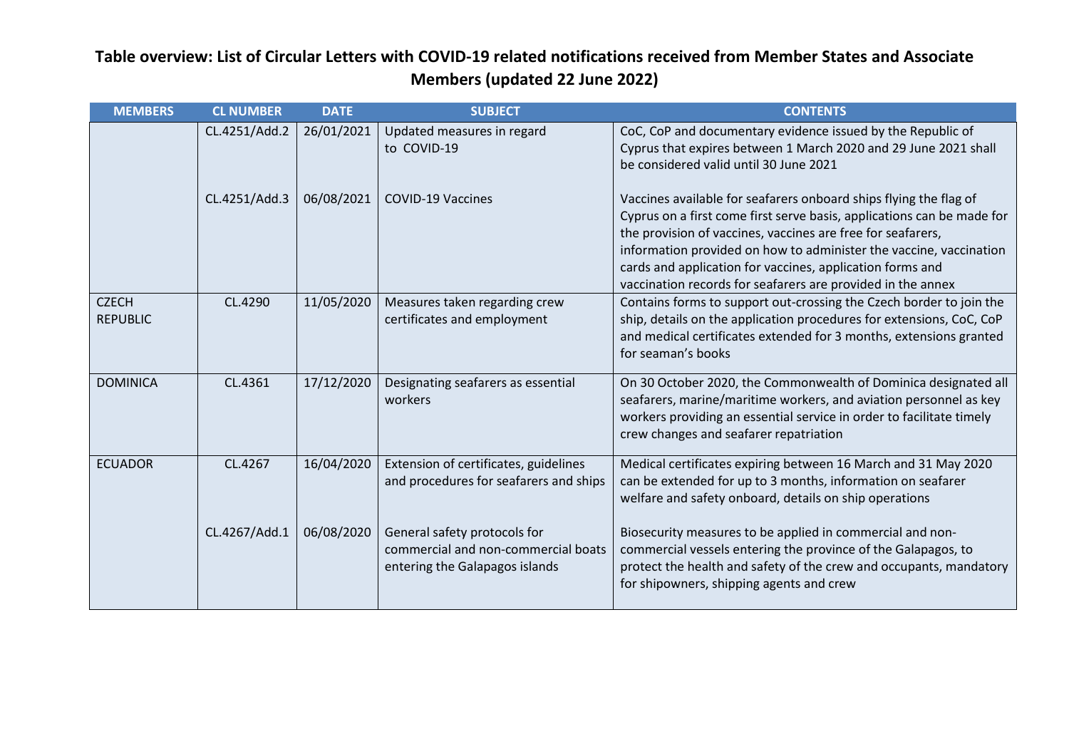| <b>MEMBERS</b>                  | <b>CL NUMBER</b> | <b>DATE</b> | <b>SUBJECT</b>                                                                                        | <b>CONTENTS</b>                                                                                                                                                                                                                                                                                                                                                                                              |
|---------------------------------|------------------|-------------|-------------------------------------------------------------------------------------------------------|--------------------------------------------------------------------------------------------------------------------------------------------------------------------------------------------------------------------------------------------------------------------------------------------------------------------------------------------------------------------------------------------------------------|
|                                 | CL.4251/Add.2    | 26/01/2021  | Updated measures in regard<br>to COVID-19                                                             | CoC, CoP and documentary evidence issued by the Republic of<br>Cyprus that expires between 1 March 2020 and 29 June 2021 shall<br>be considered valid until 30 June 2021                                                                                                                                                                                                                                     |
|                                 | CL.4251/Add.3    | 06/08/2021  | <b>COVID-19 Vaccines</b>                                                                              | Vaccines available for seafarers onboard ships flying the flag of<br>Cyprus on a first come first serve basis, applications can be made for<br>the provision of vaccines, vaccines are free for seafarers,<br>information provided on how to administer the vaccine, vaccination<br>cards and application for vaccines, application forms and<br>vaccination records for seafarers are provided in the annex |
| <b>CZECH</b><br><b>REPUBLIC</b> | CL.4290          | 11/05/2020  | Measures taken regarding crew<br>certificates and employment                                          | Contains forms to support out-crossing the Czech border to join the<br>ship, details on the application procedures for extensions, CoC, CoP<br>and medical certificates extended for 3 months, extensions granted<br>for seaman's books                                                                                                                                                                      |
| <b>DOMINICA</b>                 | CL.4361          | 17/12/2020  | Designating seafarers as essential<br>workers                                                         | On 30 October 2020, the Commonwealth of Dominica designated all<br>seafarers, marine/maritime workers, and aviation personnel as key<br>workers providing an essential service in order to facilitate timely<br>crew changes and seafarer repatriation                                                                                                                                                       |
| <b>ECUADOR</b>                  | CL.4267          | 16/04/2020  | Extension of certificates, guidelines<br>and procedures for seafarers and ships                       | Medical certificates expiring between 16 March and 31 May 2020<br>can be extended for up to 3 months, information on seafarer<br>welfare and safety onboard, details on ship operations                                                                                                                                                                                                                      |
|                                 | CL.4267/Add.1    | 06/08/2020  | General safety protocols for<br>commercial and non-commercial boats<br>entering the Galapagos islands | Biosecurity measures to be applied in commercial and non-<br>commercial vessels entering the province of the Galapagos, to<br>protect the health and safety of the crew and occupants, mandatory<br>for shipowners, shipping agents and crew                                                                                                                                                                 |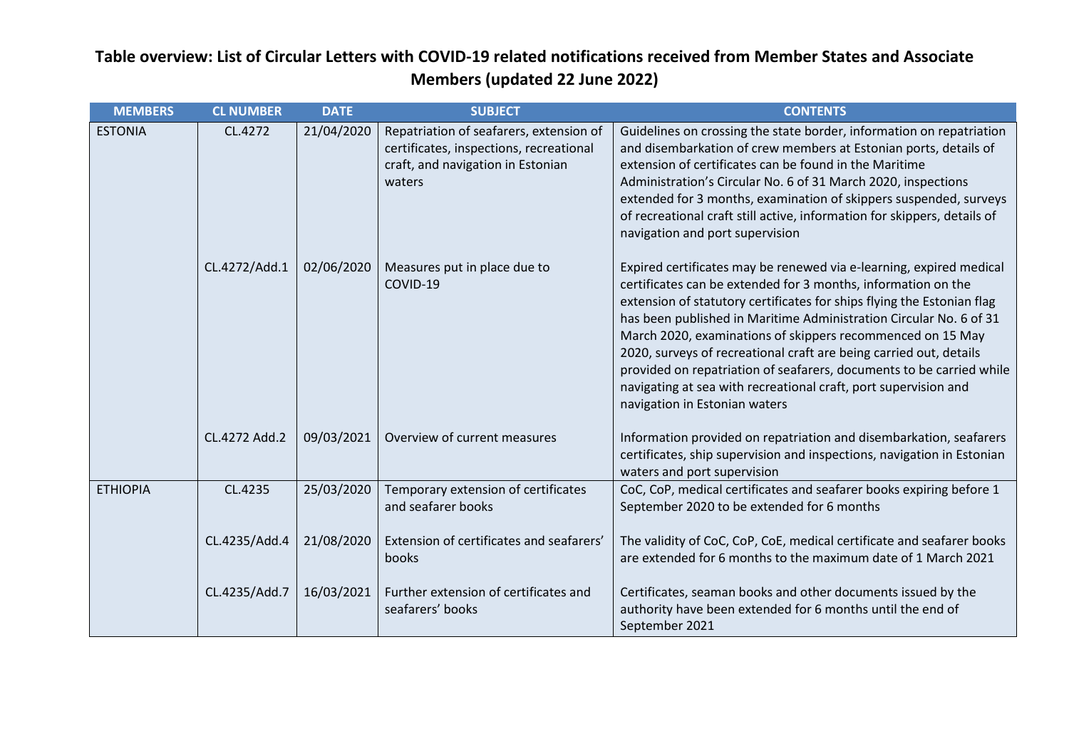| <b>MEMBERS</b>  | <b>CL NUMBER</b> | <b>DATE</b> | <b>SUBJECT</b>                                                                                                                    | <b>CONTENTS</b>                                                                                                                                                                                                                                                                                                                                                                                                                                                                                                                                                                                      |
|-----------------|------------------|-------------|-----------------------------------------------------------------------------------------------------------------------------------|------------------------------------------------------------------------------------------------------------------------------------------------------------------------------------------------------------------------------------------------------------------------------------------------------------------------------------------------------------------------------------------------------------------------------------------------------------------------------------------------------------------------------------------------------------------------------------------------------|
| <b>ESTONIA</b>  | CL.4272          | 21/04/2020  | Repatriation of seafarers, extension of<br>certificates, inspections, recreational<br>craft, and navigation in Estonian<br>waters | Guidelines on crossing the state border, information on repatriation<br>and disembarkation of crew members at Estonian ports, details of<br>extension of certificates can be found in the Maritime<br>Administration's Circular No. 6 of 31 March 2020, inspections<br>extended for 3 months, examination of skippers suspended, surveys<br>of recreational craft still active, information for skippers, details of<br>navigation and port supervision                                                                                                                                              |
|                 | CL.4272/Add.1    | 02/06/2020  | Measures put in place due to<br>COVID-19                                                                                          | Expired certificates may be renewed via e-learning, expired medical<br>certificates can be extended for 3 months, information on the<br>extension of statutory certificates for ships flying the Estonian flag<br>has been published in Maritime Administration Circular No. 6 of 31<br>March 2020, examinations of skippers recommenced on 15 May<br>2020, surveys of recreational craft are being carried out, details<br>provided on repatriation of seafarers, documents to be carried while<br>navigating at sea with recreational craft, port supervision and<br>navigation in Estonian waters |
|                 | CL.4272 Add.2    | 09/03/2021  | Overview of current measures                                                                                                      | Information provided on repatriation and disembarkation, seafarers<br>certificates, ship supervision and inspections, navigation in Estonian<br>waters and port supervision                                                                                                                                                                                                                                                                                                                                                                                                                          |
| <b>ETHIOPIA</b> | CL.4235          | 25/03/2020  | Temporary extension of certificates<br>and seafarer books                                                                         | CoC, CoP, medical certificates and seafarer books expiring before 1<br>September 2020 to be extended for 6 months                                                                                                                                                                                                                                                                                                                                                                                                                                                                                    |
|                 | CL.4235/Add.4    | 21/08/2020  | Extension of certificates and seafarers'<br>books                                                                                 | The validity of CoC, CoP, CoE, medical certificate and seafarer books<br>are extended for 6 months to the maximum date of 1 March 2021                                                                                                                                                                                                                                                                                                                                                                                                                                                               |
|                 | CL.4235/Add.7    | 16/03/2021  | Further extension of certificates and<br>seafarers' books                                                                         | Certificates, seaman books and other documents issued by the<br>authority have been extended for 6 months until the end of<br>September 2021                                                                                                                                                                                                                                                                                                                                                                                                                                                         |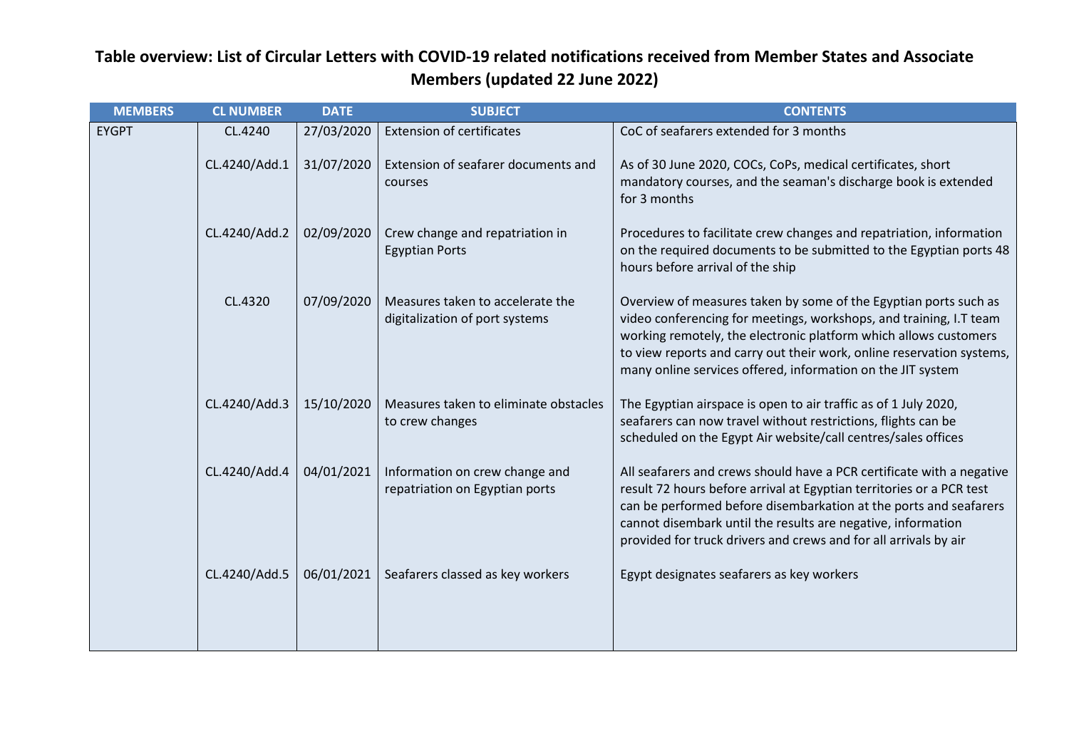| <b>MEMBERS</b> | <b>CL NUMBER</b> | <b>DATE</b> | <b>SUBJECT</b>                                                     | <b>CONTENTS</b>                                                                                                                                                                                                                                                                                                                                        |
|----------------|------------------|-------------|--------------------------------------------------------------------|--------------------------------------------------------------------------------------------------------------------------------------------------------------------------------------------------------------------------------------------------------------------------------------------------------------------------------------------------------|
| <b>EYGPT</b>   | CL.4240          | 27/03/2020  | <b>Extension of certificates</b>                                   | CoC of seafarers extended for 3 months                                                                                                                                                                                                                                                                                                                 |
|                | CL.4240/Add.1    | 31/07/2020  | Extension of seafarer documents and<br>courses                     | As of 30 June 2020, COCs, CoPs, medical certificates, short<br>mandatory courses, and the seaman's discharge book is extended<br>for 3 months                                                                                                                                                                                                          |
|                | CL.4240/Add.2    | 02/09/2020  | Crew change and repatriation in<br><b>Egyptian Ports</b>           | Procedures to facilitate crew changes and repatriation, information<br>on the required documents to be submitted to the Egyptian ports 48<br>hours before arrival of the ship                                                                                                                                                                          |
|                | CL.4320          | 07/09/2020  | Measures taken to accelerate the<br>digitalization of port systems | Overview of measures taken by some of the Egyptian ports such as<br>video conferencing for meetings, workshops, and training, I.T team<br>working remotely, the electronic platform which allows customers<br>to view reports and carry out their work, online reservation systems,<br>many online services offered, information on the JIT system     |
|                | CL.4240/Add.3    | 15/10/2020  | Measures taken to eliminate obstacles<br>to crew changes           | The Egyptian airspace is open to air traffic as of 1 July 2020,<br>seafarers can now travel without restrictions, flights can be<br>scheduled on the Egypt Air website/call centres/sales offices                                                                                                                                                      |
|                | CL.4240/Add.4    | 04/01/2021  | Information on crew change and<br>repatriation on Egyptian ports   | All seafarers and crews should have a PCR certificate with a negative<br>result 72 hours before arrival at Egyptian territories or a PCR test<br>can be performed before disembarkation at the ports and seafarers<br>cannot disembark until the results are negative, information<br>provided for truck drivers and crews and for all arrivals by air |
|                | CL.4240/Add.5    | 06/01/2021  | Seafarers classed as key workers                                   | Egypt designates seafarers as key workers                                                                                                                                                                                                                                                                                                              |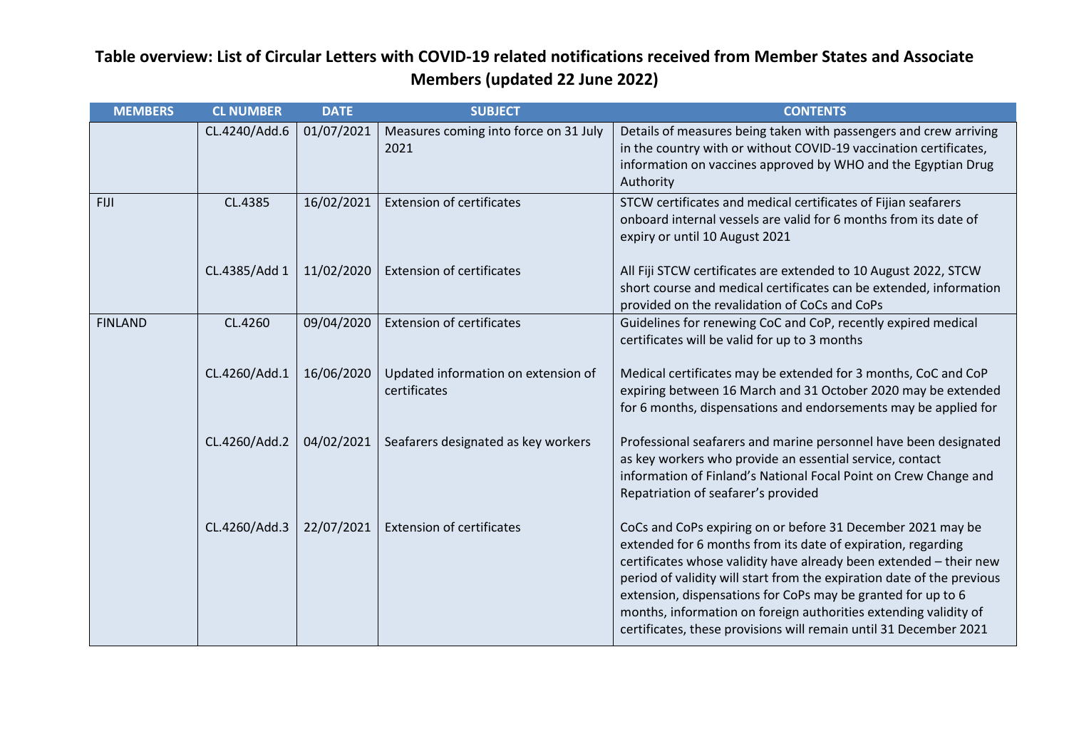| <b>MEMBERS</b> | <b>CL NUMBER</b> | <b>DATE</b> | <b>SUBJECT</b>                                      | <b>CONTENTS</b>                                                                                                                                                                                                                                                                                                                                                                                                                                                                      |
|----------------|------------------|-------------|-----------------------------------------------------|--------------------------------------------------------------------------------------------------------------------------------------------------------------------------------------------------------------------------------------------------------------------------------------------------------------------------------------------------------------------------------------------------------------------------------------------------------------------------------------|
|                | CL.4240/Add.6    | 01/07/2021  | Measures coming into force on 31 July<br>2021       | Details of measures being taken with passengers and crew arriving<br>in the country with or without COVID-19 vaccination certificates,<br>information on vaccines approved by WHO and the Egyptian Drug<br>Authority                                                                                                                                                                                                                                                                 |
| <b>FIJI</b>    | CL.4385          | 16/02/2021  | <b>Extension of certificates</b>                    | STCW certificates and medical certificates of Fijian seafarers<br>onboard internal vessels are valid for 6 months from its date of<br>expiry or until 10 August 2021                                                                                                                                                                                                                                                                                                                 |
|                | CL.4385/Add 1    | 11/02/2020  | <b>Extension of certificates</b>                    | All Fiji STCW certificates are extended to 10 August 2022, STCW<br>short course and medical certificates can be extended, information<br>provided on the revalidation of CoCs and CoPs                                                                                                                                                                                                                                                                                               |
| <b>FINLAND</b> | CL.4260          | 09/04/2020  | <b>Extension of certificates</b>                    | Guidelines for renewing CoC and CoP, recently expired medical<br>certificates will be valid for up to 3 months                                                                                                                                                                                                                                                                                                                                                                       |
|                | CL.4260/Add.1    | 16/06/2020  | Updated information on extension of<br>certificates | Medical certificates may be extended for 3 months, CoC and CoP<br>expiring between 16 March and 31 October 2020 may be extended<br>for 6 months, dispensations and endorsements may be applied for                                                                                                                                                                                                                                                                                   |
|                | CL.4260/Add.2    | 04/02/2021  | Seafarers designated as key workers                 | Professional seafarers and marine personnel have been designated<br>as key workers who provide an essential service, contact<br>information of Finland's National Focal Point on Crew Change and<br>Repatriation of seafarer's provided                                                                                                                                                                                                                                              |
|                | CL.4260/Add.3    | 22/07/2021  | <b>Extension of certificates</b>                    | CoCs and CoPs expiring on or before 31 December 2021 may be<br>extended for 6 months from its date of expiration, regarding<br>certificates whose validity have already been extended - their new<br>period of validity will start from the expiration date of the previous<br>extension, dispensations for CoPs may be granted for up to 6<br>months, information on foreign authorities extending validity of<br>certificates, these provisions will remain until 31 December 2021 |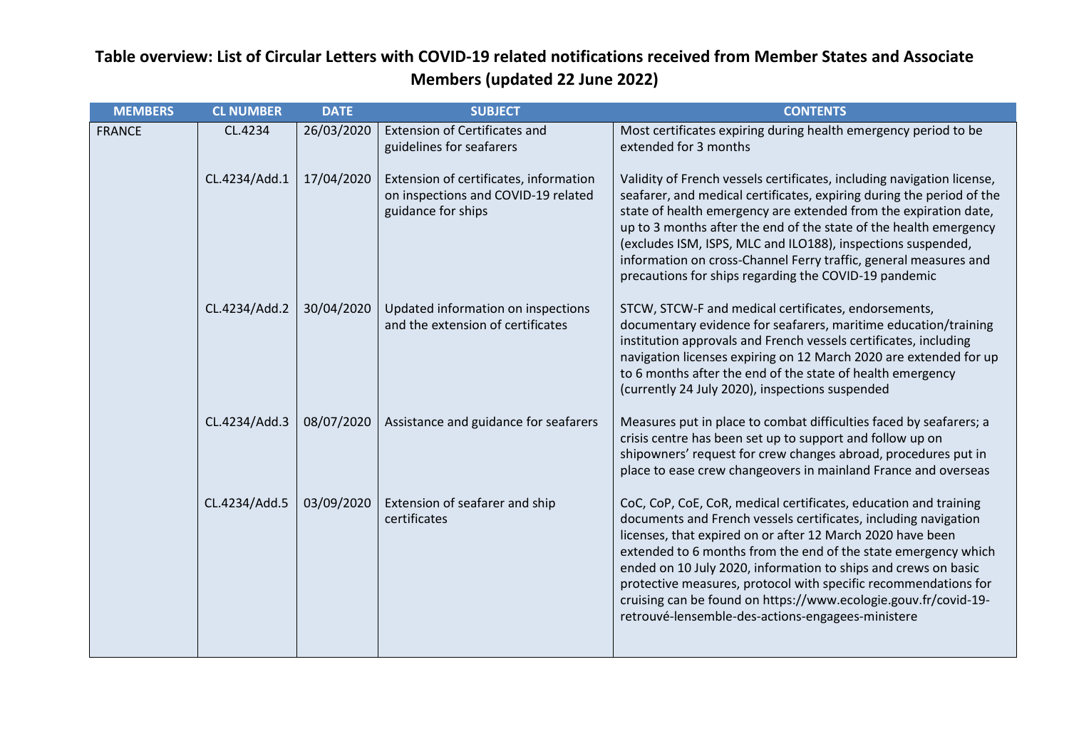| <b>MEMBERS</b> | <b>CL NUMBER</b> | <b>DATE</b> | <b>SUBJECT</b>                                                                                      | <b>CONTENTS</b>                                                                                                                                                                                                                                                                                                                                                                                                                                                                                                                  |
|----------------|------------------|-------------|-----------------------------------------------------------------------------------------------------|----------------------------------------------------------------------------------------------------------------------------------------------------------------------------------------------------------------------------------------------------------------------------------------------------------------------------------------------------------------------------------------------------------------------------------------------------------------------------------------------------------------------------------|
| <b>FRANCE</b>  | CL.4234          | 26/03/2020  | <b>Extension of Certificates and</b><br>guidelines for seafarers                                    | Most certificates expiring during health emergency period to be<br>extended for 3 months                                                                                                                                                                                                                                                                                                                                                                                                                                         |
|                | CL.4234/Add.1    | 17/04/2020  | Extension of certificates, information<br>on inspections and COVID-19 related<br>guidance for ships | Validity of French vessels certificates, including navigation license,<br>seafarer, and medical certificates, expiring during the period of the<br>state of health emergency are extended from the expiration date,<br>up to 3 months after the end of the state of the health emergency<br>(excludes ISM, ISPS, MLC and ILO188), inspections suspended,<br>information on cross-Channel Ferry traffic, general measures and<br>precautions for ships regarding the COVID-19 pandemic                                            |
|                | CL.4234/Add.2    | 30/04/2020  | Updated information on inspections<br>and the extension of certificates                             | STCW, STCW-F and medical certificates, endorsements,<br>documentary evidence for seafarers, maritime education/training<br>institution approvals and French vessels certificates, including<br>navigation licenses expiring on 12 March 2020 are extended for up<br>to 6 months after the end of the state of health emergency<br>(currently 24 July 2020), inspections suspended                                                                                                                                                |
|                | CL.4234/Add.3    | 08/07/2020  | Assistance and guidance for seafarers                                                               | Measures put in place to combat difficulties faced by seafarers; a<br>crisis centre has been set up to support and follow up on<br>shipowners' request for crew changes abroad, procedures put in<br>place to ease crew changeovers in mainland France and overseas                                                                                                                                                                                                                                                              |
|                | CL.4234/Add.5    | 03/09/2020  | Extension of seafarer and ship<br>certificates                                                      | CoC, CoP, CoE, CoR, medical certificates, education and training<br>documents and French vessels certificates, including navigation<br>licenses, that expired on or after 12 March 2020 have been<br>extended to 6 months from the end of the state emergency which<br>ended on 10 July 2020, information to ships and crews on basic<br>protective measures, protocol with specific recommendations for<br>cruising can be found on https://www.ecologie.gouv.fr/covid-19-<br>retrouvé-lensemble-des-actions-engagees-ministere |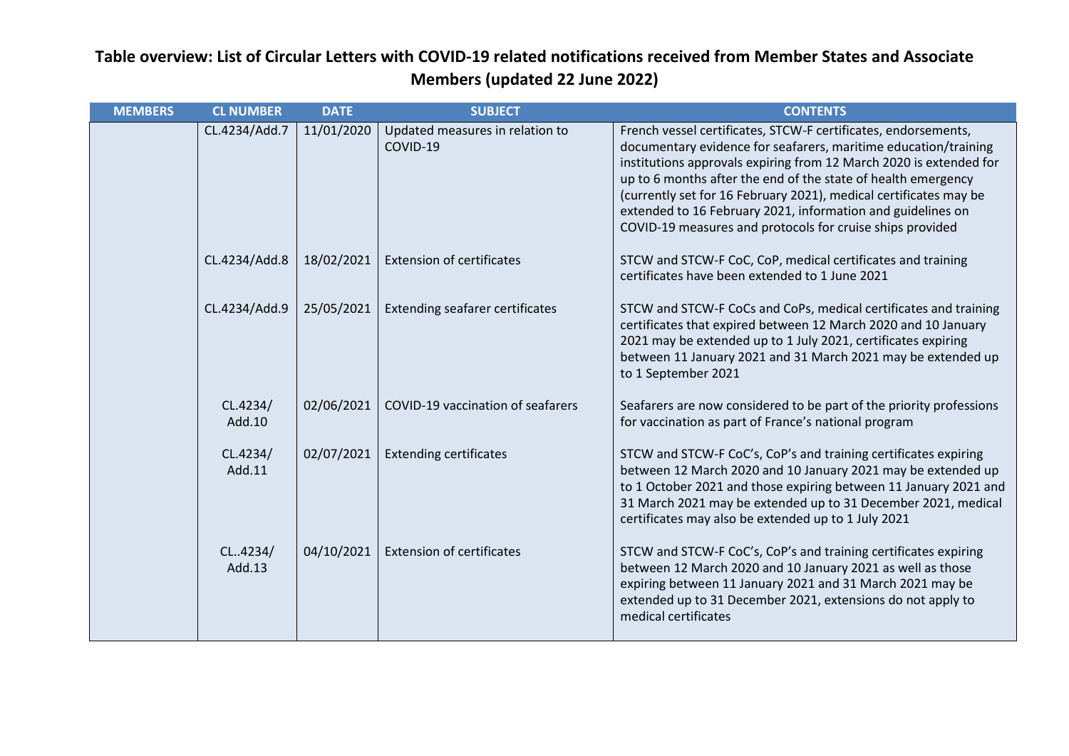| <b>MEMBERS</b> | <b>CL NUMBER</b>   | <b>DATE</b> | <b>SUBJECT</b>                              | <b>CONTENTS</b>                                                                                                                                                                                                                                                                                                                                                                                                                                                           |
|----------------|--------------------|-------------|---------------------------------------------|---------------------------------------------------------------------------------------------------------------------------------------------------------------------------------------------------------------------------------------------------------------------------------------------------------------------------------------------------------------------------------------------------------------------------------------------------------------------------|
|                | CL.4234/Add.7      | 11/01/2020  | Updated measures in relation to<br>COVID-19 | French vessel certificates, STCW-F certificates, endorsements,<br>documentary evidence for seafarers, maritime education/training<br>institutions approvals expiring from 12 March 2020 is extended for<br>up to 6 months after the end of the state of health emergency<br>(currently set for 16 February 2021), medical certificates may be<br>extended to 16 February 2021, information and guidelines on<br>COVID-19 measures and protocols for cruise ships provided |
|                | CL.4234/Add.8      | 18/02/2021  | <b>Extension of certificates</b>            | STCW and STCW-F CoC, CoP, medical certificates and training<br>certificates have been extended to 1 June 2021                                                                                                                                                                                                                                                                                                                                                             |
|                | CL.4234/Add.9      | 25/05/2021  | <b>Extending seafarer certificates</b>      | STCW and STCW-F CoCs and CoPs, medical certificates and training<br>certificates that expired between 12 March 2020 and 10 January<br>2021 may be extended up to 1 July 2021, certificates expiring<br>between 11 January 2021 and 31 March 2021 may be extended up<br>to 1 September 2021                                                                                                                                                                                |
|                | CL.4234/<br>Add.10 | 02/06/2021  | COVID-19 vaccination of seafarers           | Seafarers are now considered to be part of the priority professions<br>for vaccination as part of France's national program                                                                                                                                                                                                                                                                                                                                               |
|                | CL.4234/<br>Add.11 | 02/07/2021  | <b>Extending certificates</b>               | STCW and STCW-F CoC's, CoP's and training certificates expiring<br>between 12 March 2020 and 10 January 2021 may be extended up<br>to 1 October 2021 and those expiring between 11 January 2021 and<br>31 March 2021 may be extended up to 31 December 2021, medical<br>certificates may also be extended up to 1 July 2021                                                                                                                                               |
|                | CL4234/<br>Add.13  | 04/10/2021  | <b>Extension of certificates</b>            | STCW and STCW-F CoC's, CoP's and training certificates expiring<br>between 12 March 2020 and 10 January 2021 as well as those<br>expiring between 11 January 2021 and 31 March 2021 may be<br>extended up to 31 December 2021, extensions do not apply to<br>medical certificates                                                                                                                                                                                         |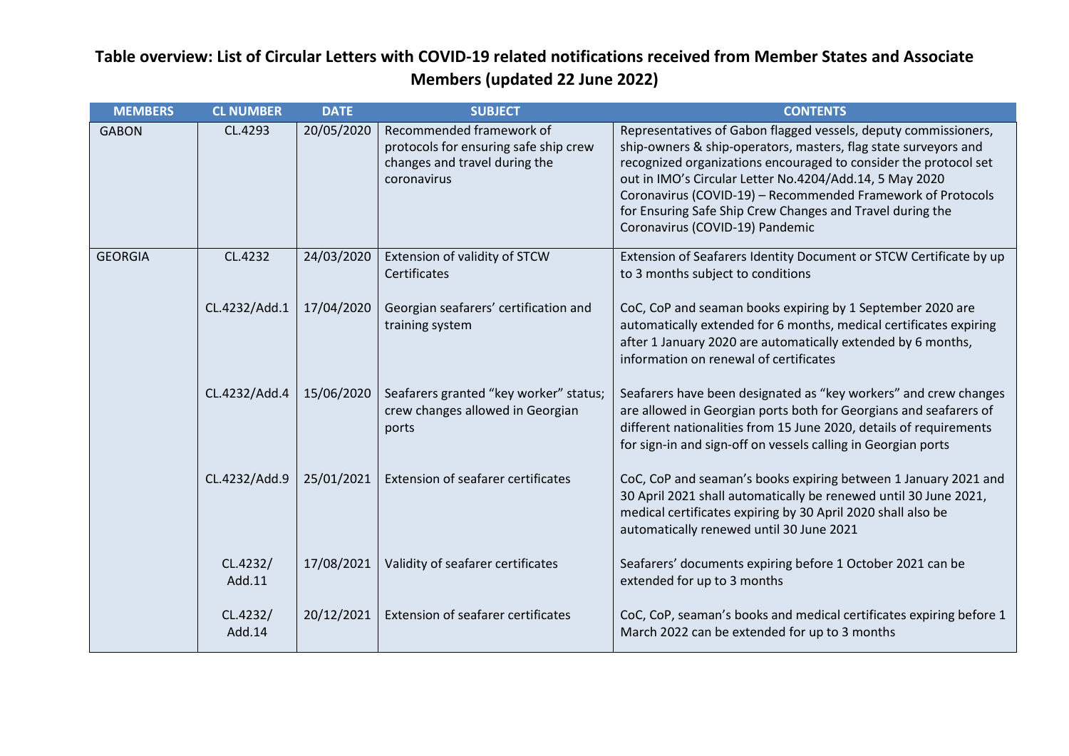| <b>MEMBERS</b> | <b>CL NUMBER</b>   | <b>DATE</b> | <b>SUBJECT</b>                                                                                                    | <b>CONTENTS</b>                                                                                                                                                                                                                                                                                                                                                                                                                  |
|----------------|--------------------|-------------|-------------------------------------------------------------------------------------------------------------------|----------------------------------------------------------------------------------------------------------------------------------------------------------------------------------------------------------------------------------------------------------------------------------------------------------------------------------------------------------------------------------------------------------------------------------|
| <b>GABON</b>   | CL.4293            | 20/05/2020  | Recommended framework of<br>protocols for ensuring safe ship crew<br>changes and travel during the<br>coronavirus | Representatives of Gabon flagged vessels, deputy commissioners,<br>ship-owners & ship-operators, masters, flag state surveyors and<br>recognized organizations encouraged to consider the protocol set<br>out in IMO's Circular Letter No.4204/Add.14, 5 May 2020<br>Coronavirus (COVID-19) - Recommended Framework of Protocols<br>for Ensuring Safe Ship Crew Changes and Travel during the<br>Coronavirus (COVID-19) Pandemic |
| <b>GEORGIA</b> | CL.4232            | 24/03/2020  | Extension of validity of STCW<br>Certificates                                                                     | Extension of Seafarers Identity Document or STCW Certificate by up<br>to 3 months subject to conditions                                                                                                                                                                                                                                                                                                                          |
|                | CL.4232/Add.1      | 17/04/2020  | Georgian seafarers' certification and<br>training system                                                          | CoC, CoP and seaman books expiring by 1 September 2020 are<br>automatically extended for 6 months, medical certificates expiring<br>after 1 January 2020 are automatically extended by 6 months,<br>information on renewal of certificates                                                                                                                                                                                       |
|                | CL.4232/Add.4      | 15/06/2020  | Seafarers granted "key worker" status;<br>crew changes allowed in Georgian<br>ports                               | Seafarers have been designated as "key workers" and crew changes<br>are allowed in Georgian ports both for Georgians and seafarers of<br>different nationalities from 15 June 2020, details of requirements<br>for sign-in and sign-off on vessels calling in Georgian ports                                                                                                                                                     |
|                | CL.4232/Add.9      | 25/01/2021  | <b>Extension of seafarer certificates</b>                                                                         | CoC, CoP and seaman's books expiring between 1 January 2021 and<br>30 April 2021 shall automatically be renewed until 30 June 2021,<br>medical certificates expiring by 30 April 2020 shall also be<br>automatically renewed until 30 June 2021                                                                                                                                                                                  |
|                | CL.4232/<br>Add.11 | 17/08/2021  | Validity of seafarer certificates                                                                                 | Seafarers' documents expiring before 1 October 2021 can be<br>extended for up to 3 months                                                                                                                                                                                                                                                                                                                                        |
|                | CL.4232/<br>Add.14 | 20/12/2021  | Extension of seafarer certificates                                                                                | CoC, CoP, seaman's books and medical certificates expiring before 1<br>March 2022 can be extended for up to 3 months                                                                                                                                                                                                                                                                                                             |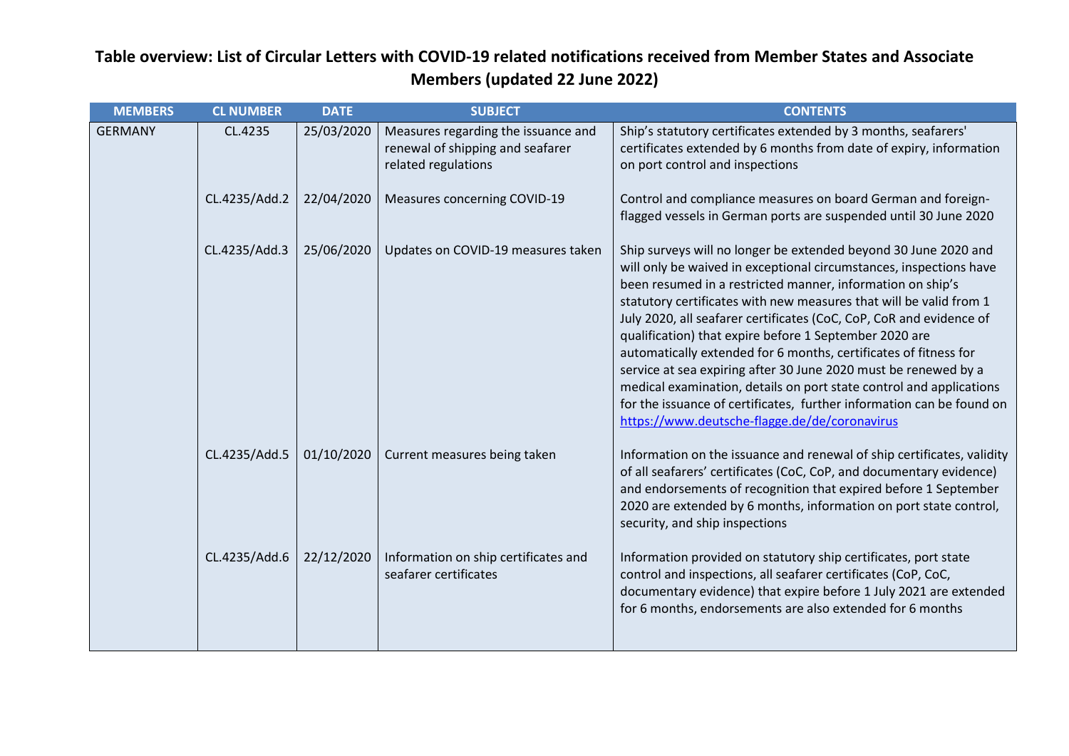| <b>MEMBERS</b> | <b>CL NUMBER</b> | <b>DATE</b> | <b>SUBJECT</b>                                                                                 | <b>CONTENTS</b>                                                                                                                                                                                                                                                                                                                                                                                                                                                                                                                                                                                                                                                                                                                                    |
|----------------|------------------|-------------|------------------------------------------------------------------------------------------------|----------------------------------------------------------------------------------------------------------------------------------------------------------------------------------------------------------------------------------------------------------------------------------------------------------------------------------------------------------------------------------------------------------------------------------------------------------------------------------------------------------------------------------------------------------------------------------------------------------------------------------------------------------------------------------------------------------------------------------------------------|
| <b>GERMANY</b> | CL.4235          | 25/03/2020  | Measures regarding the issuance and<br>renewal of shipping and seafarer<br>related regulations | Ship's statutory certificates extended by 3 months, seafarers'<br>certificates extended by 6 months from date of expiry, information<br>on port control and inspections                                                                                                                                                                                                                                                                                                                                                                                                                                                                                                                                                                            |
|                | CL.4235/Add.2    | 22/04/2020  | Measures concerning COVID-19                                                                   | Control and compliance measures on board German and foreign-<br>flagged vessels in German ports are suspended until 30 June 2020                                                                                                                                                                                                                                                                                                                                                                                                                                                                                                                                                                                                                   |
|                | CL.4235/Add.3    | 25/06/2020  | Updates on COVID-19 measures taken                                                             | Ship surveys will no longer be extended beyond 30 June 2020 and<br>will only be waived in exceptional circumstances, inspections have<br>been resumed in a restricted manner, information on ship's<br>statutory certificates with new measures that will be valid from 1<br>July 2020, all seafarer certificates (CoC, CoP, CoR and evidence of<br>qualification) that expire before 1 September 2020 are<br>automatically extended for 6 months, certificates of fitness for<br>service at sea expiring after 30 June 2020 must be renewed by a<br>medical examination, details on port state control and applications<br>for the issuance of certificates, further information can be found on<br>https://www.deutsche-flagge.de/de/coronavirus |
|                | CL.4235/Add.5    | 01/10/2020  | Current measures being taken                                                                   | Information on the issuance and renewal of ship certificates, validity<br>of all seafarers' certificates (CoC, CoP, and documentary evidence)<br>and endorsements of recognition that expired before 1 September<br>2020 are extended by 6 months, information on port state control,<br>security, and ship inspections                                                                                                                                                                                                                                                                                                                                                                                                                            |
|                | CL.4235/Add.6    | 22/12/2020  | Information on ship certificates and<br>seafarer certificates                                  | Information provided on statutory ship certificates, port state<br>control and inspections, all seafarer certificates (CoP, CoC,<br>documentary evidence) that expire before 1 July 2021 are extended<br>for 6 months, endorsements are also extended for 6 months                                                                                                                                                                                                                                                                                                                                                                                                                                                                                 |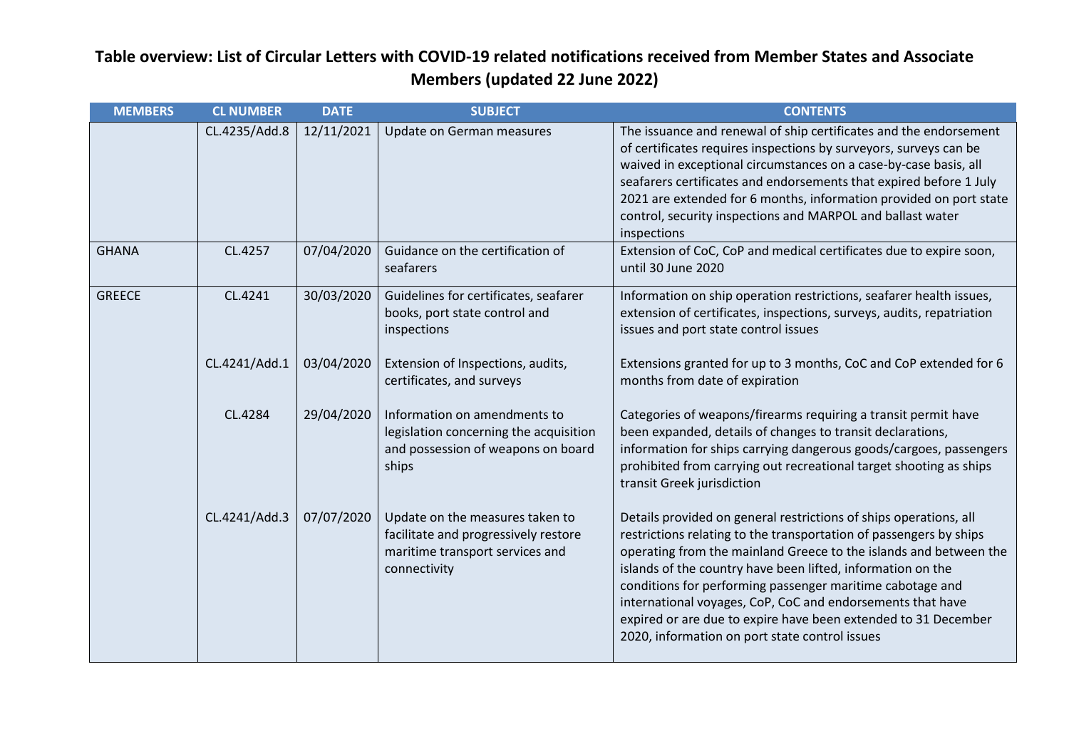| <b>MEMBERS</b> | <b>CL NUMBER</b> | <b>DATE</b> | <b>SUBJECT</b>                                                                                                             | <b>CONTENTS</b>                                                                                                                                                                                                                                                                                                                                                                                                                                                                                                            |
|----------------|------------------|-------------|----------------------------------------------------------------------------------------------------------------------------|----------------------------------------------------------------------------------------------------------------------------------------------------------------------------------------------------------------------------------------------------------------------------------------------------------------------------------------------------------------------------------------------------------------------------------------------------------------------------------------------------------------------------|
|                | CL.4235/Add.8    | 12/11/2021  | Update on German measures                                                                                                  | The issuance and renewal of ship certificates and the endorsement<br>of certificates requires inspections by surveyors, surveys can be<br>waived in exceptional circumstances on a case-by-case basis, all<br>seafarers certificates and endorsements that expired before 1 July<br>2021 are extended for 6 months, information provided on port state<br>control, security inspections and MARPOL and ballast water<br>inspections                                                                                        |
| <b>GHANA</b>   | CL.4257          | 07/04/2020  | Guidance on the certification of<br>seafarers                                                                              | Extension of CoC, CoP and medical certificates due to expire soon,<br>until 30 June 2020                                                                                                                                                                                                                                                                                                                                                                                                                                   |
| <b>GREECE</b>  | CL.4241          | 30/03/2020  | Guidelines for certificates, seafarer<br>books, port state control and<br>inspections                                      | Information on ship operation restrictions, seafarer health issues,<br>extension of certificates, inspections, surveys, audits, repatriation<br>issues and port state control issues                                                                                                                                                                                                                                                                                                                                       |
|                | CL.4241/Add.1    | 03/04/2020  | Extension of Inspections, audits,<br>certificates, and surveys                                                             | Extensions granted for up to 3 months, CoC and CoP extended for 6<br>months from date of expiration                                                                                                                                                                                                                                                                                                                                                                                                                        |
|                | CL.4284          | 29/04/2020  | Information on amendments to<br>legislation concerning the acquisition<br>and possession of weapons on board<br>ships      | Categories of weapons/firearms requiring a transit permit have<br>been expanded, details of changes to transit declarations,<br>information for ships carrying dangerous goods/cargoes, passengers<br>prohibited from carrying out recreational target shooting as ships<br>transit Greek jurisdiction                                                                                                                                                                                                                     |
|                | CL.4241/Add.3    | 07/07/2020  | Update on the measures taken to<br>facilitate and progressively restore<br>maritime transport services and<br>connectivity | Details provided on general restrictions of ships operations, all<br>restrictions relating to the transportation of passengers by ships<br>operating from the mainland Greece to the islands and between the<br>islands of the country have been lifted, information on the<br>conditions for performing passenger maritime cabotage and<br>international voyages, CoP, CoC and endorsements that have<br>expired or are due to expire have been extended to 31 December<br>2020, information on port state control issues |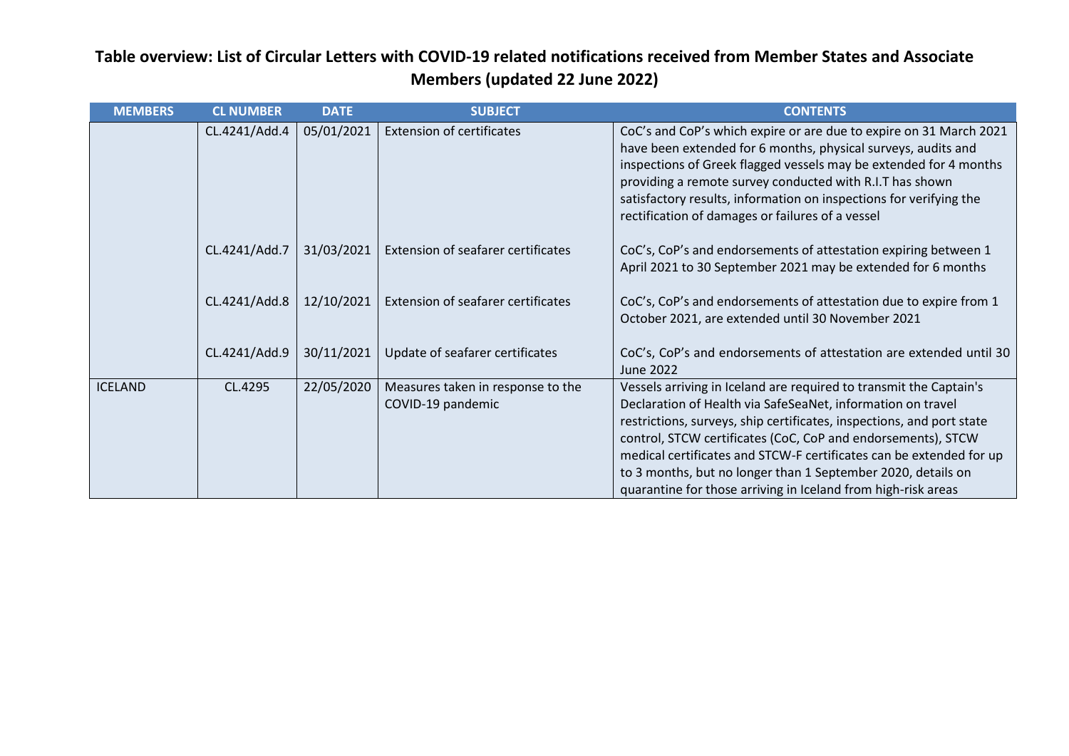| <b>MEMBERS</b> | <b>CL NUMBER</b> | <b>DATE</b> | <b>SUBJECT</b>                                         | <b>CONTENTS</b>                                                                                                                                                                                                                                                                                                                                                                                                                                                                    |
|----------------|------------------|-------------|--------------------------------------------------------|------------------------------------------------------------------------------------------------------------------------------------------------------------------------------------------------------------------------------------------------------------------------------------------------------------------------------------------------------------------------------------------------------------------------------------------------------------------------------------|
|                | CL.4241/Add.4    | 05/01/2021  | <b>Extension of certificates</b>                       | CoC's and CoP's which expire or are due to expire on 31 March 2021<br>have been extended for 6 months, physical surveys, audits and<br>inspections of Greek flagged vessels may be extended for 4 months<br>providing a remote survey conducted with R.I.T has shown<br>satisfactory results, information on inspections for verifying the<br>rectification of damages or failures of a vessel                                                                                     |
|                | CL.4241/Add.7    | 31/03/2021  | Extension of seafarer certificates                     | CoC's, CoP's and endorsements of attestation expiring between 1<br>April 2021 to 30 September 2021 may be extended for 6 months                                                                                                                                                                                                                                                                                                                                                    |
|                | CL.4241/Add.8    | 12/10/2021  | <b>Extension of seafarer certificates</b>              | CoC's, CoP's and endorsements of attestation due to expire from 1<br>October 2021, are extended until 30 November 2021                                                                                                                                                                                                                                                                                                                                                             |
|                | CL.4241/Add.9    | 30/11/2021  | Update of seafarer certificates                        | CoC's, CoP's and endorsements of attestation are extended until 30<br>June 2022                                                                                                                                                                                                                                                                                                                                                                                                    |
| <b>ICELAND</b> | CL.4295          | 22/05/2020  | Measures taken in response to the<br>COVID-19 pandemic | Vessels arriving in Iceland are required to transmit the Captain's<br>Declaration of Health via SafeSeaNet, information on travel<br>restrictions, surveys, ship certificates, inspections, and port state<br>control, STCW certificates (CoC, CoP and endorsements), STCW<br>medical certificates and STCW-F certificates can be extended for up<br>to 3 months, but no longer than 1 September 2020, details on<br>quarantine for those arriving in Iceland from high-risk areas |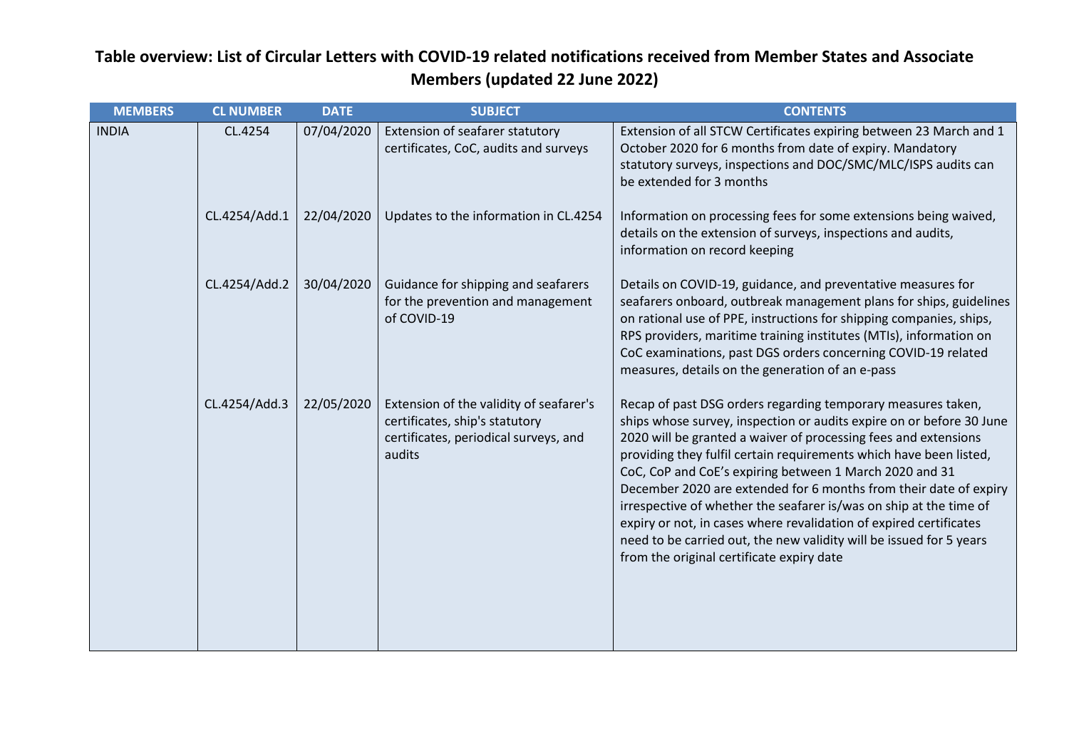| <b>MEMBERS</b> | <b>CL NUMBER</b> | <b>DATE</b> | <b>SUBJECT</b>                                                                                                               | <b>CONTENTS</b>                                                                                                                                                                                                                                                                                                                                                                                                                                                                                                                                                                                                                                                               |
|----------------|------------------|-------------|------------------------------------------------------------------------------------------------------------------------------|-------------------------------------------------------------------------------------------------------------------------------------------------------------------------------------------------------------------------------------------------------------------------------------------------------------------------------------------------------------------------------------------------------------------------------------------------------------------------------------------------------------------------------------------------------------------------------------------------------------------------------------------------------------------------------|
| <b>INDIA</b>   | CL.4254          | 07/04/2020  | Extension of seafarer statutory<br>certificates, CoC, audits and surveys                                                     | Extension of all STCW Certificates expiring between 23 March and 1<br>October 2020 for 6 months from date of expiry. Mandatory<br>statutory surveys, inspections and DOC/SMC/MLC/ISPS audits can<br>be extended for 3 months                                                                                                                                                                                                                                                                                                                                                                                                                                                  |
|                | CL.4254/Add.1    | 22/04/2020  | Updates to the information in CL.4254                                                                                        | Information on processing fees for some extensions being waived,<br>details on the extension of surveys, inspections and audits,<br>information on record keeping                                                                                                                                                                                                                                                                                                                                                                                                                                                                                                             |
|                | CL.4254/Add.2    | 30/04/2020  | Guidance for shipping and seafarers<br>for the prevention and management<br>of COVID-19                                      | Details on COVID-19, guidance, and preventative measures for<br>seafarers onboard, outbreak management plans for ships, guidelines<br>on rational use of PPE, instructions for shipping companies, ships,<br>RPS providers, maritime training institutes (MTIs), information on<br>CoC examinations, past DGS orders concerning COVID-19 related<br>measures, details on the generation of an e-pass                                                                                                                                                                                                                                                                          |
|                | CL.4254/Add.3    | 22/05/2020  | Extension of the validity of seafarer's<br>certificates, ship's statutory<br>certificates, periodical surveys, and<br>audits | Recap of past DSG orders regarding temporary measures taken,<br>ships whose survey, inspection or audits expire on or before 30 June<br>2020 will be granted a waiver of processing fees and extensions<br>providing they fulfil certain requirements which have been listed,<br>CoC, CoP and CoE's expiring between 1 March 2020 and 31<br>December 2020 are extended for 6 months from their date of expiry<br>irrespective of whether the seafarer is/was on ship at the time of<br>expiry or not, in cases where revalidation of expired certificates<br>need to be carried out, the new validity will be issued for 5 years<br>from the original certificate expiry date |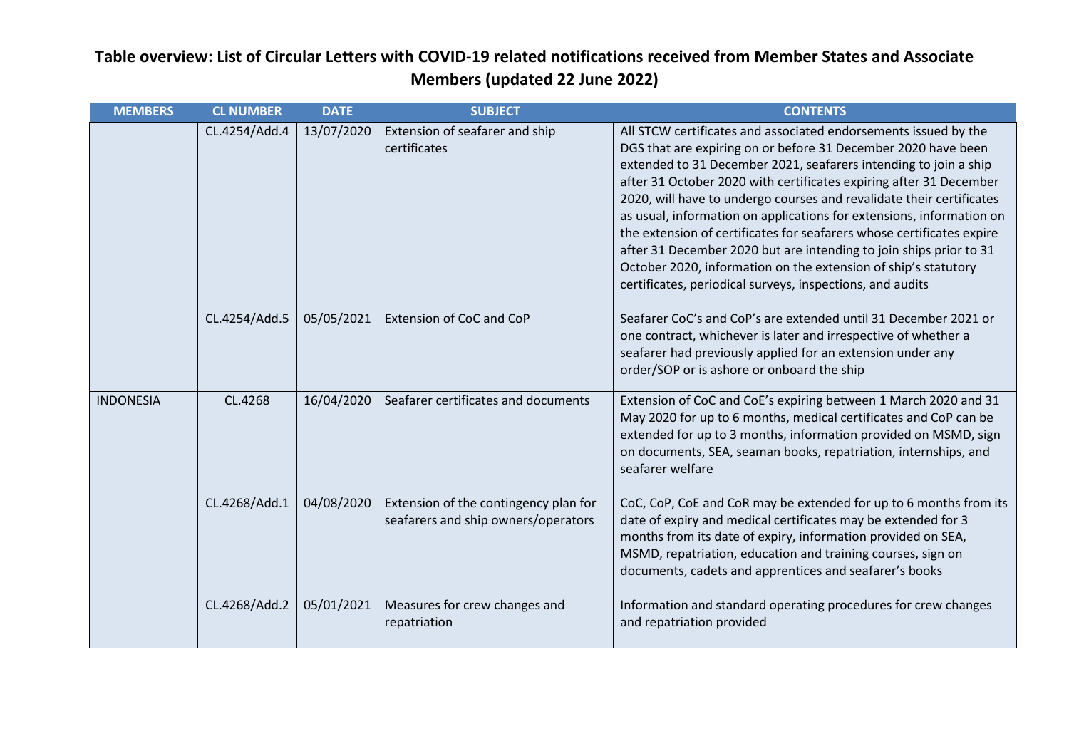| <b>MEMBERS</b>   | <b>CL NUMBER</b> | <b>DATE</b> | <b>SUBJECT</b>                                                               | <b>CONTENTS</b>                                                                                                                                                                                                                                                                                                                                                                                                                                                                                                                                                                                                                                                                                          |
|------------------|------------------|-------------|------------------------------------------------------------------------------|----------------------------------------------------------------------------------------------------------------------------------------------------------------------------------------------------------------------------------------------------------------------------------------------------------------------------------------------------------------------------------------------------------------------------------------------------------------------------------------------------------------------------------------------------------------------------------------------------------------------------------------------------------------------------------------------------------|
|                  | CL.4254/Add.4    | 13/07/2020  | Extension of seafarer and ship<br>certificates                               | All STCW certificates and associated endorsements issued by the<br>DGS that are expiring on or before 31 December 2020 have been<br>extended to 31 December 2021, seafarers intending to join a ship<br>after 31 October 2020 with certificates expiring after 31 December<br>2020, will have to undergo courses and revalidate their certificates<br>as usual, information on applications for extensions, information on<br>the extension of certificates for seafarers whose certificates expire<br>after 31 December 2020 but are intending to join ships prior to 31<br>October 2020, information on the extension of ship's statutory<br>certificates, periodical surveys, inspections, and audits |
|                  | CL.4254/Add.5    | 05/05/2021  | Extension of CoC and CoP                                                     | Seafarer CoC's and CoP's are extended until 31 December 2021 or<br>one contract, whichever is later and irrespective of whether a<br>seafarer had previously applied for an extension under any<br>order/SOP or is ashore or onboard the ship                                                                                                                                                                                                                                                                                                                                                                                                                                                            |
| <b>INDONESIA</b> | CL.4268          | 16/04/2020  | Seafarer certificates and documents                                          | Extension of CoC and CoE's expiring between 1 March 2020 and 31<br>May 2020 for up to 6 months, medical certificates and CoP can be<br>extended for up to 3 months, information provided on MSMD, sign<br>on documents, SEA, seaman books, repatriation, internships, and<br>seafarer welfare                                                                                                                                                                                                                                                                                                                                                                                                            |
|                  | CL.4268/Add.1    | 04/08/2020  | Extension of the contingency plan for<br>seafarers and ship owners/operators | CoC, CoP, CoE and CoR may be extended for up to 6 months from its<br>date of expiry and medical certificates may be extended for 3<br>months from its date of expiry, information provided on SEA,<br>MSMD, repatriation, education and training courses, sign on<br>documents, cadets and apprentices and seafarer's books                                                                                                                                                                                                                                                                                                                                                                              |
|                  | CL.4268/Add.2    | 05/01/2021  | Measures for crew changes and<br>repatriation                                | Information and standard operating procedures for crew changes<br>and repatriation provided                                                                                                                                                                                                                                                                                                                                                                                                                                                                                                                                                                                                              |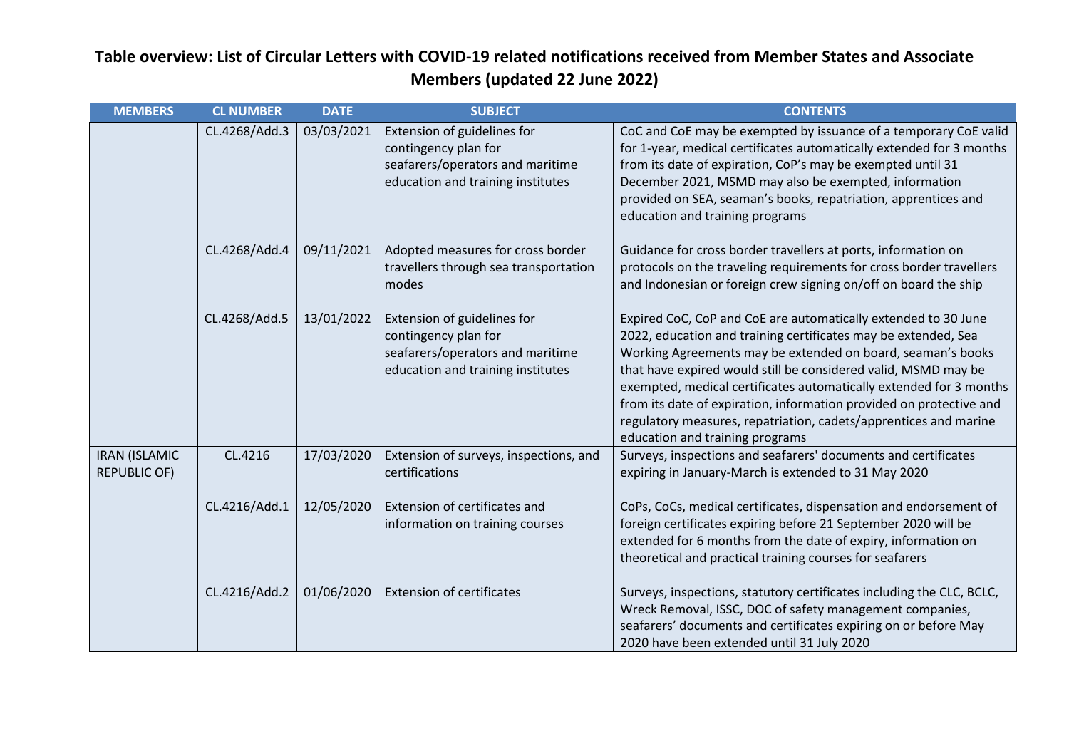| <b>MEMBERS</b>                              | <b>CL NUMBER</b> | <b>DATE</b> | <b>SUBJECT</b>                                                                                                               | <b>CONTENTS</b>                                                                                                                                                                                                                                                                                                                                                                                                                                                                                                       |
|---------------------------------------------|------------------|-------------|------------------------------------------------------------------------------------------------------------------------------|-----------------------------------------------------------------------------------------------------------------------------------------------------------------------------------------------------------------------------------------------------------------------------------------------------------------------------------------------------------------------------------------------------------------------------------------------------------------------------------------------------------------------|
|                                             | CL.4268/Add.3    | 03/03/2021  | Extension of guidelines for<br>contingency plan for<br>seafarers/operators and maritime<br>education and training institutes | CoC and CoE may be exempted by issuance of a temporary CoE valid<br>for 1-year, medical certificates automatically extended for 3 months<br>from its date of expiration, CoP's may be exempted until 31<br>December 2021, MSMD may also be exempted, information<br>provided on SEA, seaman's books, repatriation, apprentices and<br>education and training programs                                                                                                                                                 |
|                                             | CL.4268/Add.4    | 09/11/2021  | Adopted measures for cross border<br>travellers through sea transportation<br>modes                                          | Guidance for cross border travellers at ports, information on<br>protocols on the traveling requirements for cross border travellers<br>and Indonesian or foreign crew signing on/off on board the ship                                                                                                                                                                                                                                                                                                               |
|                                             | CL.4268/Add.5    | 13/01/2022  | Extension of guidelines for<br>contingency plan for<br>seafarers/operators and maritime<br>education and training institutes | Expired CoC, CoP and CoE are automatically extended to 30 June<br>2022, education and training certificates may be extended, Sea<br>Working Agreements may be extended on board, seaman's books<br>that have expired would still be considered valid, MSMD may be<br>exempted, medical certificates automatically extended for 3 months<br>from its date of expiration, information provided on protective and<br>regulatory measures, repatriation, cadets/apprentices and marine<br>education and training programs |
| <b>IRAN (ISLAMIC</b><br><b>REPUBLIC OF)</b> | CL.4216          | 17/03/2020  | Extension of surveys, inspections, and<br>certifications                                                                     | Surveys, inspections and seafarers' documents and certificates<br>expiring in January-March is extended to 31 May 2020                                                                                                                                                                                                                                                                                                                                                                                                |
|                                             | CL.4216/Add.1    | 12/05/2020  | Extension of certificates and<br>information on training courses                                                             | CoPs, CoCs, medical certificates, dispensation and endorsement of<br>foreign certificates expiring before 21 September 2020 will be<br>extended for 6 months from the date of expiry, information on<br>theoretical and practical training courses for seafarers                                                                                                                                                                                                                                                      |
|                                             | CL.4216/Add.2    | 01/06/2020  | <b>Extension of certificates</b>                                                                                             | Surveys, inspections, statutory certificates including the CLC, BCLC,<br>Wreck Removal, ISSC, DOC of safety management companies,<br>seafarers' documents and certificates expiring on or before May<br>2020 have been extended until 31 July 2020                                                                                                                                                                                                                                                                    |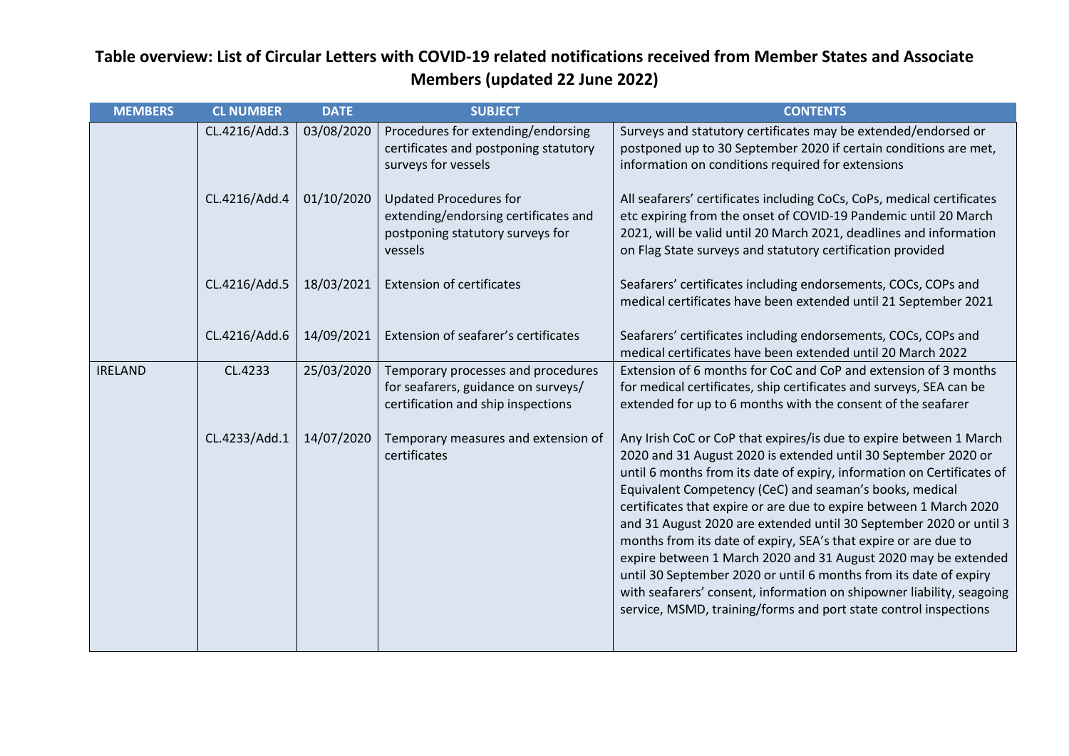| <b>MEMBERS</b> | <b>CL NUMBER</b> | <b>DATE</b> | <b>SUBJECT</b>                                                                                                       | <b>CONTENTS</b>                                                                                                                                                                                                                                                                                                                                                                                                                                                                                                                                                                                                                                                                                                                                                              |
|----------------|------------------|-------------|----------------------------------------------------------------------------------------------------------------------|------------------------------------------------------------------------------------------------------------------------------------------------------------------------------------------------------------------------------------------------------------------------------------------------------------------------------------------------------------------------------------------------------------------------------------------------------------------------------------------------------------------------------------------------------------------------------------------------------------------------------------------------------------------------------------------------------------------------------------------------------------------------------|
|                | CL.4216/Add.3    | 03/08/2020  | Procedures for extending/endorsing<br>certificates and postponing statutory<br>surveys for vessels                   | Surveys and statutory certificates may be extended/endorsed or<br>postponed up to 30 September 2020 if certain conditions are met,<br>information on conditions required for extensions                                                                                                                                                                                                                                                                                                                                                                                                                                                                                                                                                                                      |
|                | CL.4216/Add.4    | 01/10/2020  | <b>Updated Procedures for</b><br>extending/endorsing certificates and<br>postponing statutory surveys for<br>vessels | All seafarers' certificates including CoCs, CoPs, medical certificates<br>etc expiring from the onset of COVID-19 Pandemic until 20 March<br>2021, will be valid until 20 March 2021, deadlines and information<br>on Flag State surveys and statutory certification provided                                                                                                                                                                                                                                                                                                                                                                                                                                                                                                |
|                | CL.4216/Add.5    | 18/03/2021  | <b>Extension of certificates</b>                                                                                     | Seafarers' certificates including endorsements, COCs, COPs and<br>medical certificates have been extended until 21 September 2021                                                                                                                                                                                                                                                                                                                                                                                                                                                                                                                                                                                                                                            |
|                | CL.4216/Add.6    | 14/09/2021  | Extension of seafarer's certificates                                                                                 | Seafarers' certificates including endorsements, COCs, COPs and<br>medical certificates have been extended until 20 March 2022                                                                                                                                                                                                                                                                                                                                                                                                                                                                                                                                                                                                                                                |
| <b>IRELAND</b> | CL.4233          | 25/03/2020  | Temporary processes and procedures<br>for seafarers, guidance on surveys/<br>certification and ship inspections      | Extension of 6 months for CoC and CoP and extension of 3 months<br>for medical certificates, ship certificates and surveys, SEA can be<br>extended for up to 6 months with the consent of the seafarer                                                                                                                                                                                                                                                                                                                                                                                                                                                                                                                                                                       |
|                | CL.4233/Add.1    | 14/07/2020  | Temporary measures and extension of<br>certificates                                                                  | Any Irish CoC or CoP that expires/is due to expire between 1 March<br>2020 and 31 August 2020 is extended until 30 September 2020 or<br>until 6 months from its date of expiry, information on Certificates of<br>Equivalent Competency (CeC) and seaman's books, medical<br>certificates that expire or are due to expire between 1 March 2020<br>and 31 August 2020 are extended until 30 September 2020 or until 3<br>months from its date of expiry, SEA's that expire or are due to<br>expire between 1 March 2020 and 31 August 2020 may be extended<br>until 30 September 2020 or until 6 months from its date of expiry<br>with seafarers' consent, information on shipowner liability, seagoing<br>service, MSMD, training/forms and port state control inspections |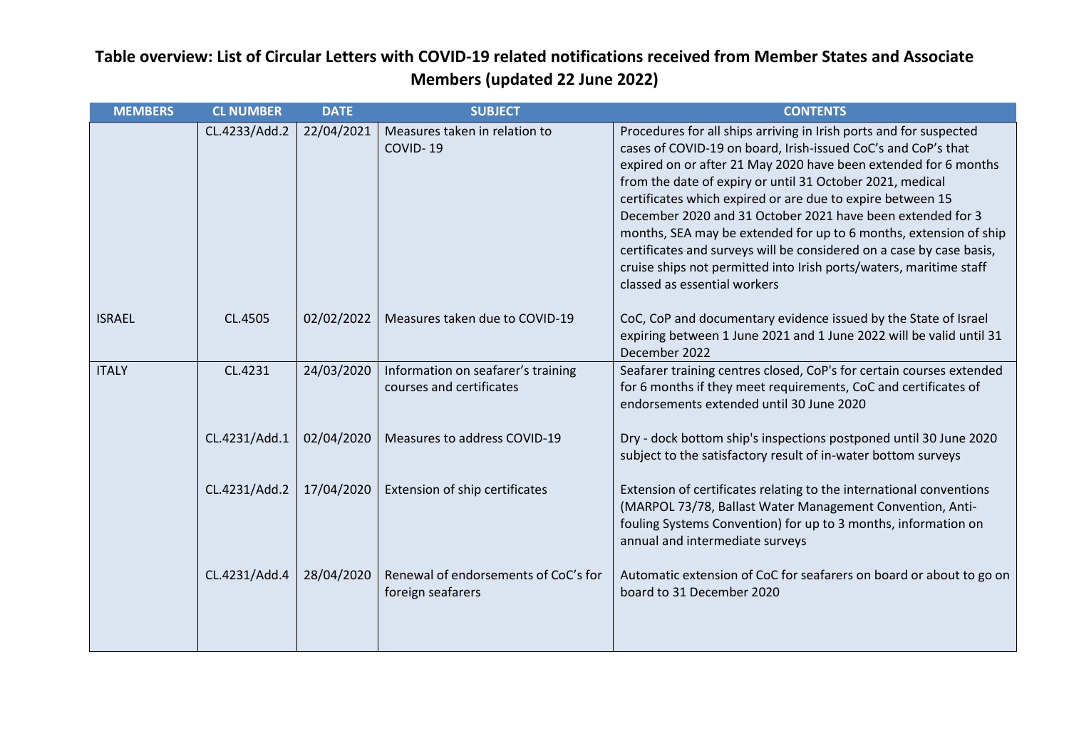| <b>MEMBERS</b> | <b>CL NUMBER</b> | <b>DATE</b> | <b>SUBJECT</b>                                                 | <b>CONTENTS</b>                                                                                                                                                                                                                                                                                                                                                                                                                                                                                                                                                                                                                                    |
|----------------|------------------|-------------|----------------------------------------------------------------|----------------------------------------------------------------------------------------------------------------------------------------------------------------------------------------------------------------------------------------------------------------------------------------------------------------------------------------------------------------------------------------------------------------------------------------------------------------------------------------------------------------------------------------------------------------------------------------------------------------------------------------------------|
|                | CL.4233/Add.2    | 22/04/2021  | Measures taken in relation to<br>COVID-19                      | Procedures for all ships arriving in Irish ports and for suspected<br>cases of COVID-19 on board, Irish-issued CoC's and CoP's that<br>expired on or after 21 May 2020 have been extended for 6 months<br>from the date of expiry or until 31 October 2021, medical<br>certificates which expired or are due to expire between 15<br>December 2020 and 31 October 2021 have been extended for 3<br>months, SEA may be extended for up to 6 months, extension of ship<br>certificates and surveys will be considered on a case by case basis,<br>cruise ships not permitted into Irish ports/waters, maritime staff<br>classed as essential workers |
| <b>ISRAEL</b>  | CL.4505          | 02/02/2022  | Measures taken due to COVID-19                                 | CoC, CoP and documentary evidence issued by the State of Israel<br>expiring between 1 June 2021 and 1 June 2022 will be valid until 31<br>December 2022                                                                                                                                                                                                                                                                                                                                                                                                                                                                                            |
| <b>ITALY</b>   | CL.4231          | 24/03/2020  | Information on seafarer's training<br>courses and certificates | Seafarer training centres closed, CoP's for certain courses extended<br>for 6 months if they meet requirements, CoC and certificates of<br>endorsements extended until 30 June 2020                                                                                                                                                                                                                                                                                                                                                                                                                                                                |
|                | CL.4231/Add.1    | 02/04/2020  | Measures to address COVID-19                                   | Dry - dock bottom ship's inspections postponed until 30 June 2020<br>subject to the satisfactory result of in-water bottom surveys                                                                                                                                                                                                                                                                                                                                                                                                                                                                                                                 |
|                | CL.4231/Add.2    | 17/04/2020  | Extension of ship certificates                                 | Extension of certificates relating to the international conventions<br>(MARPOL 73/78, Ballast Water Management Convention, Anti-<br>fouling Systems Convention) for up to 3 months, information on<br>annual and intermediate surveys                                                                                                                                                                                                                                                                                                                                                                                                              |
|                | CL.4231/Add.4    | 28/04/2020  | Renewal of endorsements of CoC's for<br>foreign seafarers      | Automatic extension of CoC for seafarers on board or about to go on<br>board to 31 December 2020                                                                                                                                                                                                                                                                                                                                                                                                                                                                                                                                                   |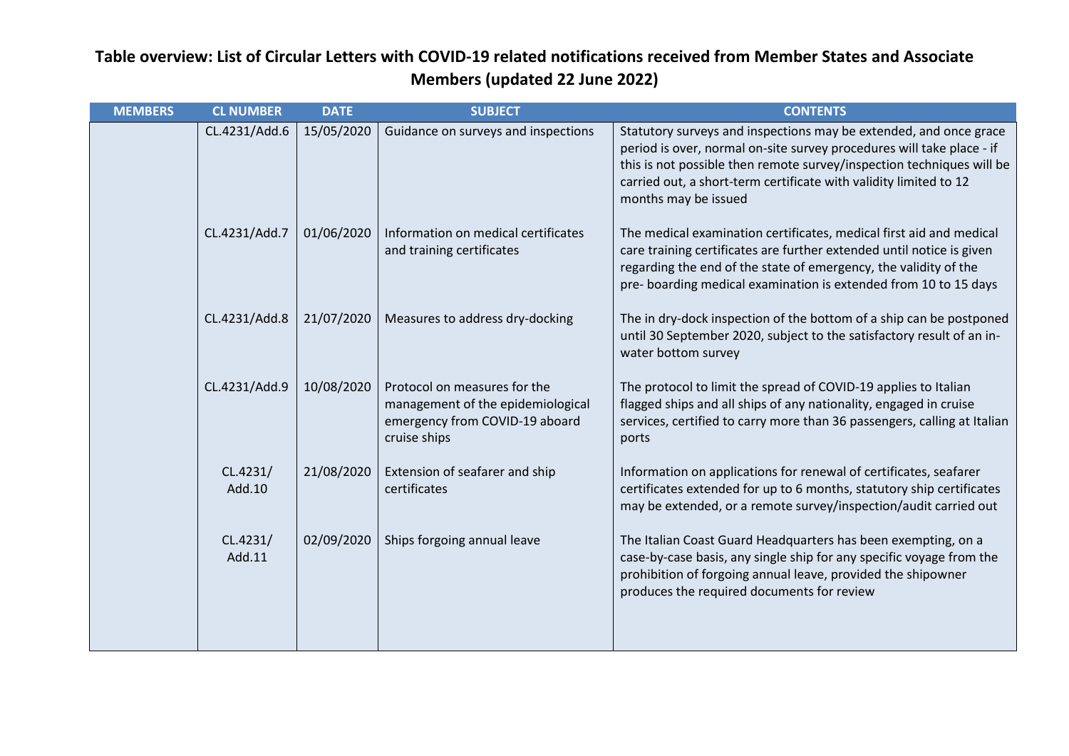| <b>MEMBERS</b> | <b>CL NUMBER</b>   | <b>DATE</b> | <b>SUBJECT</b>                                                                                                      | <b>CONTENTS</b>                                                                                                                                                                                                                                                                                                  |
|----------------|--------------------|-------------|---------------------------------------------------------------------------------------------------------------------|------------------------------------------------------------------------------------------------------------------------------------------------------------------------------------------------------------------------------------------------------------------------------------------------------------------|
|                | CL.4231/Add.6      | 15/05/2020  | Guidance on surveys and inspections                                                                                 | Statutory surveys and inspections may be extended, and once grace<br>period is over, normal on-site survey procedures will take place - if<br>this is not possible then remote survey/inspection techniques will be<br>carried out, a short-term certificate with validity limited to 12<br>months may be issued |
|                | CL.4231/Add.7      | 01/06/2020  | Information on medical certificates<br>and training certificates                                                    | The medical examination certificates, medical first aid and medical<br>care training certificates are further extended until notice is given<br>regarding the end of the state of emergency, the validity of the<br>pre- boarding medical examination is extended from 10 to 15 days                             |
|                | CL.4231/Add.8      | 21/07/2020  | Measures to address dry-docking                                                                                     | The in dry-dock inspection of the bottom of a ship can be postponed<br>until 30 September 2020, subject to the satisfactory result of an in-<br>water bottom survey                                                                                                                                              |
|                | CL.4231/Add.9      | 10/08/2020  | Protocol on measures for the<br>management of the epidemiological<br>emergency from COVID-19 aboard<br>cruise ships | The protocol to limit the spread of COVID-19 applies to Italian<br>flagged ships and all ships of any nationality, engaged in cruise<br>services, certified to carry more than 36 passengers, calling at Italian<br>ports                                                                                        |
|                | CL.4231/<br>Add.10 | 21/08/2020  | Extension of seafarer and ship<br>certificates                                                                      | Information on applications for renewal of certificates, seafarer<br>certificates extended for up to 6 months, statutory ship certificates<br>may be extended, or a remote survey/inspection/audit carried out                                                                                                   |
|                | CL.4231/<br>Add.11 | 02/09/2020  | Ships forgoing annual leave                                                                                         | The Italian Coast Guard Headquarters has been exempting, on a<br>case-by-case basis, any single ship for any specific voyage from the<br>prohibition of forgoing annual leave, provided the shipowner<br>produces the required documents for review                                                              |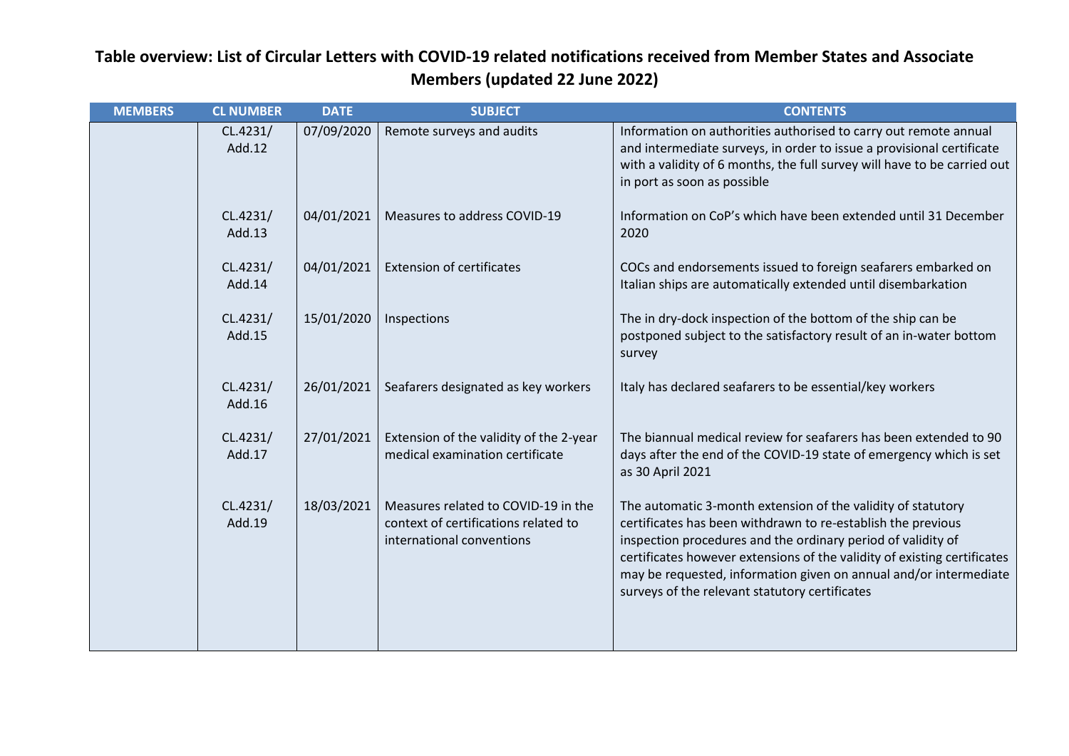| <b>MEMBERS</b> | <b>CL NUMBER</b>   | <b>DATE</b> | <b>SUBJECT</b>                                                                                           | <b>CONTENTS</b>                                                                                                                                                                                                                                                                                                                                                                                 |
|----------------|--------------------|-------------|----------------------------------------------------------------------------------------------------------|-------------------------------------------------------------------------------------------------------------------------------------------------------------------------------------------------------------------------------------------------------------------------------------------------------------------------------------------------------------------------------------------------|
|                | CL.4231/<br>Add.12 | 07/09/2020  | Remote surveys and audits                                                                                | Information on authorities authorised to carry out remote annual<br>and intermediate surveys, in order to issue a provisional certificate<br>with a validity of 6 months, the full survey will have to be carried out<br>in port as soon as possible                                                                                                                                            |
|                | CL.4231/<br>Add.13 | 04/01/2021  | Measures to address COVID-19                                                                             | Information on CoP's which have been extended until 31 December<br>2020                                                                                                                                                                                                                                                                                                                         |
|                | CL.4231/<br>Add.14 | 04/01/2021  | <b>Extension of certificates</b>                                                                         | COCs and endorsements issued to foreign seafarers embarked on<br>Italian ships are automatically extended until disembarkation                                                                                                                                                                                                                                                                  |
|                | CL.4231/<br>Add.15 | 15/01/2020  | Inspections                                                                                              | The in dry-dock inspection of the bottom of the ship can be<br>postponed subject to the satisfactory result of an in-water bottom<br>survey                                                                                                                                                                                                                                                     |
|                | CL.4231/<br>Add.16 | 26/01/2021  | Seafarers designated as key workers                                                                      | Italy has declared seafarers to be essential/key workers                                                                                                                                                                                                                                                                                                                                        |
|                | CL.4231/<br>Add.17 | 27/01/2021  | Extension of the validity of the 2-year<br>medical examination certificate                               | The biannual medical review for seafarers has been extended to 90<br>days after the end of the COVID-19 state of emergency which is set<br>as 30 April 2021                                                                                                                                                                                                                                     |
|                | CL.4231/<br>Add.19 | 18/03/2021  | Measures related to COVID-19 in the<br>context of certifications related to<br>international conventions | The automatic 3-month extension of the validity of statutory<br>certificates has been withdrawn to re-establish the previous<br>inspection procedures and the ordinary period of validity of<br>certificates however extensions of the validity of existing certificates<br>may be requested, information given on annual and/or intermediate<br>surveys of the relevant statutory certificates |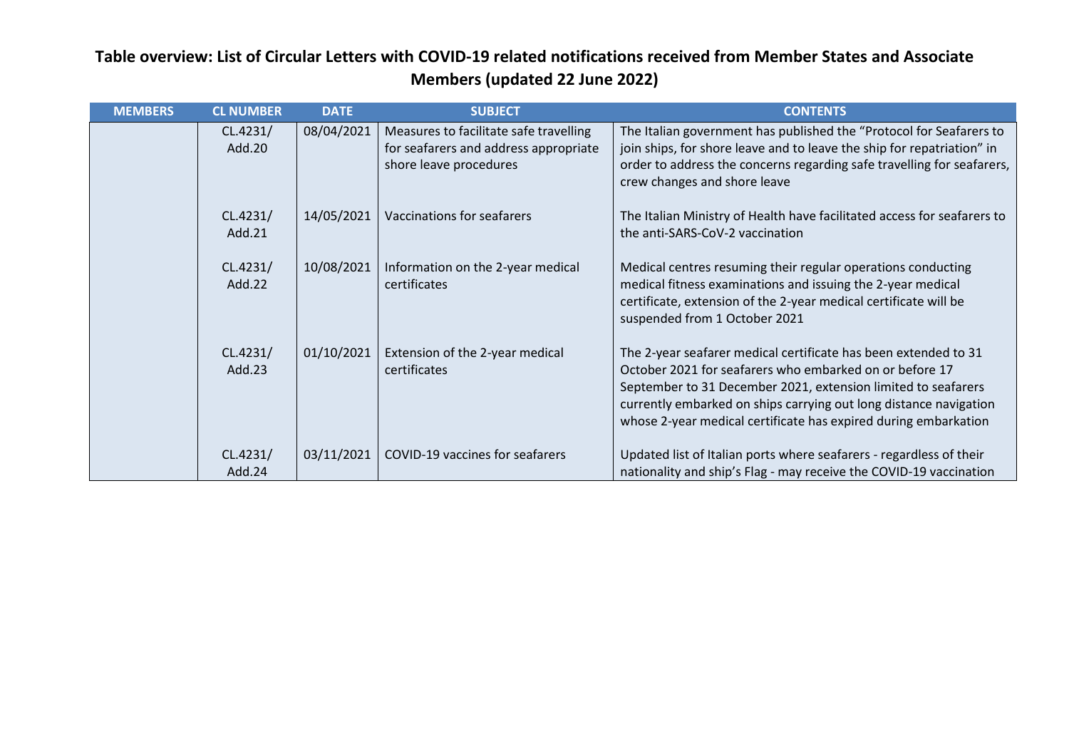| <b>MEMBERS</b> | <b>CL NUMBER</b>   | <b>DATE</b> | <b>SUBJECT</b>                                                                                            | <b>CONTENTS</b>                                                                                                                                                                                                                                                                                                                     |
|----------------|--------------------|-------------|-----------------------------------------------------------------------------------------------------------|-------------------------------------------------------------------------------------------------------------------------------------------------------------------------------------------------------------------------------------------------------------------------------------------------------------------------------------|
|                | CL.4231/<br>Add.20 | 08/04/2021  | Measures to facilitate safe travelling<br>for seafarers and address appropriate<br>shore leave procedures | The Italian government has published the "Protocol for Seafarers to<br>join ships, for shore leave and to leave the ship for repatriation" in<br>order to address the concerns regarding safe travelling for seafarers,<br>crew changes and shore leave                                                                             |
|                | CL.4231/<br>Add.21 | 14/05/2021  | Vaccinations for seafarers                                                                                | The Italian Ministry of Health have facilitated access for seafarers to<br>the anti-SARS-CoV-2 vaccination                                                                                                                                                                                                                          |
|                | CL.4231/<br>Add.22 | 10/08/2021  | Information on the 2-year medical<br>certificates                                                         | Medical centres resuming their regular operations conducting<br>medical fitness examinations and issuing the 2-year medical<br>certificate, extension of the 2-year medical certificate will be<br>suspended from 1 October 2021                                                                                                    |
|                | CL.4231/<br>Add.23 | 01/10/2021  | Extension of the 2-year medical<br>certificates                                                           | The 2-year seafarer medical certificate has been extended to 31<br>October 2021 for seafarers who embarked on or before 17<br>September to 31 December 2021, extension limited to seafarers<br>currently embarked on ships carrying out long distance navigation<br>whose 2-year medical certificate has expired during embarkation |
|                | CL.4231/<br>Add.24 | 03/11/2021  | COVID-19 vaccines for seafarers                                                                           | Updated list of Italian ports where seafarers - regardless of their<br>nationality and ship's Flag - may receive the COVID-19 vaccination                                                                                                                                                                                           |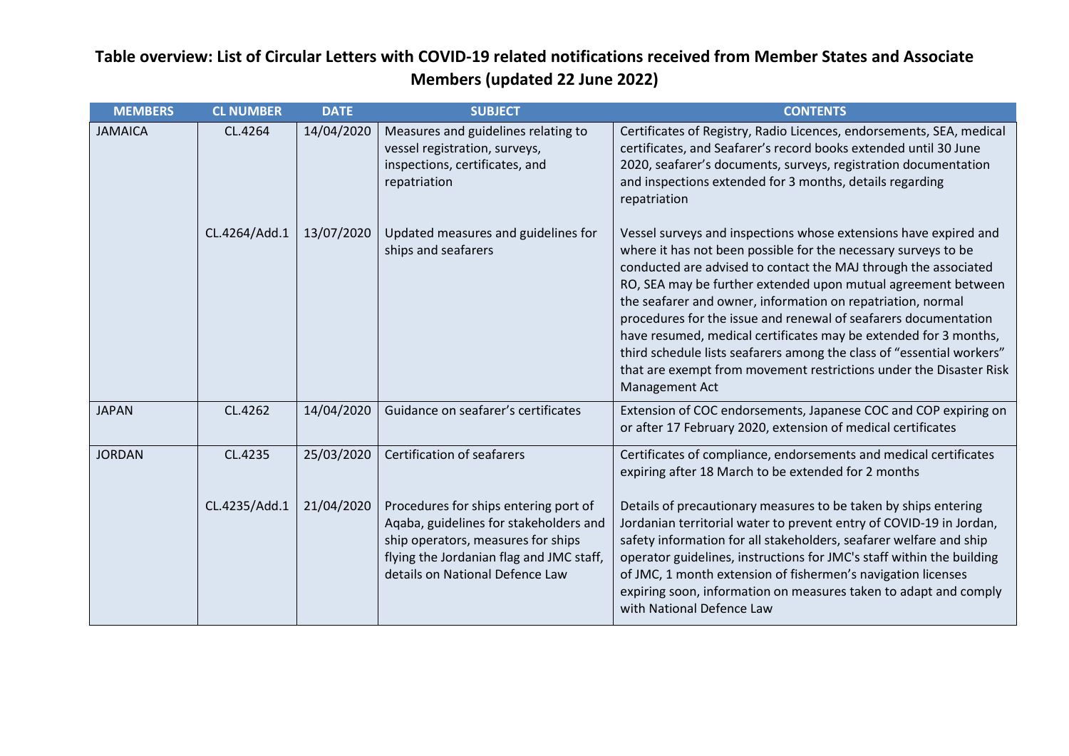| <b>MEMBERS</b> | <b>CL NUMBER</b> | <b>DATE</b> | <b>SUBJECT</b>                                                                                                                                                                                       | <b>CONTENTS</b>                                                                                                                                                                                                                                                                                                                                                                                                                                                                                                                                                                                                                               |
|----------------|------------------|-------------|------------------------------------------------------------------------------------------------------------------------------------------------------------------------------------------------------|-----------------------------------------------------------------------------------------------------------------------------------------------------------------------------------------------------------------------------------------------------------------------------------------------------------------------------------------------------------------------------------------------------------------------------------------------------------------------------------------------------------------------------------------------------------------------------------------------------------------------------------------------|
| <b>JAMAICA</b> | CL.4264          | 14/04/2020  | Measures and guidelines relating to<br>vessel registration, surveys,<br>inspections, certificates, and<br>repatriation                                                                               | Certificates of Registry, Radio Licences, endorsements, SEA, medical<br>certificates, and Seafarer's record books extended until 30 June<br>2020, seafarer's documents, surveys, registration documentation<br>and inspections extended for 3 months, details regarding<br>repatriation                                                                                                                                                                                                                                                                                                                                                       |
|                | CL.4264/Add.1    | 13/07/2020  | Updated measures and guidelines for<br>ships and seafarers                                                                                                                                           | Vessel surveys and inspections whose extensions have expired and<br>where it has not been possible for the necessary surveys to be<br>conducted are advised to contact the MAJ through the associated<br>RO, SEA may be further extended upon mutual agreement between<br>the seafarer and owner, information on repatriation, normal<br>procedures for the issue and renewal of seafarers documentation<br>have resumed, medical certificates may be extended for 3 months,<br>third schedule lists seafarers among the class of "essential workers"<br>that are exempt from movement restrictions under the Disaster Risk<br>Management Act |
| <b>JAPAN</b>   | CL.4262          | 14/04/2020  | Guidance on seafarer's certificates                                                                                                                                                                  | Extension of COC endorsements, Japanese COC and COP expiring on<br>or after 17 February 2020, extension of medical certificates                                                                                                                                                                                                                                                                                                                                                                                                                                                                                                               |
| <b>JORDAN</b>  | CL.4235          | 25/03/2020  | <b>Certification of seafarers</b>                                                                                                                                                                    | Certificates of compliance, endorsements and medical certificates<br>expiring after 18 March to be extended for 2 months                                                                                                                                                                                                                                                                                                                                                                                                                                                                                                                      |
|                | CL.4235/Add.1    | 21/04/2020  | Procedures for ships entering port of<br>Aqaba, guidelines for stakeholders and<br>ship operators, measures for ships<br>flying the Jordanian flag and JMC staff,<br>details on National Defence Law | Details of precautionary measures to be taken by ships entering<br>Jordanian territorial water to prevent entry of COVID-19 in Jordan,<br>safety information for all stakeholders, seafarer welfare and ship<br>operator guidelines, instructions for JMC's staff within the building<br>of JMC, 1 month extension of fishermen's navigation licenses<br>expiring soon, information on measures taken to adapt and comply<br>with National Defence Law                                                                                                                                                                                        |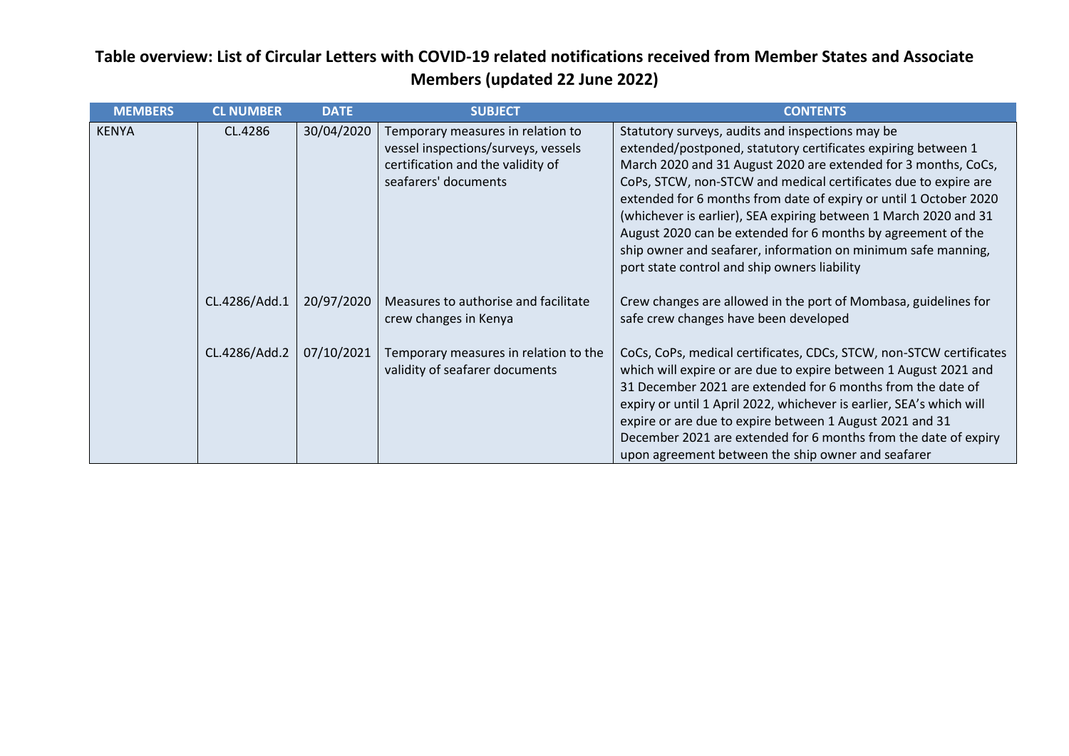| <b>MEMBERS</b> | <b>CL NUMBER</b> | <b>DATE</b> | <b>SUBJECT</b>                                                                                                                        | <b>CONTENTS</b>                                                                                                                                                                                                                                                                                                                                                                                                                                                                                                                                                                  |
|----------------|------------------|-------------|---------------------------------------------------------------------------------------------------------------------------------------|----------------------------------------------------------------------------------------------------------------------------------------------------------------------------------------------------------------------------------------------------------------------------------------------------------------------------------------------------------------------------------------------------------------------------------------------------------------------------------------------------------------------------------------------------------------------------------|
| <b>KENYA</b>   | CL.4286          | 30/04/2020  | Temporary measures in relation to<br>vessel inspections/surveys, vessels<br>certification and the validity of<br>seafarers' documents | Statutory surveys, audits and inspections may be<br>extended/postponed, statutory certificates expiring between 1<br>March 2020 and 31 August 2020 are extended for 3 months, CoCs,<br>CoPs, STCW, non-STCW and medical certificates due to expire are<br>extended for 6 months from date of expiry or until 1 October 2020<br>(whichever is earlier), SEA expiring between 1 March 2020 and 31<br>August 2020 can be extended for 6 months by agreement of the<br>ship owner and seafarer, information on minimum safe manning,<br>port state control and ship owners liability |
|                | CL.4286/Add.1    | 20/97/2020  | Measures to authorise and facilitate<br>crew changes in Kenya                                                                         | Crew changes are allowed in the port of Mombasa, guidelines for<br>safe crew changes have been developed                                                                                                                                                                                                                                                                                                                                                                                                                                                                         |
|                | CL.4286/Add.2    | 07/10/2021  | Temporary measures in relation to the<br>validity of seafarer documents                                                               | CoCs, CoPs, medical certificates, CDCs, STCW, non-STCW certificates<br>which will expire or are due to expire between 1 August 2021 and<br>31 December 2021 are extended for 6 months from the date of<br>expiry or until 1 April 2022, whichever is earlier, SEA's which will<br>expire or are due to expire between 1 August 2021 and 31<br>December 2021 are extended for 6 months from the date of expiry<br>upon agreement between the ship owner and seafarer                                                                                                              |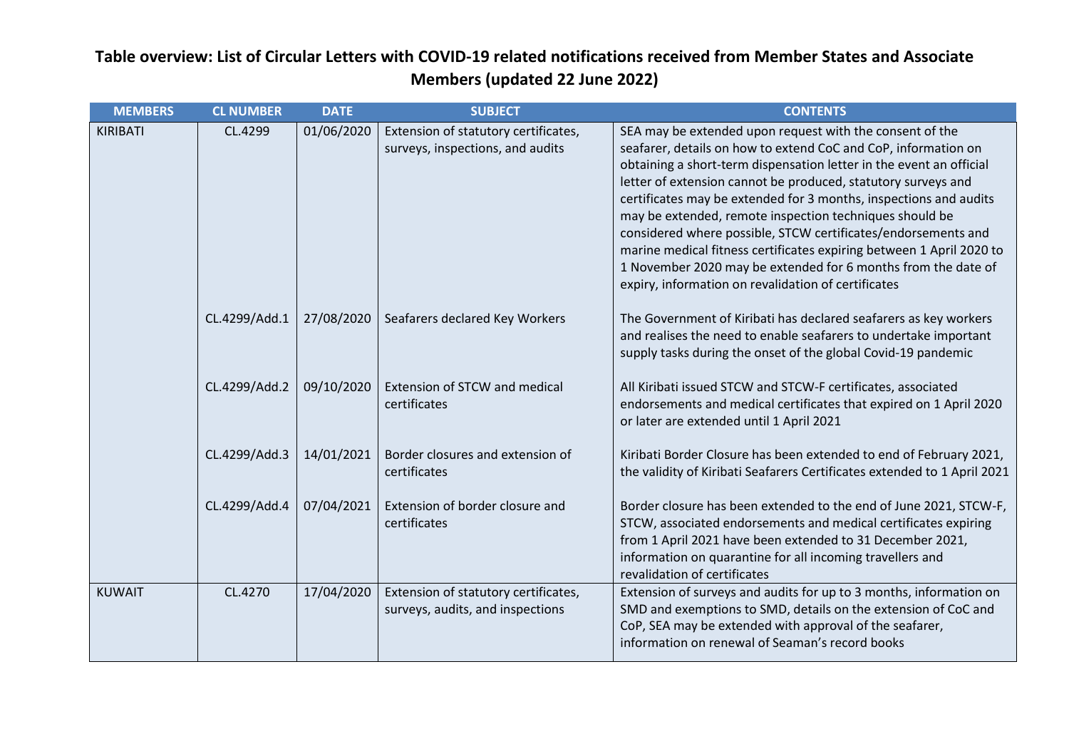| <b>MEMBERS</b> | <b>CL NUMBER</b> | <b>DATE</b> | <b>SUBJECT</b>                                                           | <b>CONTENTS</b>                                                                                                                                                                                                                                                                                                                                                                                                                                                                                                                                                                                                                                                     |
|----------------|------------------|-------------|--------------------------------------------------------------------------|---------------------------------------------------------------------------------------------------------------------------------------------------------------------------------------------------------------------------------------------------------------------------------------------------------------------------------------------------------------------------------------------------------------------------------------------------------------------------------------------------------------------------------------------------------------------------------------------------------------------------------------------------------------------|
| KIRIBATI       | CL.4299          | 01/06/2020  | Extension of statutory certificates,<br>surveys, inspections, and audits | SEA may be extended upon request with the consent of the<br>seafarer, details on how to extend CoC and CoP, information on<br>obtaining a short-term dispensation letter in the event an official<br>letter of extension cannot be produced, statutory surveys and<br>certificates may be extended for 3 months, inspections and audits<br>may be extended, remote inspection techniques should be<br>considered where possible, STCW certificates/endorsements and<br>marine medical fitness certificates expiring between 1 April 2020 to<br>1 November 2020 may be extended for 6 months from the date of<br>expiry, information on revalidation of certificates |
|                | CL.4299/Add.1    | 27/08/2020  | Seafarers declared Key Workers                                           | The Government of Kiribati has declared seafarers as key workers<br>and realises the need to enable seafarers to undertake important<br>supply tasks during the onset of the global Covid-19 pandemic                                                                                                                                                                                                                                                                                                                                                                                                                                                               |
|                | CL.4299/Add.2    | 09/10/2020  | Extension of STCW and medical<br>certificates                            | All Kiribati issued STCW and STCW-F certificates, associated<br>endorsements and medical certificates that expired on 1 April 2020<br>or later are extended until 1 April 2021                                                                                                                                                                                                                                                                                                                                                                                                                                                                                      |
|                | CL.4299/Add.3    | 14/01/2021  | Border closures and extension of<br>certificates                         | Kiribati Border Closure has been extended to end of February 2021,<br>the validity of Kiribati Seafarers Certificates extended to 1 April 2021                                                                                                                                                                                                                                                                                                                                                                                                                                                                                                                      |
|                | CL.4299/Add.4    | 07/04/2021  | Extension of border closure and<br>certificates                          | Border closure has been extended to the end of June 2021, STCW-F,<br>STCW, associated endorsements and medical certificates expiring<br>from 1 April 2021 have been extended to 31 December 2021,<br>information on quarantine for all incoming travellers and<br>revalidation of certificates                                                                                                                                                                                                                                                                                                                                                                      |
| <b>KUWAIT</b>  | CL.4270          | 17/04/2020  | Extension of statutory certificates,<br>surveys, audits, and inspections | Extension of surveys and audits for up to 3 months, information on<br>SMD and exemptions to SMD, details on the extension of CoC and<br>CoP, SEA may be extended with approval of the seafarer,<br>information on renewal of Seaman's record books                                                                                                                                                                                                                                                                                                                                                                                                                  |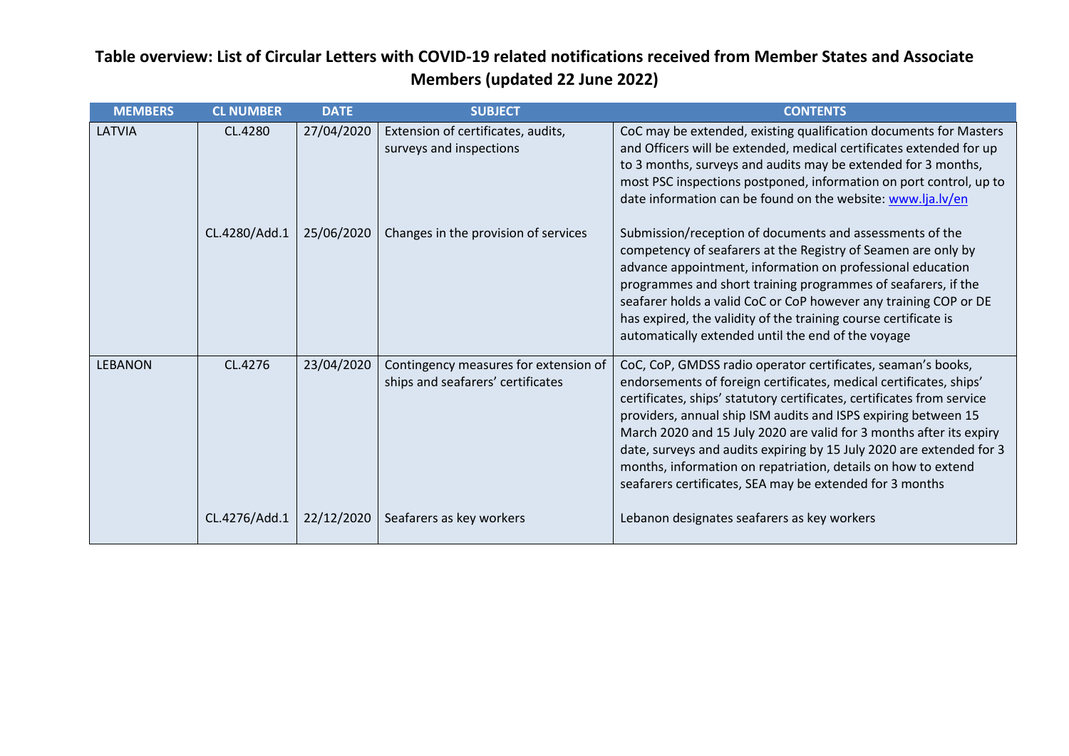| <b>MEMBERS</b> | <b>CL NUMBER</b> | <b>DATE</b> | <b>SUBJECT</b>                                                             | <b>CONTENTS</b>                                                                                                                                                                                                                                                                                                                                                                                                                                                                                                                                            |
|----------------|------------------|-------------|----------------------------------------------------------------------------|------------------------------------------------------------------------------------------------------------------------------------------------------------------------------------------------------------------------------------------------------------------------------------------------------------------------------------------------------------------------------------------------------------------------------------------------------------------------------------------------------------------------------------------------------------|
| LATVIA         | CL.4280          | 27/04/2020  | Extension of certificates, audits,<br>surveys and inspections              | CoC may be extended, existing qualification documents for Masters<br>and Officers will be extended, medical certificates extended for up<br>to 3 months, surveys and audits may be extended for 3 months,<br>most PSC inspections postponed, information on port control, up to<br>date information can be found on the website: www.lja.lv/en                                                                                                                                                                                                             |
|                | CL.4280/Add.1    | 25/06/2020  | Changes in the provision of services                                       | Submission/reception of documents and assessments of the<br>competency of seafarers at the Registry of Seamen are only by<br>advance appointment, information on professional education<br>programmes and short training programmes of seafarers, if the<br>seafarer holds a valid CoC or CoP however any training COP or DE<br>has expired, the validity of the training course certificate is<br>automatically extended until the end of the voyage                                                                                                      |
| <b>LEBANON</b> | CL.4276          | 23/04/2020  | Contingency measures for extension of<br>ships and seafarers' certificates | CoC, CoP, GMDSS radio operator certificates, seaman's books,<br>endorsements of foreign certificates, medical certificates, ships'<br>certificates, ships' statutory certificates, certificates from service<br>providers, annual ship ISM audits and ISPS expiring between 15<br>March 2020 and 15 July 2020 are valid for 3 months after its expiry<br>date, surveys and audits expiring by 15 July 2020 are extended for 3<br>months, information on repatriation, details on how to extend<br>seafarers certificates, SEA may be extended for 3 months |
|                | CL.4276/Add.1    | 22/12/2020  | Seafarers as key workers                                                   | Lebanon designates seafarers as key workers                                                                                                                                                                                                                                                                                                                                                                                                                                                                                                                |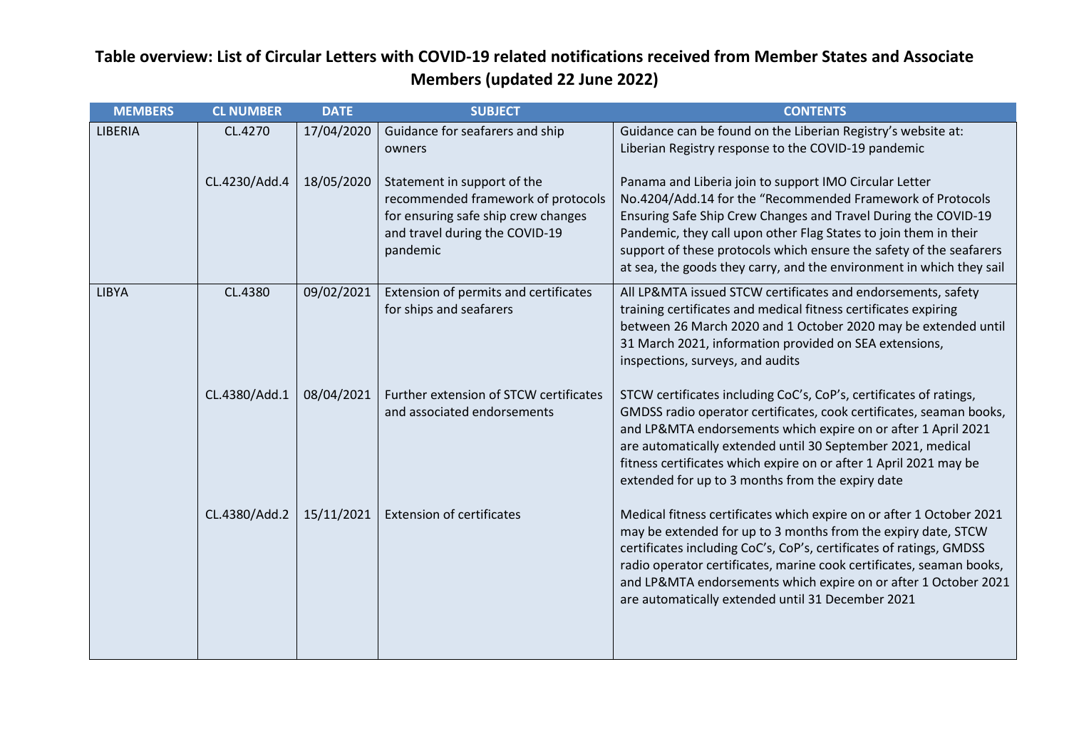| <b>MEMBERS</b> | <b>CL NUMBER</b> | <b>DATE</b> | <b>SUBJECT</b>                                                                                                                                         | <b>CONTENTS</b>                                                                                                                                                                                                                                                                                                                                                                                              |
|----------------|------------------|-------------|--------------------------------------------------------------------------------------------------------------------------------------------------------|--------------------------------------------------------------------------------------------------------------------------------------------------------------------------------------------------------------------------------------------------------------------------------------------------------------------------------------------------------------------------------------------------------------|
| LIBERIA        | CL.4270          | 17/04/2020  | Guidance for seafarers and ship<br>owners                                                                                                              | Guidance can be found on the Liberian Registry's website at:<br>Liberian Registry response to the COVID-19 pandemic                                                                                                                                                                                                                                                                                          |
|                | CL.4230/Add.4    | 18/05/2020  | Statement in support of the<br>recommended framework of protocols<br>for ensuring safe ship crew changes<br>and travel during the COVID-19<br>pandemic | Panama and Liberia join to support IMO Circular Letter<br>No.4204/Add.14 for the "Recommended Framework of Protocols<br>Ensuring Safe Ship Crew Changes and Travel During the COVID-19<br>Pandemic, they call upon other Flag States to join them in their<br>support of these protocols which ensure the safety of the seafarers<br>at sea, the goods they carry, and the environment in which they sail    |
| <b>LIBYA</b>   | CL.4380          | 09/02/2021  | Extension of permits and certificates<br>for ships and seafarers                                                                                       | All LP&MTA issued STCW certificates and endorsements, safety<br>training certificates and medical fitness certificates expiring<br>between 26 March 2020 and 1 October 2020 may be extended until<br>31 March 2021, information provided on SEA extensions,<br>inspections, surveys, and audits                                                                                                              |
|                | CL.4380/Add.1    | 08/04/2021  | Further extension of STCW certificates<br>and associated endorsements                                                                                  | STCW certificates including CoC's, CoP's, certificates of ratings,<br>GMDSS radio operator certificates, cook certificates, seaman books,<br>and LP&MTA endorsements which expire on or after 1 April 2021<br>are automatically extended until 30 September 2021, medical<br>fitness certificates which expire on or after 1 April 2021 may be<br>extended for up to 3 months from the expiry date           |
|                | CL.4380/Add.2    | 15/11/2021  | <b>Extension of certificates</b>                                                                                                                       | Medical fitness certificates which expire on or after 1 October 2021<br>may be extended for up to 3 months from the expiry date, STCW<br>certificates including CoC's, CoP's, certificates of ratings, GMDSS<br>radio operator certificates, marine cook certificates, seaman books,<br>and LP&MTA endorsements which expire on or after 1 October 2021<br>are automatically extended until 31 December 2021 |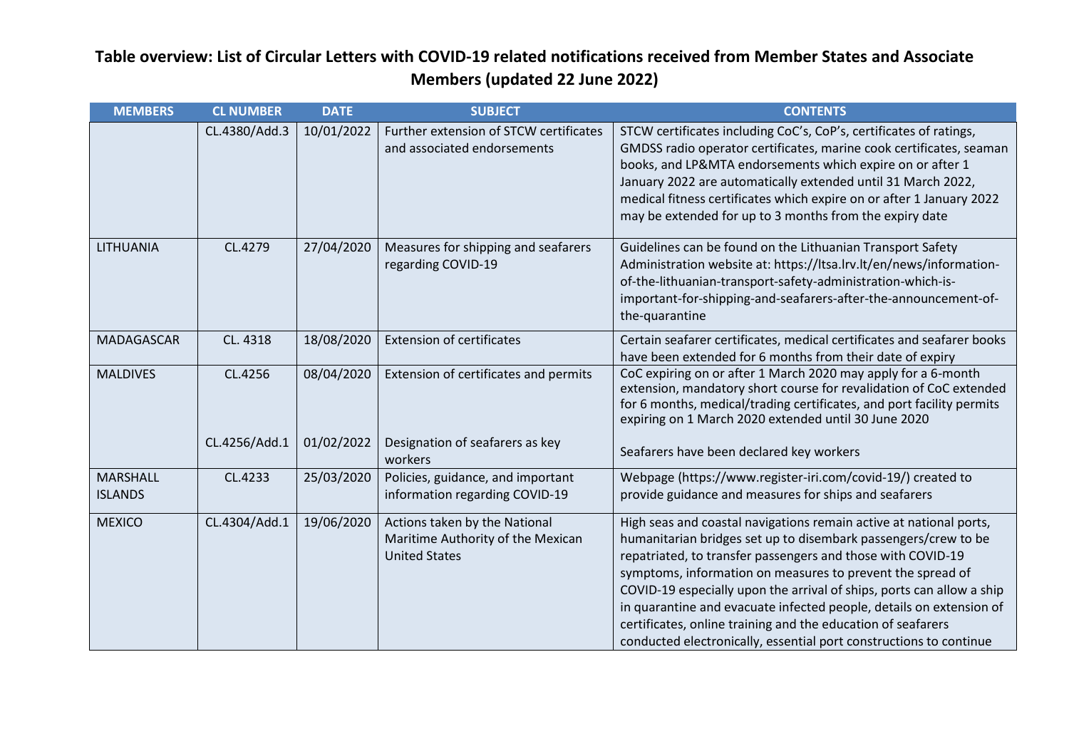| <b>MEMBERS</b>                    | <b>CL NUMBER</b> | <b>DATE</b> | <b>SUBJECT</b>                                                                             | <b>CONTENTS</b>                                                                                                                                                                                                                                                                                                                                                                                                                                                                                                                                         |
|-----------------------------------|------------------|-------------|--------------------------------------------------------------------------------------------|---------------------------------------------------------------------------------------------------------------------------------------------------------------------------------------------------------------------------------------------------------------------------------------------------------------------------------------------------------------------------------------------------------------------------------------------------------------------------------------------------------------------------------------------------------|
|                                   | CL.4380/Add.3    | 10/01/2022  | Further extension of STCW certificates<br>and associated endorsements                      | STCW certificates including CoC's, CoP's, certificates of ratings,<br>GMDSS radio operator certificates, marine cook certificates, seaman<br>books, and LP&MTA endorsements which expire on or after 1<br>January 2022 are automatically extended until 31 March 2022,<br>medical fitness certificates which expire on or after 1 January 2022<br>may be extended for up to 3 months from the expiry date                                                                                                                                               |
| LITHUANIA                         | CL.4279          | 27/04/2020  | Measures for shipping and seafarers<br>regarding COVID-19                                  | Guidelines can be found on the Lithuanian Transport Safety<br>Administration website at: https://ltsa.lrv.lt/en/news/information-<br>of-the-lithuanian-transport-safety-administration-which-is-<br>important-for-shipping-and-seafarers-after-the-announcement-of-<br>the-quarantine                                                                                                                                                                                                                                                                   |
| MADAGASCAR                        | CL. 4318         | 18/08/2020  | <b>Extension of certificates</b>                                                           | Certain seafarer certificates, medical certificates and seafarer books<br>have been extended for 6 months from their date of expiry                                                                                                                                                                                                                                                                                                                                                                                                                     |
| <b>MALDIVES</b>                   | CL.4256          | 08/04/2020  | Extension of certificates and permits                                                      | CoC expiring on or after 1 March 2020 may apply for a 6-month<br>extension, mandatory short course for revalidation of CoC extended<br>for 6 months, medical/trading certificates, and port facility permits<br>expiring on 1 March 2020 extended until 30 June 2020                                                                                                                                                                                                                                                                                    |
|                                   | CL.4256/Add.1    | 01/02/2022  | Designation of seafarers as key<br>workers                                                 | Seafarers have been declared key workers                                                                                                                                                                                                                                                                                                                                                                                                                                                                                                                |
| <b>MARSHALL</b><br><b>ISLANDS</b> | CL.4233          | 25/03/2020  | Policies, guidance, and important<br>information regarding COVID-19                        | Webpage (https://www.register-iri.com/covid-19/) created to<br>provide guidance and measures for ships and seafarers                                                                                                                                                                                                                                                                                                                                                                                                                                    |
| <b>MEXICO</b>                     | CL.4304/Add.1    | 19/06/2020  | Actions taken by the National<br>Maritime Authority of the Mexican<br><b>United States</b> | High seas and coastal navigations remain active at national ports,<br>humanitarian bridges set up to disembark passengers/crew to be<br>repatriated, to transfer passengers and those with COVID-19<br>symptoms, information on measures to prevent the spread of<br>COVID-19 especially upon the arrival of ships, ports can allow a ship<br>in quarantine and evacuate infected people, details on extension of<br>certificates, online training and the education of seafarers<br>conducted electronically, essential port constructions to continue |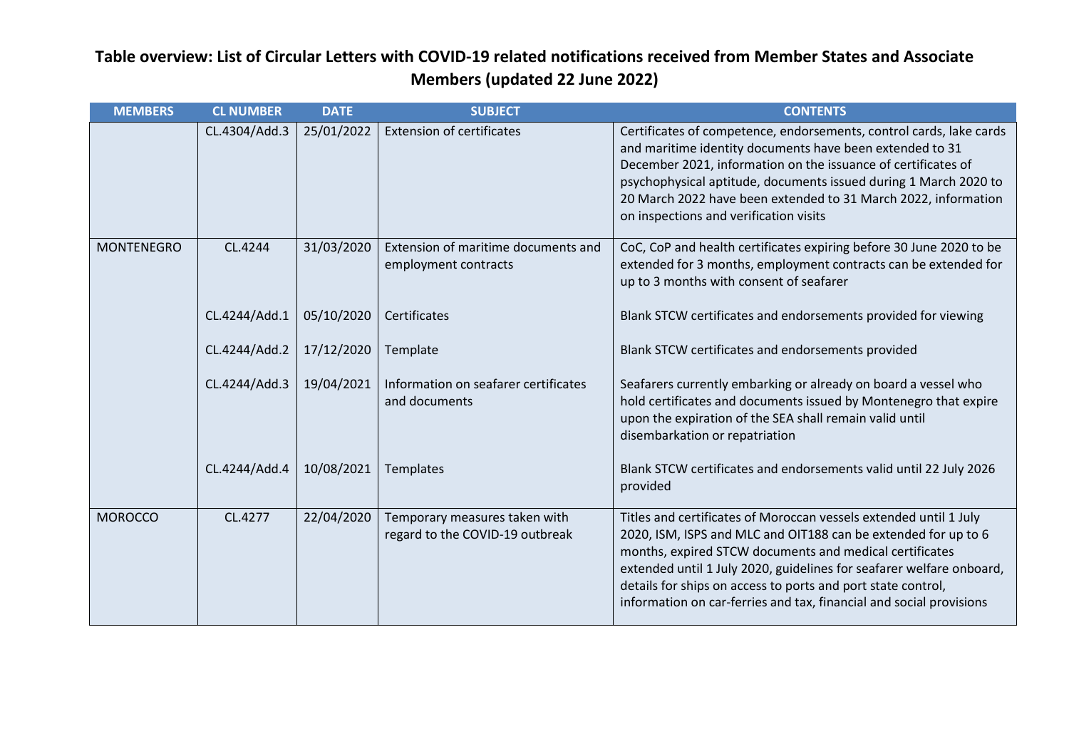| <b>MEMBERS</b>    | <b>CL NUMBER</b> | <b>DATE</b> | <b>SUBJECT</b>                                                   | <b>CONTENTS</b>                                                                                                                                                                                                                                                                                                                                                                                               |
|-------------------|------------------|-------------|------------------------------------------------------------------|---------------------------------------------------------------------------------------------------------------------------------------------------------------------------------------------------------------------------------------------------------------------------------------------------------------------------------------------------------------------------------------------------------------|
|                   | CL.4304/Add.3    | 25/01/2022  | <b>Extension of certificates</b>                                 | Certificates of competence, endorsements, control cards, lake cards<br>and maritime identity documents have been extended to 31<br>December 2021, information on the issuance of certificates of<br>psychophysical aptitude, documents issued during 1 March 2020 to<br>20 March 2022 have been extended to 31 March 2022, information<br>on inspections and verification visits                              |
| <b>MONTENEGRO</b> | CL.4244          | 31/03/2020  | Extension of maritime documents and<br>employment contracts      | CoC, CoP and health certificates expiring before 30 June 2020 to be<br>extended for 3 months, employment contracts can be extended for<br>up to 3 months with consent of seafarer                                                                                                                                                                                                                             |
|                   | CL.4244/Add.1    | 05/10/2020  | Certificates                                                     | Blank STCW certificates and endorsements provided for viewing                                                                                                                                                                                                                                                                                                                                                 |
|                   | CL.4244/Add.2    | 17/12/2020  | Template                                                         | Blank STCW certificates and endorsements provided                                                                                                                                                                                                                                                                                                                                                             |
|                   | CL.4244/Add.3    | 19/04/2021  | Information on seafarer certificates<br>and documents            | Seafarers currently embarking or already on board a vessel who<br>hold certificates and documents issued by Montenegro that expire<br>upon the expiration of the SEA shall remain valid until<br>disembarkation or repatriation                                                                                                                                                                               |
|                   | CL.4244/Add.4    | 10/08/2021  | Templates                                                        | Blank STCW certificates and endorsements valid until 22 July 2026<br>provided                                                                                                                                                                                                                                                                                                                                 |
| <b>MOROCCO</b>    | CL.4277          | 22/04/2020  | Temporary measures taken with<br>regard to the COVID-19 outbreak | Titles and certificates of Moroccan vessels extended until 1 July<br>2020, ISM, ISPS and MLC and OIT188 can be extended for up to 6<br>months, expired STCW documents and medical certificates<br>extended until 1 July 2020, guidelines for seafarer welfare onboard,<br>details for ships on access to ports and port state control,<br>information on car-ferries and tax, financial and social provisions |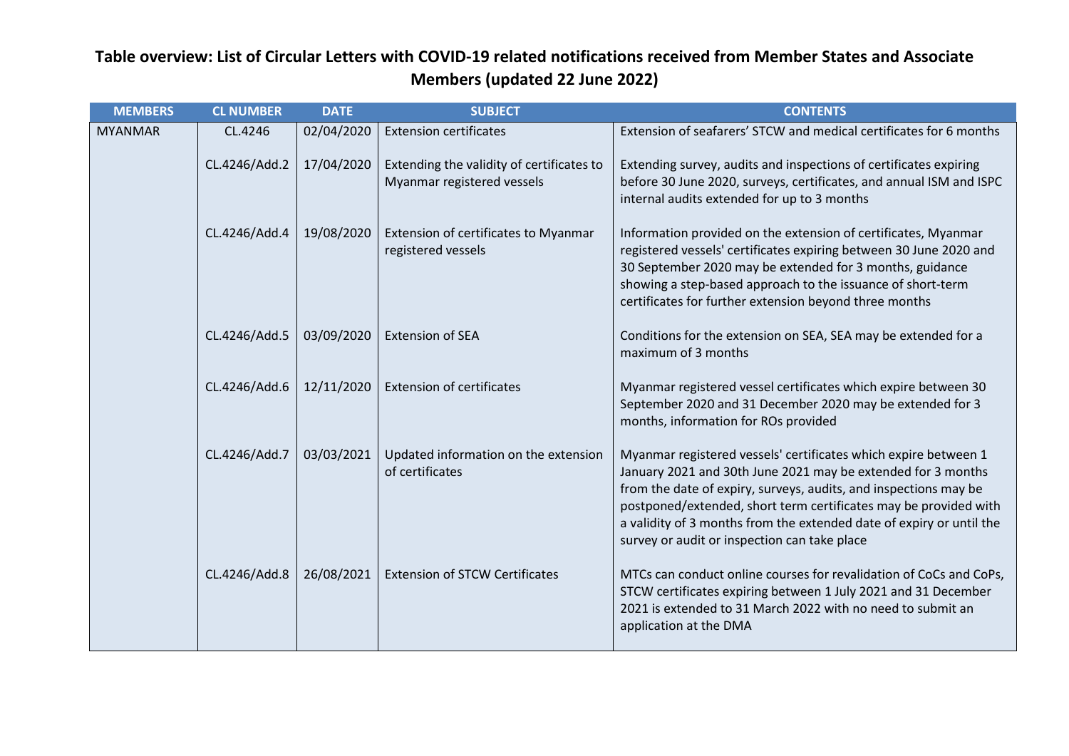| <b>MEMBERS</b> | <b>CL NUMBER</b> | <b>DATE</b> | <b>SUBJECT</b>                                                          | <b>CONTENTS</b>                                                                                                                                                                                                                                                                                                                                                                                 |
|----------------|------------------|-------------|-------------------------------------------------------------------------|-------------------------------------------------------------------------------------------------------------------------------------------------------------------------------------------------------------------------------------------------------------------------------------------------------------------------------------------------------------------------------------------------|
| <b>MYANMAR</b> | CL.4246          | 02/04/2020  | <b>Extension certificates</b>                                           | Extension of seafarers' STCW and medical certificates for 6 months                                                                                                                                                                                                                                                                                                                              |
|                | CL.4246/Add.2    | 17/04/2020  | Extending the validity of certificates to<br>Myanmar registered vessels | Extending survey, audits and inspections of certificates expiring<br>before 30 June 2020, surveys, certificates, and annual ISM and ISPC<br>internal audits extended for up to 3 months                                                                                                                                                                                                         |
|                | CL.4246/Add.4    | 19/08/2020  | Extension of certificates to Myanmar<br>registered vessels              | Information provided on the extension of certificates, Myanmar<br>registered vessels' certificates expiring between 30 June 2020 and<br>30 September 2020 may be extended for 3 months, guidance<br>showing a step-based approach to the issuance of short-term<br>certificates for further extension beyond three months                                                                       |
|                | CL.4246/Add.5    | 03/09/2020  | <b>Extension of SEA</b>                                                 | Conditions for the extension on SEA, SEA may be extended for a<br>maximum of 3 months                                                                                                                                                                                                                                                                                                           |
|                | CL.4246/Add.6    | 12/11/2020  | <b>Extension of certificates</b>                                        | Myanmar registered vessel certificates which expire between 30<br>September 2020 and 31 December 2020 may be extended for 3<br>months, information for ROs provided                                                                                                                                                                                                                             |
|                | CL.4246/Add.7    | 03/03/2021  | Updated information on the extension<br>of certificates                 | Myanmar registered vessels' certificates which expire between 1<br>January 2021 and 30th June 2021 may be extended for 3 months<br>from the date of expiry, surveys, audits, and inspections may be<br>postponed/extended, short term certificates may be provided with<br>a validity of 3 months from the extended date of expiry or until the<br>survey or audit or inspection can take place |
|                | CL.4246/Add.8    | 26/08/2021  | <b>Extension of STCW Certificates</b>                                   | MTCs can conduct online courses for revalidation of CoCs and CoPs,<br>STCW certificates expiring between 1 July 2021 and 31 December<br>2021 is extended to 31 March 2022 with no need to submit an<br>application at the DMA                                                                                                                                                                   |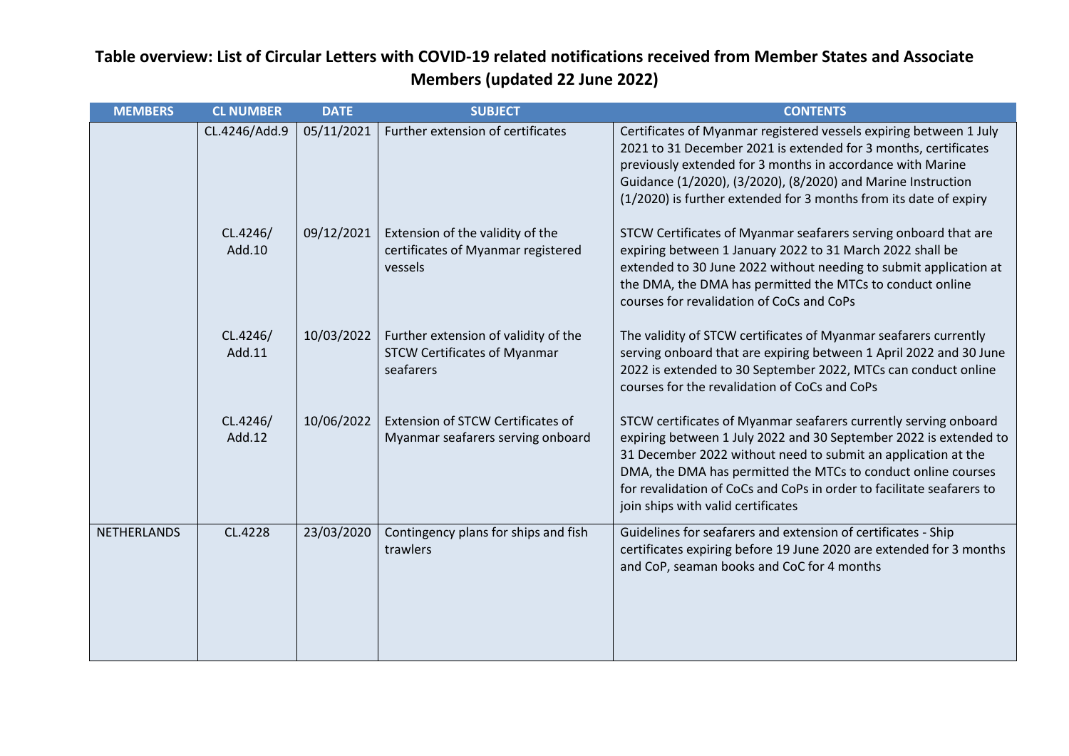| <b>MEMBERS</b> | <b>CL NUMBER</b>   | <b>DATE</b> | <b>SUBJECT</b>                                                                           | <b>CONTENTS</b>                                                                                                                                                                                                                                                                                                                                                                        |
|----------------|--------------------|-------------|------------------------------------------------------------------------------------------|----------------------------------------------------------------------------------------------------------------------------------------------------------------------------------------------------------------------------------------------------------------------------------------------------------------------------------------------------------------------------------------|
|                | CL.4246/Add.9      | 05/11/2021  | Further extension of certificates                                                        | Certificates of Myanmar registered vessels expiring between 1 July<br>2021 to 31 December 2021 is extended for 3 months, certificates<br>previously extended for 3 months in accordance with Marine<br>Guidance (1/2020), (3/2020), (8/2020) and Marine Instruction<br>(1/2020) is further extended for 3 months from its date of expiry                                               |
|                | CL.4246/<br>Add.10 | 09/12/2021  | Extension of the validity of the<br>certificates of Myanmar registered<br>vessels        | STCW Certificates of Myanmar seafarers serving onboard that are<br>expiring between 1 January 2022 to 31 March 2022 shall be<br>extended to 30 June 2022 without needing to submit application at<br>the DMA, the DMA has permitted the MTCs to conduct online<br>courses for revalidation of CoCs and CoPs                                                                            |
|                | CL.4246/<br>Add.11 | 10/03/2022  | Further extension of validity of the<br><b>STCW Certificates of Myanmar</b><br>seafarers | The validity of STCW certificates of Myanmar seafarers currently<br>serving onboard that are expiring between 1 April 2022 and 30 June<br>2022 is extended to 30 September 2022, MTCs can conduct online<br>courses for the revalidation of CoCs and CoPs                                                                                                                              |
|                | CL.4246/<br>Add.12 | 10/06/2022  | Extension of STCW Certificates of<br>Myanmar seafarers serving onboard                   | STCW certificates of Myanmar seafarers currently serving onboard<br>expiring between 1 July 2022 and 30 September 2022 is extended to<br>31 December 2022 without need to submit an application at the<br>DMA, the DMA has permitted the MTCs to conduct online courses<br>for revalidation of CoCs and CoPs in order to facilitate seafarers to<br>join ships with valid certificates |
| NETHERLANDS    | CL.4228            | 23/03/2020  | Contingency plans for ships and fish<br>trawlers                                         | Guidelines for seafarers and extension of certificates - Ship<br>certificates expiring before 19 June 2020 are extended for 3 months<br>and CoP, seaman books and CoC for 4 months                                                                                                                                                                                                     |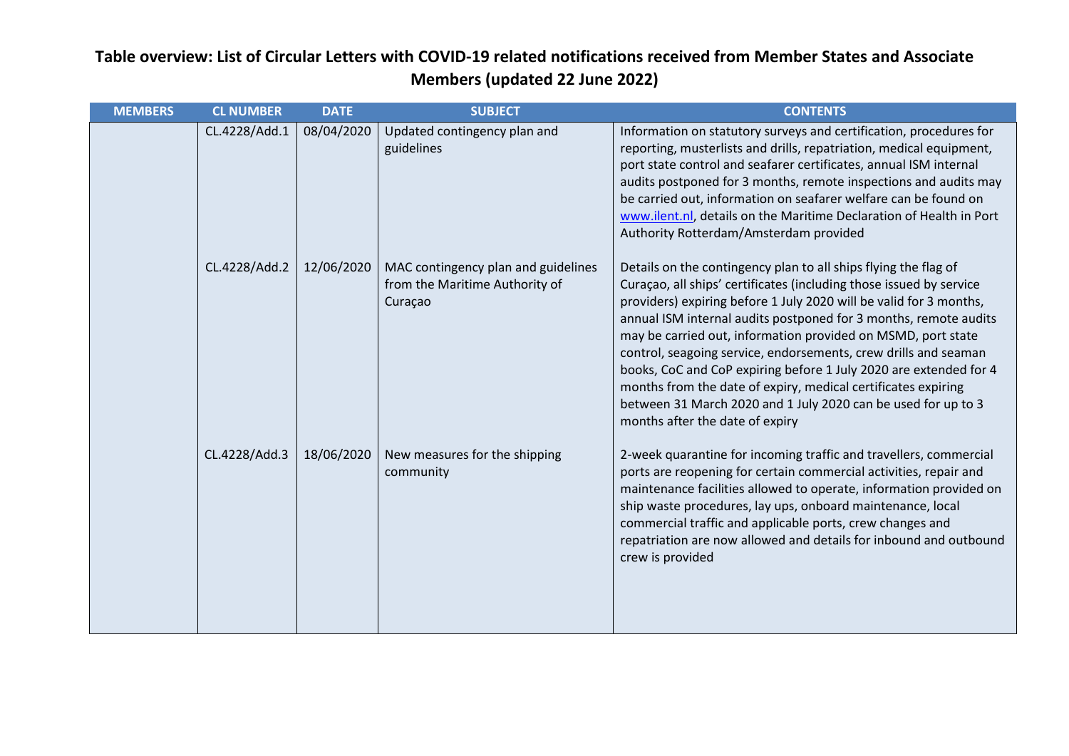| <b>MEMBERS</b> | <b>CL NUMBER</b> | <b>DATE</b> | <b>SUBJECT</b>                                                                   | <b>CONTENTS</b>                                                                                                                                                                                                                                                                                                                                                                                                                                                                                                                                                                                                                                               |
|----------------|------------------|-------------|----------------------------------------------------------------------------------|---------------------------------------------------------------------------------------------------------------------------------------------------------------------------------------------------------------------------------------------------------------------------------------------------------------------------------------------------------------------------------------------------------------------------------------------------------------------------------------------------------------------------------------------------------------------------------------------------------------------------------------------------------------|
|                | CL.4228/Add.1    | 08/04/2020  | Updated contingency plan and<br>guidelines                                       | Information on statutory surveys and certification, procedures for<br>reporting, musterlists and drills, repatriation, medical equipment,<br>port state control and seafarer certificates, annual ISM internal<br>audits postponed for 3 months, remote inspections and audits may<br>be carried out, information on seafarer welfare can be found on<br>www.ilent.nl, details on the Maritime Declaration of Health in Port<br>Authority Rotterdam/Amsterdam provided                                                                                                                                                                                        |
|                | CL.4228/Add.2    | 12/06/2020  | MAC contingency plan and guidelines<br>from the Maritime Authority of<br>Curaçao | Details on the contingency plan to all ships flying the flag of<br>Curaçao, all ships' certificates (including those issued by service<br>providers) expiring before 1 July 2020 will be valid for 3 months,<br>annual ISM internal audits postponed for 3 months, remote audits<br>may be carried out, information provided on MSMD, port state<br>control, seagoing service, endorsements, crew drills and seaman<br>books, CoC and CoP expiring before 1 July 2020 are extended for 4<br>months from the date of expiry, medical certificates expiring<br>between 31 March 2020 and 1 July 2020 can be used for up to 3<br>months after the date of expiry |
|                | CL.4228/Add.3    | 18/06/2020  | New measures for the shipping<br>community                                       | 2-week quarantine for incoming traffic and travellers, commercial<br>ports are reopening for certain commercial activities, repair and<br>maintenance facilities allowed to operate, information provided on<br>ship waste procedures, lay ups, onboard maintenance, local<br>commercial traffic and applicable ports, crew changes and<br>repatriation are now allowed and details for inbound and outbound<br>crew is provided                                                                                                                                                                                                                              |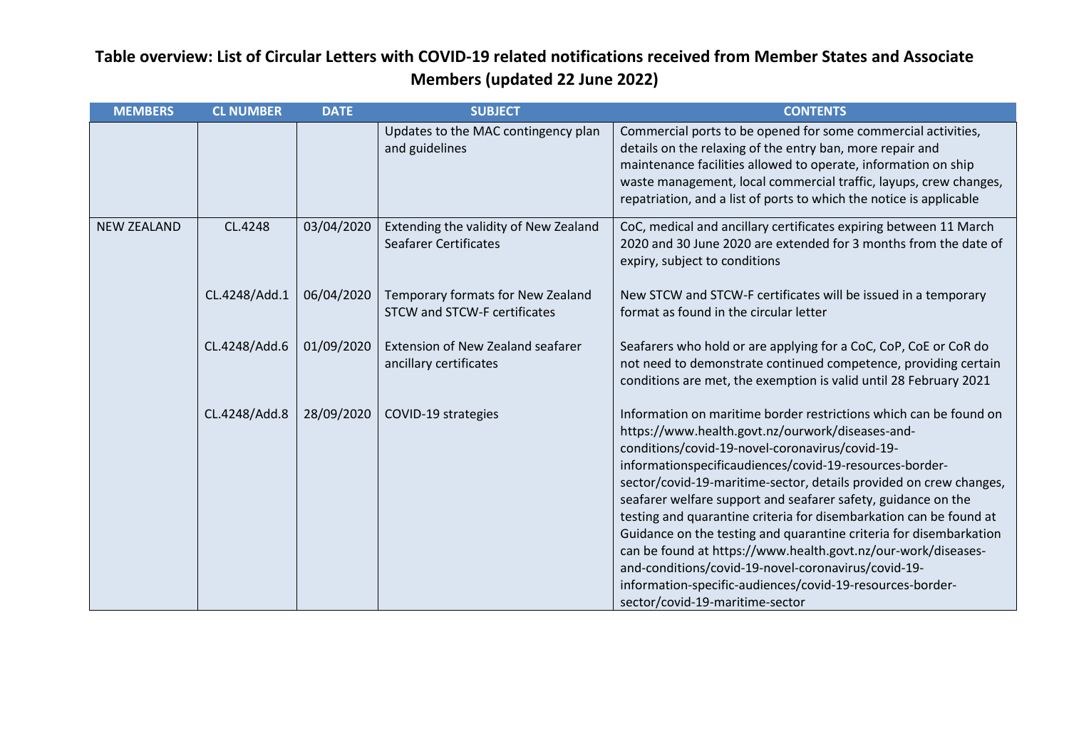| <b>MEMBERS</b>     | <b>CL NUMBER</b> | <b>DATE</b> | <b>SUBJECT</b>                                                           | <b>CONTENTS</b>                                                                                                                                                                                                                                                                                                                                                                                                                                                                                                                                                                                                                                                                                                                                |
|--------------------|------------------|-------------|--------------------------------------------------------------------------|------------------------------------------------------------------------------------------------------------------------------------------------------------------------------------------------------------------------------------------------------------------------------------------------------------------------------------------------------------------------------------------------------------------------------------------------------------------------------------------------------------------------------------------------------------------------------------------------------------------------------------------------------------------------------------------------------------------------------------------------|
|                    |                  |             | Updates to the MAC contingency plan<br>and guidelines                    | Commercial ports to be opened for some commercial activities,<br>details on the relaxing of the entry ban, more repair and<br>maintenance facilities allowed to operate, information on ship<br>waste management, local commercial traffic, layups, crew changes,<br>repatriation, and a list of ports to which the notice is applicable                                                                                                                                                                                                                                                                                                                                                                                                       |
| <b>NEW ZEALAND</b> | CL.4248          | 03/04/2020  | Extending the validity of New Zealand<br><b>Seafarer Certificates</b>    | CoC, medical and ancillary certificates expiring between 11 March<br>2020 and 30 June 2020 are extended for 3 months from the date of<br>expiry, subject to conditions                                                                                                                                                                                                                                                                                                                                                                                                                                                                                                                                                                         |
|                    | CL.4248/Add.1    | 06/04/2020  | Temporary formats for New Zealand<br><b>STCW and STCW-F certificates</b> | New STCW and STCW-F certificates will be issued in a temporary<br>format as found in the circular letter                                                                                                                                                                                                                                                                                                                                                                                                                                                                                                                                                                                                                                       |
|                    | CL.4248/Add.6    | 01/09/2020  | <b>Extension of New Zealand seafarer</b><br>ancillary certificates       | Seafarers who hold or are applying for a CoC, CoP, CoE or CoR do<br>not need to demonstrate continued competence, providing certain<br>conditions are met, the exemption is valid until 28 February 2021                                                                                                                                                                                                                                                                                                                                                                                                                                                                                                                                       |
|                    | CL.4248/Add.8    | 28/09/2020  | COVID-19 strategies                                                      | Information on maritime border restrictions which can be found on<br>https://www.health.govt.nz/ourwork/diseases-and-<br>conditions/covid-19-novel-coronavirus/covid-19-<br>informationspecificaudiences/covid-19-resources-border-<br>sector/covid-19-maritime-sector, details provided on crew changes,<br>seafarer welfare support and seafarer safety, guidance on the<br>testing and quarantine criteria for disembarkation can be found at<br>Guidance on the testing and quarantine criteria for disembarkation<br>can be found at https://www.health.govt.nz/our-work/diseases-<br>and-conditions/covid-19-novel-coronavirus/covid-19-<br>information-specific-audiences/covid-19-resources-border-<br>sector/covid-19-maritime-sector |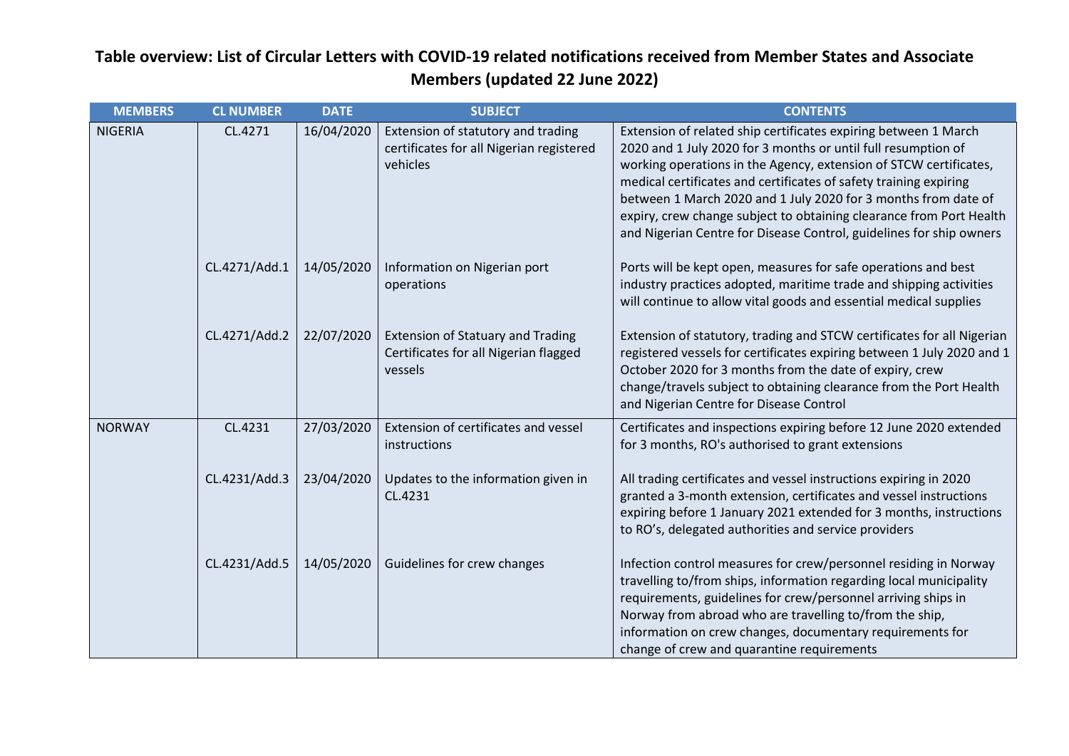| <b>MEMBERS</b> | <b>CL NUMBER</b> | <b>DATE</b> | <b>SUBJECT</b>                                                                               | <b>CONTENTS</b>                                                                                                                                                                                                                                                                                                                                                                                                                                                                            |
|----------------|------------------|-------------|----------------------------------------------------------------------------------------------|--------------------------------------------------------------------------------------------------------------------------------------------------------------------------------------------------------------------------------------------------------------------------------------------------------------------------------------------------------------------------------------------------------------------------------------------------------------------------------------------|
| <b>NIGERIA</b> | CL.4271          | 16/04/2020  | Extension of statutory and trading<br>certificates for all Nigerian registered<br>vehicles   | Extension of related ship certificates expiring between 1 March<br>2020 and 1 July 2020 for 3 months or until full resumption of<br>working operations in the Agency, extension of STCW certificates,<br>medical certificates and certificates of safety training expiring<br>between 1 March 2020 and 1 July 2020 for 3 months from date of<br>expiry, crew change subject to obtaining clearance from Port Health<br>and Nigerian Centre for Disease Control, guidelines for ship owners |
|                | CL.4271/Add.1    | 14/05/2020  | Information on Nigerian port<br>operations                                                   | Ports will be kept open, measures for safe operations and best<br>industry practices adopted, maritime trade and shipping activities<br>will continue to allow vital goods and essential medical supplies                                                                                                                                                                                                                                                                                  |
|                | CL.4271/Add.2    | 22/07/2020  | <b>Extension of Statuary and Trading</b><br>Certificates for all Nigerian flagged<br>vessels | Extension of statutory, trading and STCW certificates for all Nigerian<br>registered vessels for certificates expiring between 1 July 2020 and 1<br>October 2020 for 3 months from the date of expiry, crew<br>change/travels subject to obtaining clearance from the Port Health<br>and Nigerian Centre for Disease Control                                                                                                                                                               |
| <b>NORWAY</b>  | CL.4231          | 27/03/2020  | Extension of certificates and vessel<br>instructions                                         | Certificates and inspections expiring before 12 June 2020 extended<br>for 3 months, RO's authorised to grant extensions                                                                                                                                                                                                                                                                                                                                                                    |
|                | CL.4231/Add.3    | 23/04/2020  | Updates to the information given in<br>CL.4231                                               | All trading certificates and vessel instructions expiring in 2020<br>granted a 3-month extension, certificates and vessel instructions<br>expiring before 1 January 2021 extended for 3 months, instructions<br>to RO's, delegated authorities and service providers                                                                                                                                                                                                                       |
|                | CL.4231/Add.5    | 14/05/2020  | Guidelines for crew changes                                                                  | Infection control measures for crew/personnel residing in Norway<br>travelling to/from ships, information regarding local municipality<br>requirements, guidelines for crew/personnel arriving ships in<br>Norway from abroad who are travelling to/from the ship,<br>information on crew changes, documentary requirements for<br>change of crew and quarantine requirements                                                                                                              |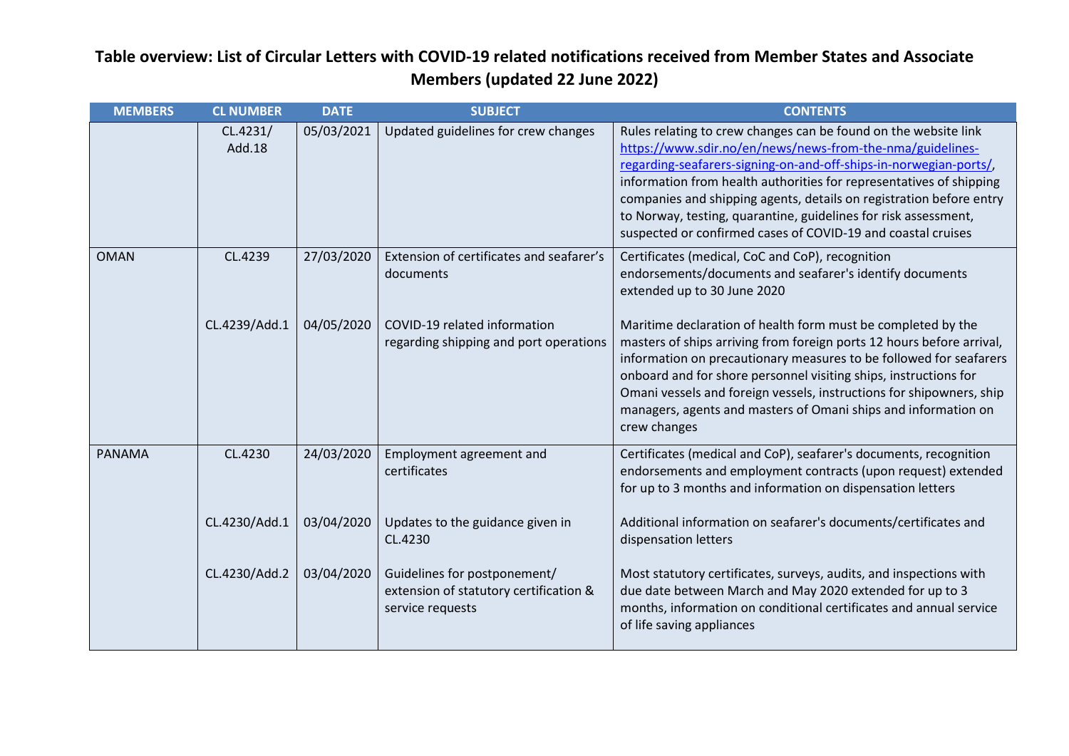| <b>MEMBERS</b> | <b>CL NUMBER</b>   | <b>DATE</b> | <b>SUBJECT</b>                                                                             | <b>CONTENTS</b>                                                                                                                                                                                                                                                                                                                                                                                                                                                                    |
|----------------|--------------------|-------------|--------------------------------------------------------------------------------------------|------------------------------------------------------------------------------------------------------------------------------------------------------------------------------------------------------------------------------------------------------------------------------------------------------------------------------------------------------------------------------------------------------------------------------------------------------------------------------------|
|                | CL.4231/<br>Add.18 | 05/03/2021  | Updated guidelines for crew changes                                                        | Rules relating to crew changes can be found on the website link<br>https://www.sdir.no/en/news/news-from-the-nma/guidelines-<br>regarding-seafarers-signing-on-and-off-ships-in-norwegian-ports/,<br>information from health authorities for representatives of shipping<br>companies and shipping agents, details on registration before entry<br>to Norway, testing, quarantine, guidelines for risk assessment,<br>suspected or confirmed cases of COVID-19 and coastal cruises |
| <b>OMAN</b>    | CL.4239            | 27/03/2020  | Extension of certificates and seafarer's<br>documents                                      | Certificates (medical, CoC and CoP), recognition<br>endorsements/documents and seafarer's identify documents<br>extended up to 30 June 2020                                                                                                                                                                                                                                                                                                                                        |
|                | CL.4239/Add.1      | 04/05/2020  | COVID-19 related information<br>regarding shipping and port operations                     | Maritime declaration of health form must be completed by the<br>masters of ships arriving from foreign ports 12 hours before arrival,<br>information on precautionary measures to be followed for seafarers<br>onboard and for shore personnel visiting ships, instructions for<br>Omani vessels and foreign vessels, instructions for shipowners, ship<br>managers, agents and masters of Omani ships and information on<br>crew changes                                          |
| PANAMA         | CL.4230            | 24/03/2020  | Employment agreement and<br>certificates                                                   | Certificates (medical and CoP), seafarer's documents, recognition<br>endorsements and employment contracts (upon request) extended<br>for up to 3 months and information on dispensation letters                                                                                                                                                                                                                                                                                   |
|                | CL.4230/Add.1      | 03/04/2020  | Updates to the guidance given in<br>CL.4230                                                | Additional information on seafarer's documents/certificates and<br>dispensation letters                                                                                                                                                                                                                                                                                                                                                                                            |
|                | CL.4230/Add.2      | 03/04/2020  | Guidelines for postponement/<br>extension of statutory certification &<br>service requests | Most statutory certificates, surveys, audits, and inspections with<br>due date between March and May 2020 extended for up to 3<br>months, information on conditional certificates and annual service<br>of life saving appliances                                                                                                                                                                                                                                                  |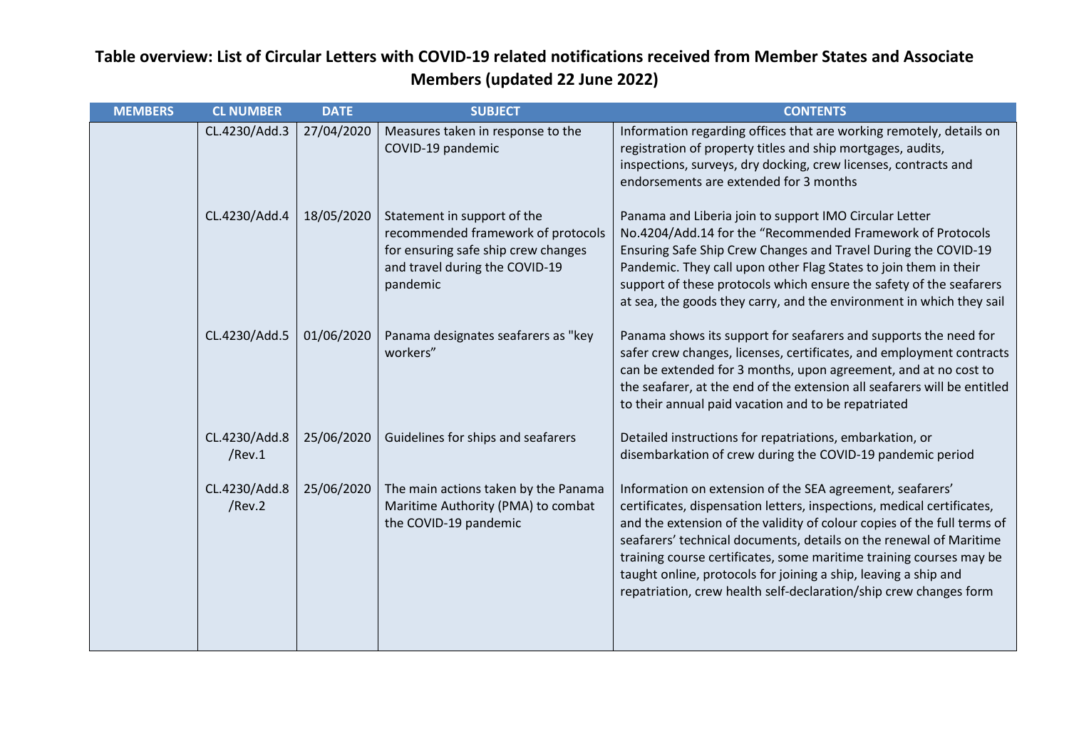| <b>MEMBERS</b> | <b>CL NUMBER</b>        | <b>DATE</b> | <b>SUBJECT</b>                                                                                                                                         | <b>CONTENTS</b>                                                                                                                                                                                                                                                                                                                                                                                                                                                                                     |
|----------------|-------------------------|-------------|--------------------------------------------------------------------------------------------------------------------------------------------------------|-----------------------------------------------------------------------------------------------------------------------------------------------------------------------------------------------------------------------------------------------------------------------------------------------------------------------------------------------------------------------------------------------------------------------------------------------------------------------------------------------------|
|                | CL.4230/Add.3           | 27/04/2020  | Measures taken in response to the<br>COVID-19 pandemic                                                                                                 | Information regarding offices that are working remotely, details on<br>registration of property titles and ship mortgages, audits,<br>inspections, surveys, dry docking, crew licenses, contracts and<br>endorsements are extended for 3 months                                                                                                                                                                                                                                                     |
|                | CL.4230/Add.4           | 18/05/2020  | Statement in support of the<br>recommended framework of protocols<br>for ensuring safe ship crew changes<br>and travel during the COVID-19<br>pandemic | Panama and Liberia join to support IMO Circular Letter<br>No.4204/Add.14 for the "Recommended Framework of Protocols<br>Ensuring Safe Ship Crew Changes and Travel During the COVID-19<br>Pandemic. They call upon other Flag States to join them in their<br>support of these protocols which ensure the safety of the seafarers<br>at sea, the goods they carry, and the environment in which they sail                                                                                           |
|                | CL.4230/Add.5           | 01/06/2020  | Panama designates seafarers as "key<br>workers"                                                                                                        | Panama shows its support for seafarers and supports the need for<br>safer crew changes, licenses, certificates, and employment contracts<br>can be extended for 3 months, upon agreement, and at no cost to<br>the seafarer, at the end of the extension all seafarers will be entitled<br>to their annual paid vacation and to be repatriated                                                                                                                                                      |
|                | CL.4230/Add.8<br>/Rev.1 | 25/06/2020  | Guidelines for ships and seafarers                                                                                                                     | Detailed instructions for repatriations, embarkation, or<br>disembarkation of crew during the COVID-19 pandemic period                                                                                                                                                                                                                                                                                                                                                                              |
|                | CL.4230/Add.8<br>/Rev.2 | 25/06/2020  | The main actions taken by the Panama<br>Maritime Authority (PMA) to combat<br>the COVID-19 pandemic                                                    | Information on extension of the SEA agreement, seafarers'<br>certificates, dispensation letters, inspections, medical certificates,<br>and the extension of the validity of colour copies of the full terms of<br>seafarers' technical documents, details on the renewal of Maritime<br>training course certificates, some maritime training courses may be<br>taught online, protocols for joining a ship, leaving a ship and<br>repatriation, crew health self-declaration/ship crew changes form |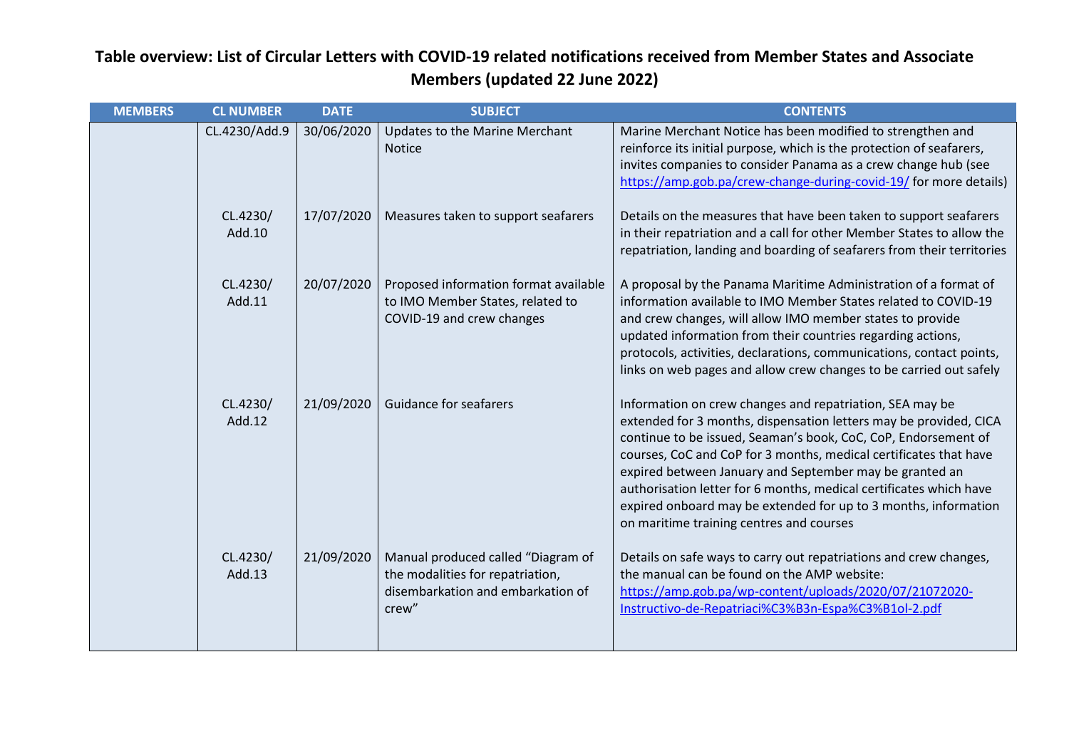| <b>MEMBERS</b> | <b>CL NUMBER</b>   | <b>DATE</b> | <b>SUBJECT</b>                                                                                                       | <b>CONTENTS</b>                                                                                                                                                                                                                                                                                                                                                                                                                                                                                                      |
|----------------|--------------------|-------------|----------------------------------------------------------------------------------------------------------------------|----------------------------------------------------------------------------------------------------------------------------------------------------------------------------------------------------------------------------------------------------------------------------------------------------------------------------------------------------------------------------------------------------------------------------------------------------------------------------------------------------------------------|
|                | CL.4230/Add.9      | 30/06/2020  | Updates to the Marine Merchant<br><b>Notice</b>                                                                      | Marine Merchant Notice has been modified to strengthen and<br>reinforce its initial purpose, which is the protection of seafarers,<br>invites companies to consider Panama as a crew change hub (see<br>https://amp.gob.pa/crew-change-during-covid-19/ for more details)                                                                                                                                                                                                                                            |
|                | CL.4230/<br>Add.10 | 17/07/2020  | Measures taken to support seafarers                                                                                  | Details on the measures that have been taken to support seafarers<br>in their repatriation and a call for other Member States to allow the<br>repatriation, landing and boarding of seafarers from their territories                                                                                                                                                                                                                                                                                                 |
|                | CL.4230/<br>Add.11 | 20/07/2020  | Proposed information format available<br>to IMO Member States, related to<br>COVID-19 and crew changes               | A proposal by the Panama Maritime Administration of a format of<br>information available to IMO Member States related to COVID-19<br>and crew changes, will allow IMO member states to provide<br>updated information from their countries regarding actions,<br>protocols, activities, declarations, communications, contact points,<br>links on web pages and allow crew changes to be carried out safely                                                                                                          |
|                | CL.4230/<br>Add.12 | 21/09/2020  | <b>Guidance for seafarers</b>                                                                                        | Information on crew changes and repatriation, SEA may be<br>extended for 3 months, dispensation letters may be provided, CICA<br>continue to be issued, Seaman's book, CoC, CoP, Endorsement of<br>courses, CoC and CoP for 3 months, medical certificates that have<br>expired between January and September may be granted an<br>authorisation letter for 6 months, medical certificates which have<br>expired onboard may be extended for up to 3 months, information<br>on maritime training centres and courses |
|                | CL.4230/<br>Add.13 | 21/09/2020  | Manual produced called "Diagram of<br>the modalities for repatriation,<br>disembarkation and embarkation of<br>crew" | Details on safe ways to carry out repatriations and crew changes,<br>the manual can be found on the AMP website:<br>https://amp.gob.pa/wp-content/uploads/2020/07/21072020-<br>Instructivo-de-Repatriaci%C3%B3n-Espa%C3%B1ol-2.pdf                                                                                                                                                                                                                                                                                   |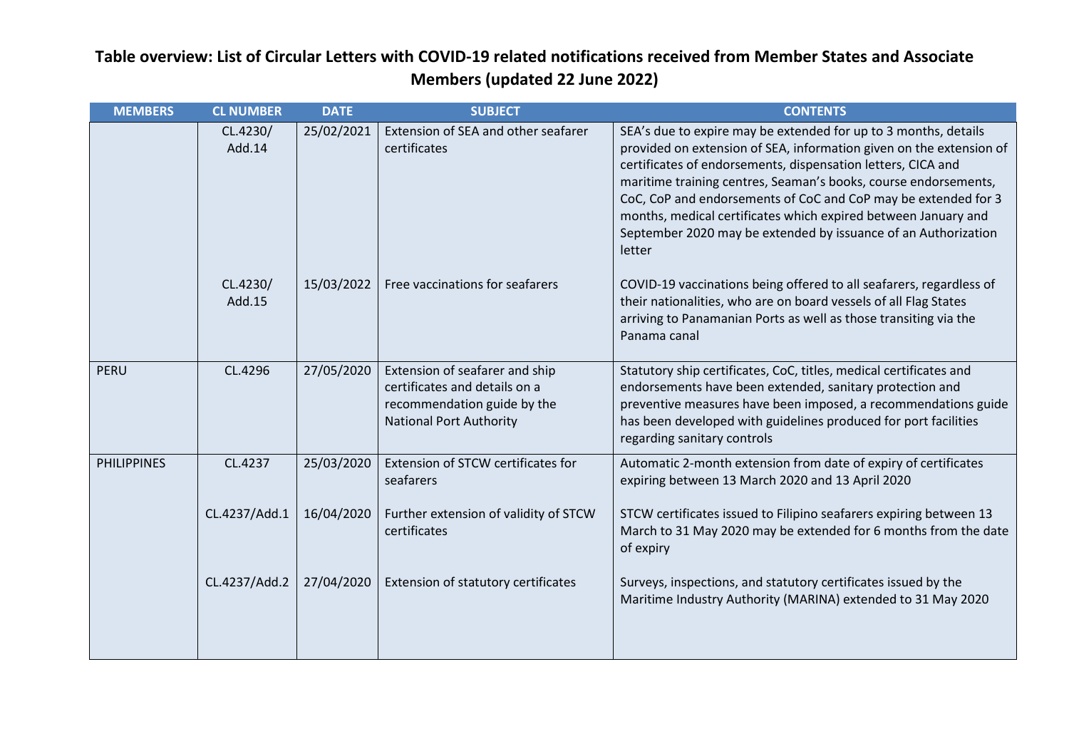| <b>MEMBERS</b>     | <b>CL NUMBER</b>   | <b>DATE</b> | <b>SUBJECT</b>                                                                                                                   | <b>CONTENTS</b>                                                                                                                                                                                                                                                                                                                                                                                                                                                                           |
|--------------------|--------------------|-------------|----------------------------------------------------------------------------------------------------------------------------------|-------------------------------------------------------------------------------------------------------------------------------------------------------------------------------------------------------------------------------------------------------------------------------------------------------------------------------------------------------------------------------------------------------------------------------------------------------------------------------------------|
|                    | CL.4230/<br>Add.14 | 25/02/2021  | Extension of SEA and other seafarer<br>certificates                                                                              | SEA's due to expire may be extended for up to 3 months, details<br>provided on extension of SEA, information given on the extension of<br>certificates of endorsements, dispensation letters, CICA and<br>maritime training centres, Seaman's books, course endorsements,<br>CoC, CoP and endorsements of CoC and CoP may be extended for 3<br>months, medical certificates which expired between January and<br>September 2020 may be extended by issuance of an Authorization<br>letter |
|                    | CL.4230/<br>Add.15 | 15/03/2022  | Free vaccinations for seafarers                                                                                                  | COVID-19 vaccinations being offered to all seafarers, regardless of<br>their nationalities, who are on board vessels of all Flag States<br>arriving to Panamanian Ports as well as those transiting via the<br>Panama canal                                                                                                                                                                                                                                                               |
| PERU               | CL.4296            | 27/05/2020  | Extension of seafarer and ship<br>certificates and details on a<br>recommendation guide by the<br><b>National Port Authority</b> | Statutory ship certificates, CoC, titles, medical certificates and<br>endorsements have been extended, sanitary protection and<br>preventive measures have been imposed, a recommendations guide<br>has been developed with guidelines produced for port facilities<br>regarding sanitary controls                                                                                                                                                                                        |
| <b>PHILIPPINES</b> | CL.4237            | 25/03/2020  | Extension of STCW certificates for<br>seafarers                                                                                  | Automatic 2-month extension from date of expiry of certificates<br>expiring between 13 March 2020 and 13 April 2020                                                                                                                                                                                                                                                                                                                                                                       |
|                    | CL.4237/Add.1      | 16/04/2020  | Further extension of validity of STCW<br>certificates                                                                            | STCW certificates issued to Filipino seafarers expiring between 13<br>March to 31 May 2020 may be extended for 6 months from the date<br>of expiry                                                                                                                                                                                                                                                                                                                                        |
|                    | CL.4237/Add.2      | 27/04/2020  | Extension of statutory certificates                                                                                              | Surveys, inspections, and statutory certificates issued by the<br>Maritime Industry Authority (MARINA) extended to 31 May 2020                                                                                                                                                                                                                                                                                                                                                            |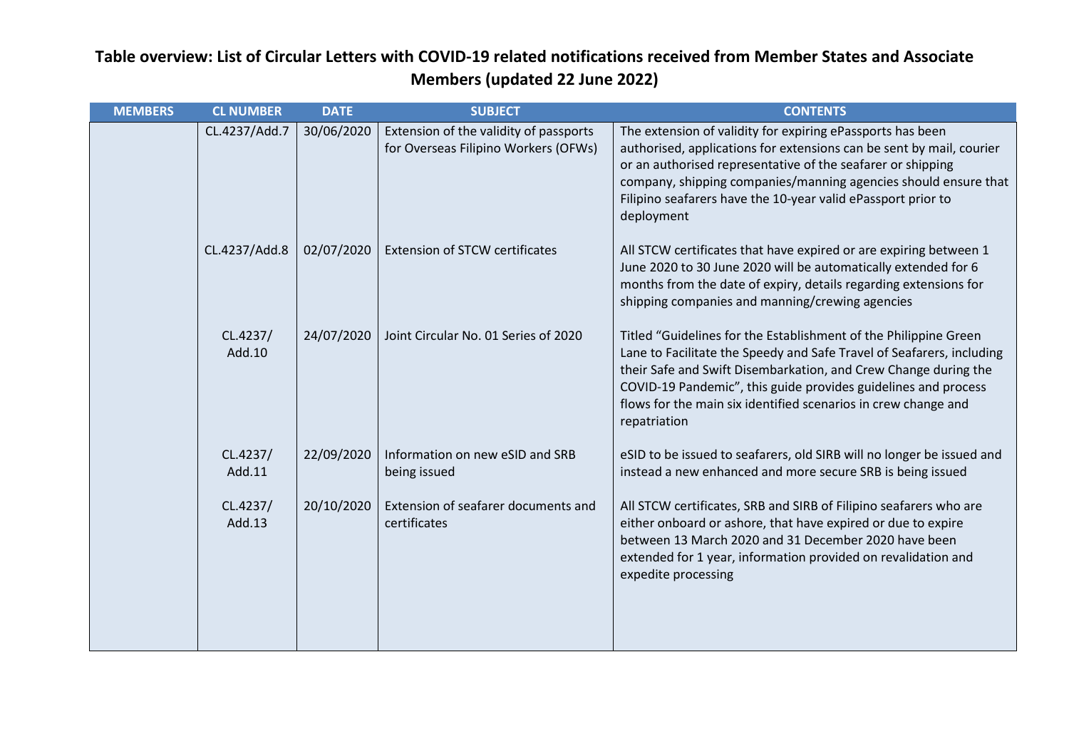| <b>MEMBERS</b> | <b>CL NUMBER</b>   | <b>DATE</b> | <b>SUBJECT</b>                                                                 | <b>CONTENTS</b>                                                                                                                                                                                                                                                                                                                                                  |
|----------------|--------------------|-------------|--------------------------------------------------------------------------------|------------------------------------------------------------------------------------------------------------------------------------------------------------------------------------------------------------------------------------------------------------------------------------------------------------------------------------------------------------------|
|                | CL.4237/Add.7      | 30/06/2020  | Extension of the validity of passports<br>for Overseas Filipino Workers (OFWs) | The extension of validity for expiring ePassports has been<br>authorised, applications for extensions can be sent by mail, courier<br>or an authorised representative of the seafarer or shipping<br>company, shipping companies/manning agencies should ensure that<br>Filipino seafarers have the 10-year valid ePassport prior to<br>deployment               |
|                | CL.4237/Add.8      | 02/07/2020  | <b>Extension of STCW certificates</b>                                          | All STCW certificates that have expired or are expiring between 1<br>June 2020 to 30 June 2020 will be automatically extended for 6<br>months from the date of expiry, details regarding extensions for<br>shipping companies and manning/crewing agencies                                                                                                       |
|                | CL.4237/<br>Add.10 | 24/07/2020  | Joint Circular No. 01 Series of 2020                                           | Titled "Guidelines for the Establishment of the Philippine Green<br>Lane to Facilitate the Speedy and Safe Travel of Seafarers, including<br>their Safe and Swift Disembarkation, and Crew Change during the<br>COVID-19 Pandemic", this guide provides guidelines and process<br>flows for the main six identified scenarios in crew change and<br>repatriation |
|                | CL.4237/<br>Add.11 | 22/09/2020  | Information on new eSID and SRB<br>being issued                                | eSID to be issued to seafarers, old SIRB will no longer be issued and<br>instead a new enhanced and more secure SRB is being issued                                                                                                                                                                                                                              |
|                | CL.4237/<br>Add.13 | 20/10/2020  | Extension of seafarer documents and<br>certificates                            | All STCW certificates, SRB and SIRB of Filipino seafarers who are<br>either onboard or ashore, that have expired or due to expire<br>between 13 March 2020 and 31 December 2020 have been<br>extended for 1 year, information provided on revalidation and<br>expedite processing                                                                                |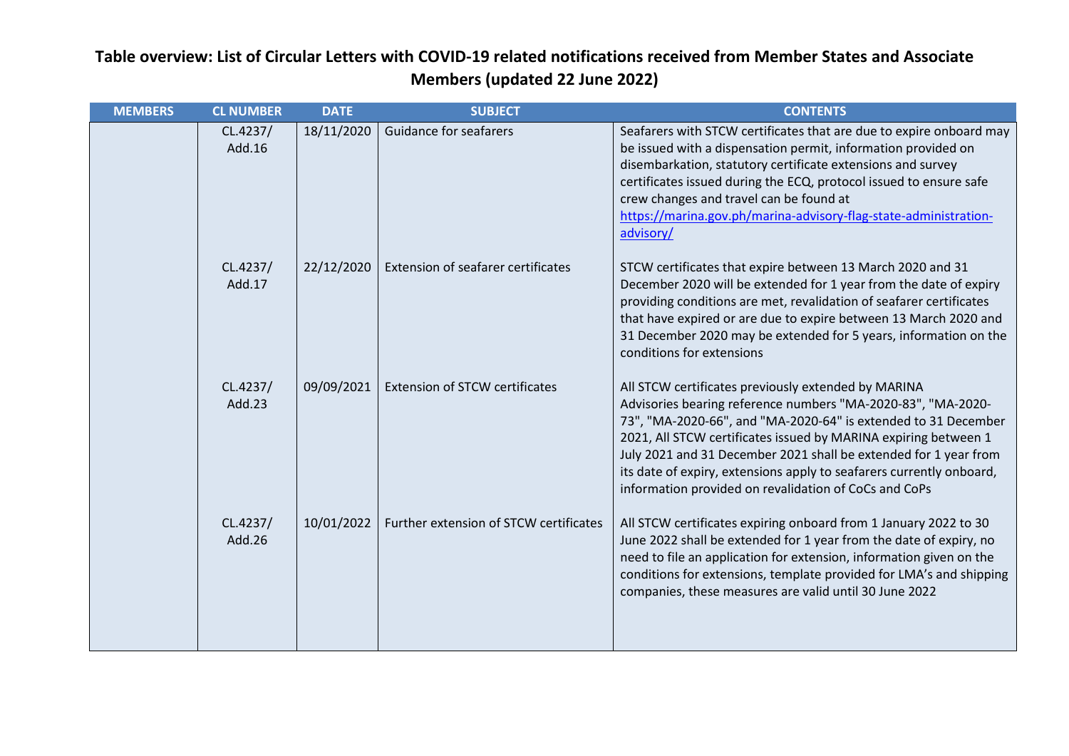| <b>MEMBERS</b> | <b>CL NUMBER</b>   | <b>DATE</b> | <b>SUBJECT</b>                         | <b>CONTENTS</b>                                                                                                                                                                                                                                                                                                                                                                                                                                               |
|----------------|--------------------|-------------|----------------------------------------|---------------------------------------------------------------------------------------------------------------------------------------------------------------------------------------------------------------------------------------------------------------------------------------------------------------------------------------------------------------------------------------------------------------------------------------------------------------|
|                | CL.4237/<br>Add.16 | 18/11/2020  | <b>Guidance for seafarers</b>          | Seafarers with STCW certificates that are due to expire onboard may<br>be issued with a dispensation permit, information provided on<br>disembarkation, statutory certificate extensions and survey<br>certificates issued during the ECQ, protocol issued to ensure safe<br>crew changes and travel can be found at<br>https://marina.gov.ph/marina-advisory-flag-state-administration-<br>advisory/                                                         |
|                | CL.4237/<br>Add.17 | 22/12/2020  | Extension of seafarer certificates     | STCW certificates that expire between 13 March 2020 and 31<br>December 2020 will be extended for 1 year from the date of expiry<br>providing conditions are met, revalidation of seafarer certificates<br>that have expired or are due to expire between 13 March 2020 and<br>31 December 2020 may be extended for 5 years, information on the<br>conditions for extensions                                                                                   |
|                | CL.4237/<br>Add.23 | 09/09/2021  | <b>Extension of STCW certificates</b>  | All STCW certificates previously extended by MARINA<br>Advisories bearing reference numbers "MA-2020-83", "MA-2020-<br>73", "MA-2020-66", and "MA-2020-64" is extended to 31 December<br>2021, All STCW certificates issued by MARINA expiring between 1<br>July 2021 and 31 December 2021 shall be extended for 1 year from<br>its date of expiry, extensions apply to seafarers currently onboard,<br>information provided on revalidation of CoCs and CoPs |
|                | CL.4237/<br>Add.26 | 10/01/2022  | Further extension of STCW certificates | All STCW certificates expiring onboard from 1 January 2022 to 30<br>June 2022 shall be extended for 1 year from the date of expiry, no<br>need to file an application for extension, information given on the<br>conditions for extensions, template provided for LMA's and shipping<br>companies, these measures are valid until 30 June 2022                                                                                                                |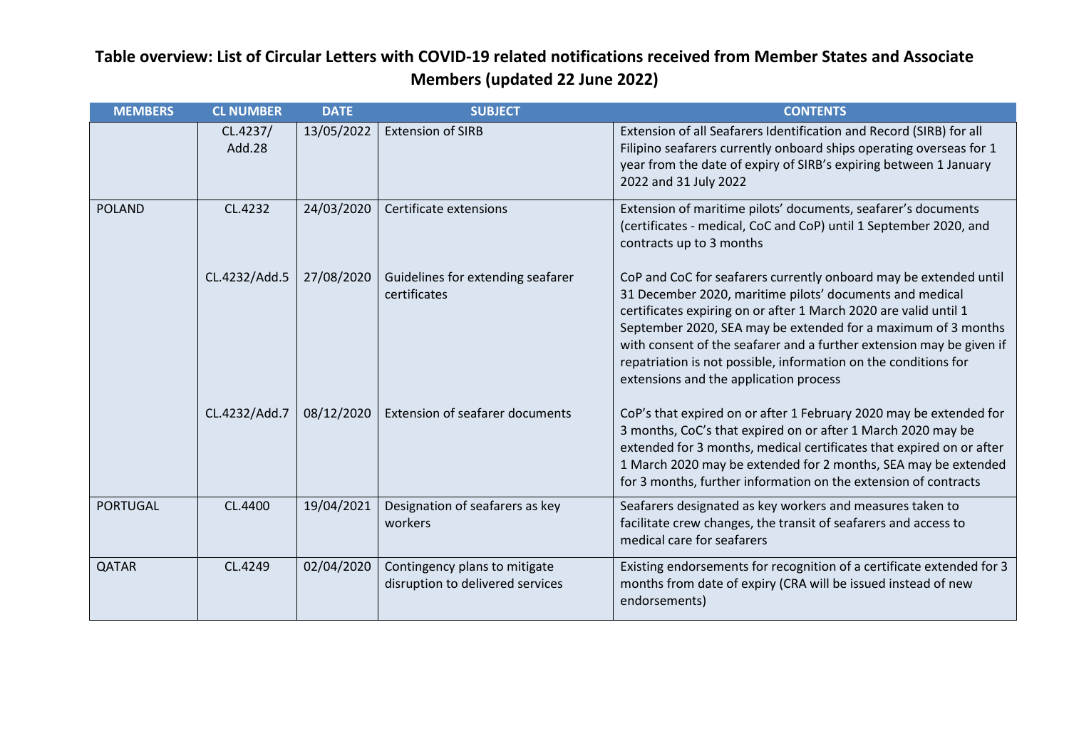| <b>MEMBERS</b>  | <b>CL NUMBER</b>   | <b>DATE</b> | <b>SUBJECT</b>                                                    | <b>CONTENTS</b>                                                                                                                                                                                                                                                                                                                                                                                                                                         |
|-----------------|--------------------|-------------|-------------------------------------------------------------------|---------------------------------------------------------------------------------------------------------------------------------------------------------------------------------------------------------------------------------------------------------------------------------------------------------------------------------------------------------------------------------------------------------------------------------------------------------|
|                 | CL.4237/<br>Add.28 | 13/05/2022  | <b>Extension of SIRB</b>                                          | Extension of all Seafarers Identification and Record (SIRB) for all<br>Filipino seafarers currently onboard ships operating overseas for 1<br>year from the date of expiry of SIRB's expiring between 1 January<br>2022 and 31 July 2022                                                                                                                                                                                                                |
| <b>POLAND</b>   | CL.4232            | 24/03/2020  | Certificate extensions                                            | Extension of maritime pilots' documents, seafarer's documents<br>(certificates - medical, CoC and CoP) until 1 September 2020, and<br>contracts up to 3 months                                                                                                                                                                                                                                                                                          |
|                 | CL.4232/Add.5      | 27/08/2020  | Guidelines for extending seafarer<br>certificates                 | CoP and CoC for seafarers currently onboard may be extended until<br>31 December 2020, maritime pilots' documents and medical<br>certificates expiring on or after 1 March 2020 are valid until 1<br>September 2020, SEA may be extended for a maximum of 3 months<br>with consent of the seafarer and a further extension may be given if<br>repatriation is not possible, information on the conditions for<br>extensions and the application process |
|                 | CL.4232/Add.7      | 08/12/2020  | <b>Extension of seafarer documents</b>                            | CoP's that expired on or after 1 February 2020 may be extended for<br>3 months, CoC's that expired on or after 1 March 2020 may be<br>extended for 3 months, medical certificates that expired on or after<br>1 March 2020 may be extended for 2 months, SEA may be extended<br>for 3 months, further information on the extension of contracts                                                                                                         |
| <b>PORTUGAL</b> | CL.4400            | 19/04/2021  | Designation of seafarers as key<br>workers                        | Seafarers designated as key workers and measures taken to<br>facilitate crew changes, the transit of seafarers and access to<br>medical care for seafarers                                                                                                                                                                                                                                                                                              |
| <b>QATAR</b>    | CL.4249            | 02/04/2020  | Contingency plans to mitigate<br>disruption to delivered services | Existing endorsements for recognition of a certificate extended for 3<br>months from date of expiry (CRA will be issued instead of new<br>endorsements)                                                                                                                                                                                                                                                                                                 |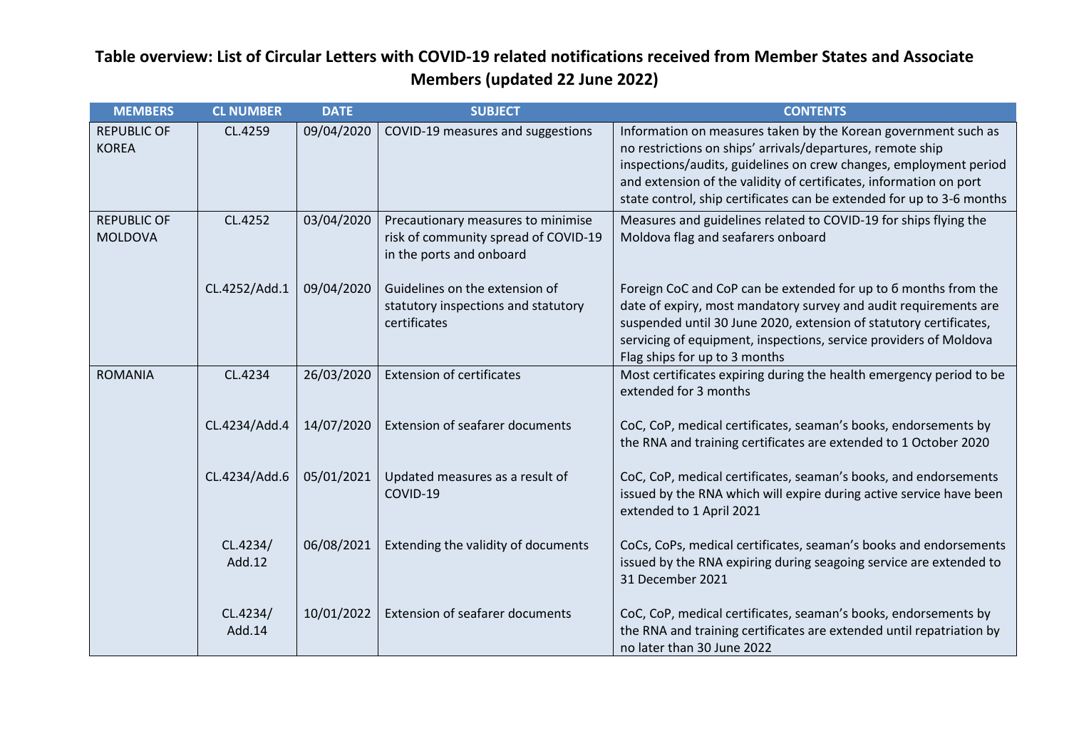| <b>MEMBERS</b>                       | <b>CL NUMBER</b>   | <b>DATE</b> | <b>SUBJECT</b>                                                                                         | <b>CONTENTS</b>                                                                                                                                                                                                                                                                                                                                  |
|--------------------------------------|--------------------|-------------|--------------------------------------------------------------------------------------------------------|--------------------------------------------------------------------------------------------------------------------------------------------------------------------------------------------------------------------------------------------------------------------------------------------------------------------------------------------------|
| <b>REPUBLIC OF</b><br><b>KOREA</b>   | CL.4259            | 09/04/2020  | COVID-19 measures and suggestions                                                                      | Information on measures taken by the Korean government such as<br>no restrictions on ships' arrivals/departures, remote ship<br>inspections/audits, guidelines on crew changes, employment period<br>and extension of the validity of certificates, information on port<br>state control, ship certificates can be extended for up to 3-6 months |
| <b>REPUBLIC OF</b><br><b>MOLDOVA</b> | CL.4252            | 03/04/2020  | Precautionary measures to minimise<br>risk of community spread of COVID-19<br>in the ports and onboard | Measures and guidelines related to COVID-19 for ships flying the<br>Moldova flag and seafarers onboard                                                                                                                                                                                                                                           |
|                                      | CL.4252/Add.1      | 09/04/2020  | Guidelines on the extension of<br>statutory inspections and statutory<br>certificates                  | Foreign CoC and CoP can be extended for up to 6 months from the<br>date of expiry, most mandatory survey and audit requirements are<br>suspended until 30 June 2020, extension of statutory certificates,<br>servicing of equipment, inspections, service providers of Moldova<br>Flag ships for up to 3 months                                  |
| <b>ROMANIA</b>                       | CL.4234            | 26/03/2020  | <b>Extension of certificates</b>                                                                       | Most certificates expiring during the health emergency period to be<br>extended for 3 months                                                                                                                                                                                                                                                     |
|                                      | CL.4234/Add.4      | 14/07/2020  | <b>Extension of seafarer documents</b>                                                                 | CoC, CoP, medical certificates, seaman's books, endorsements by<br>the RNA and training certificates are extended to 1 October 2020                                                                                                                                                                                                              |
|                                      | CL.4234/Add.6      | 05/01/2021  | Updated measures as a result of<br>COVID-19                                                            | CoC, CoP, medical certificates, seaman's books, and endorsements<br>issued by the RNA which will expire during active service have been<br>extended to 1 April 2021                                                                                                                                                                              |
|                                      | CL.4234/<br>Add.12 | 06/08/2021  | Extending the validity of documents                                                                    | CoCs, CoPs, medical certificates, seaman's books and endorsements<br>issued by the RNA expiring during seagoing service are extended to<br>31 December 2021                                                                                                                                                                                      |
|                                      | CL.4234/<br>Add.14 | 10/01/2022  | <b>Extension of seafarer documents</b>                                                                 | CoC, CoP, medical certificates, seaman's books, endorsements by<br>the RNA and training certificates are extended until repatriation by<br>no later than 30 June 2022                                                                                                                                                                            |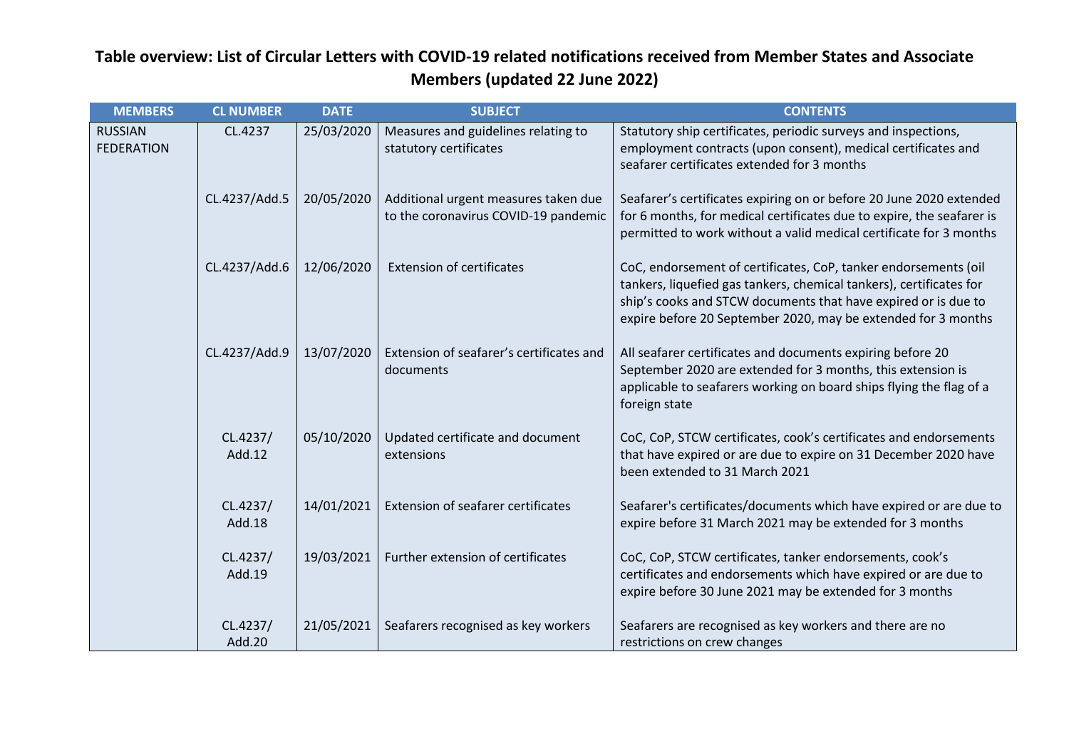| <b>MEMBERS</b>                      | <b>CL NUMBER</b>   | <b>DATE</b> | <b>SUBJECT</b>                                                               | <b>CONTENTS</b>                                                                                                                                                                                                                                                           |
|-------------------------------------|--------------------|-------------|------------------------------------------------------------------------------|---------------------------------------------------------------------------------------------------------------------------------------------------------------------------------------------------------------------------------------------------------------------------|
| <b>RUSSIAN</b><br><b>FEDERATION</b> | CL.4237            | 25/03/2020  | Measures and guidelines relating to<br>statutory certificates                | Statutory ship certificates, periodic surveys and inspections,<br>employment contracts (upon consent), medical certificates and<br>seafarer certificates extended for 3 months                                                                                            |
|                                     | CL.4237/Add.5      | 20/05/2020  | Additional urgent measures taken due<br>to the coronavirus COVID-19 pandemic | Seafarer's certificates expiring on or before 20 June 2020 extended<br>for 6 months, for medical certificates due to expire, the seafarer is<br>permitted to work without a valid medical certificate for 3 months                                                        |
|                                     | CL.4237/Add.6      | 12/06/2020  | <b>Extension of certificates</b>                                             | CoC, endorsement of certificates, CoP, tanker endorsements (oil<br>tankers, liquefied gas tankers, chemical tankers), certificates for<br>ship's cooks and STCW documents that have expired or is due to<br>expire before 20 September 2020, may be extended for 3 months |
|                                     | CL.4237/Add.9      | 13/07/2020  | Extension of seafarer's certificates and<br>documents                        | All seafarer certificates and documents expiring before 20<br>September 2020 are extended for 3 months, this extension is<br>applicable to seafarers working on board ships flying the flag of a<br>foreign state                                                         |
|                                     | CL.4237/<br>Add.12 | 05/10/2020  | Updated certificate and document<br>extensions                               | CoC, CoP, STCW certificates, cook's certificates and endorsements<br>that have expired or are due to expire on 31 December 2020 have<br>been extended to 31 March 2021                                                                                                    |
|                                     | CL.4237/<br>Add.18 | 14/01/2021  | Extension of seafarer certificates                                           | Seafarer's certificates/documents which have expired or are due to<br>expire before 31 March 2021 may be extended for 3 months                                                                                                                                            |
|                                     | CL.4237/<br>Add.19 | 19/03/2021  | Further extension of certificates                                            | CoC, CoP, STCW certificates, tanker endorsements, cook's<br>certificates and endorsements which have expired or are due to<br>expire before 30 June 2021 may be extended for 3 months                                                                                     |
|                                     | CL.4237/<br>Add.20 | 21/05/2021  | Seafarers recognised as key workers                                          | Seafarers are recognised as key workers and there are no<br>restrictions on crew changes                                                                                                                                                                                  |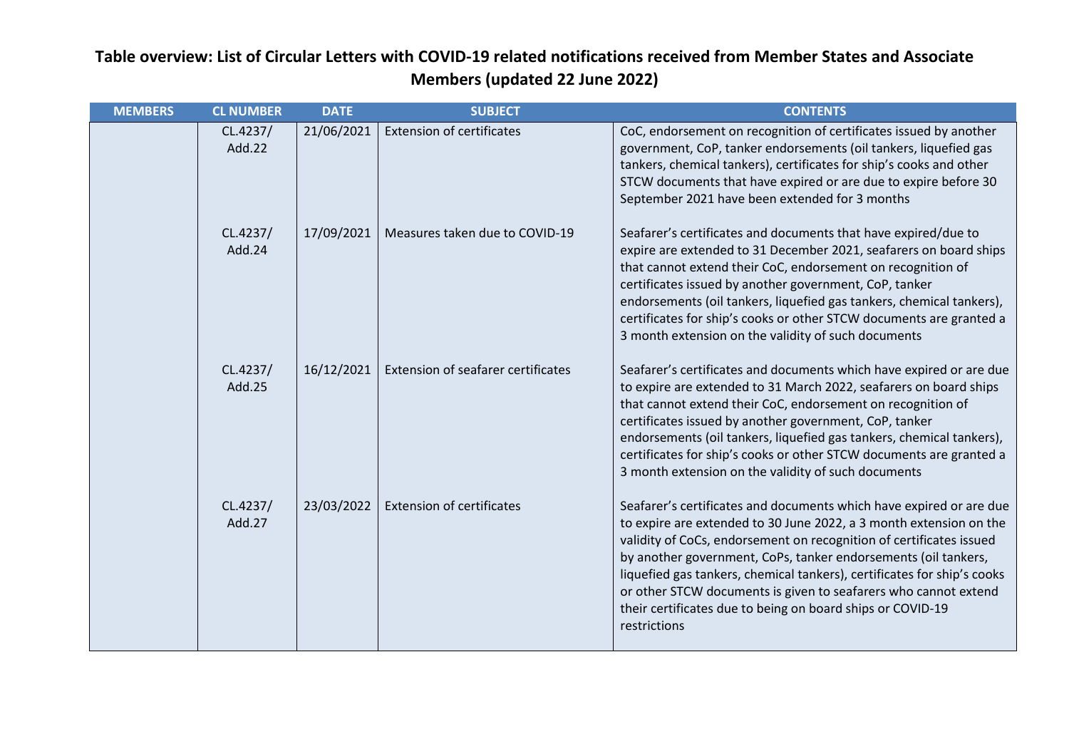| <b>MEMBERS</b> | <b>CL NUMBER</b>   | <b>DATE</b> | <b>SUBJECT</b>                     | <b>CONTENTS</b>                                                                                                                                                                                                                                                                                                                                                                                                                                                                                                |
|----------------|--------------------|-------------|------------------------------------|----------------------------------------------------------------------------------------------------------------------------------------------------------------------------------------------------------------------------------------------------------------------------------------------------------------------------------------------------------------------------------------------------------------------------------------------------------------------------------------------------------------|
|                | CL.4237/<br>Add.22 | 21/06/2021  | <b>Extension of certificates</b>   | CoC, endorsement on recognition of certificates issued by another<br>government, CoP, tanker endorsements (oil tankers, liquefied gas<br>tankers, chemical tankers), certificates for ship's cooks and other<br>STCW documents that have expired or are due to expire before 30<br>September 2021 have been extended for 3 months                                                                                                                                                                              |
|                | CL.4237/<br>Add.24 | 17/09/2021  | Measures taken due to COVID-19     | Seafarer's certificates and documents that have expired/due to<br>expire are extended to 31 December 2021, seafarers on board ships<br>that cannot extend their CoC, endorsement on recognition of<br>certificates issued by another government, CoP, tanker<br>endorsements (oil tankers, liquefied gas tankers, chemical tankers),<br>certificates for ship's cooks or other STCW documents are granted a<br>3 month extension on the validity of such documents                                             |
|                | CL.4237/<br>Add.25 | 16/12/2021  | Extension of seafarer certificates | Seafarer's certificates and documents which have expired or are due<br>to expire are extended to 31 March 2022, seafarers on board ships<br>that cannot extend their CoC, endorsement on recognition of<br>certificates issued by another government, CoP, tanker<br>endorsements (oil tankers, liquefied gas tankers, chemical tankers),<br>certificates for ship's cooks or other STCW documents are granted a<br>3 month extension on the validity of such documents                                        |
|                | CL.4237/<br>Add.27 | 23/03/2022  | <b>Extension of certificates</b>   | Seafarer's certificates and documents which have expired or are due<br>to expire are extended to 30 June 2022, a 3 month extension on the<br>validity of CoCs, endorsement on recognition of certificates issued<br>by another government, CoPs, tanker endorsements (oil tankers,<br>liquefied gas tankers, chemical tankers), certificates for ship's cooks<br>or other STCW documents is given to seafarers who cannot extend<br>their certificates due to being on board ships or COVID-19<br>restrictions |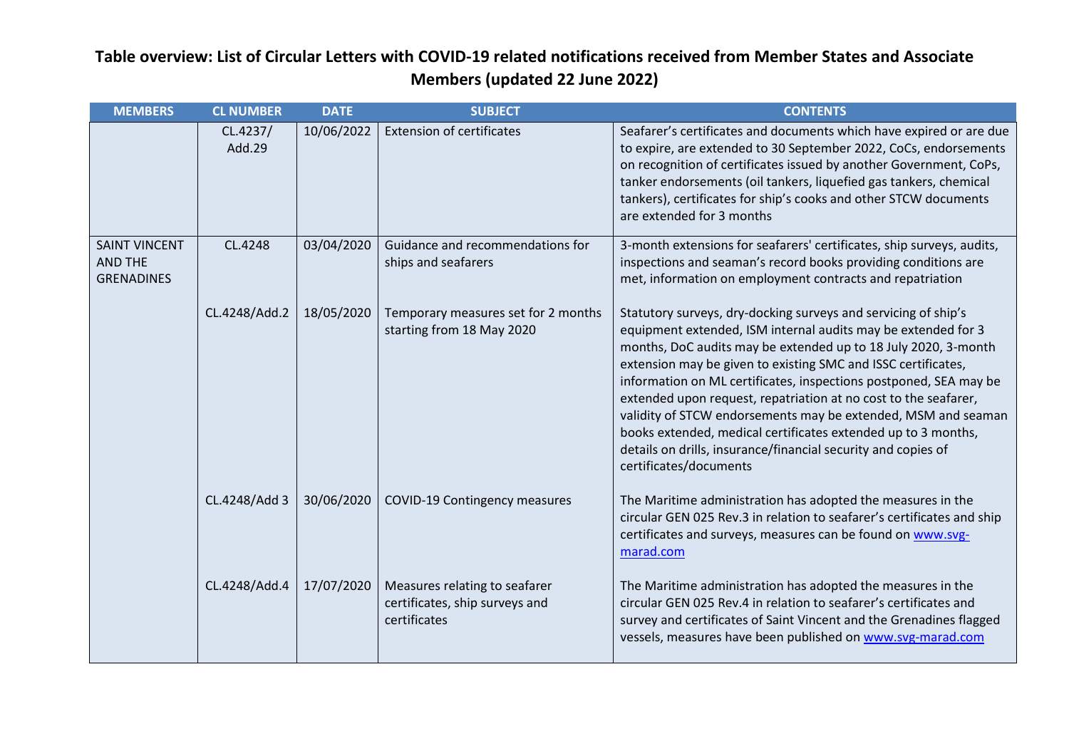| <b>MEMBERS</b>                                              | <b>CL NUMBER</b>   | <b>DATE</b> | <b>SUBJECT</b>                                                                  | <b>CONTENTS</b>                                                                                                                                                                                                                                                                                                                                                                                                                                                                                                                                                                                                                         |
|-------------------------------------------------------------|--------------------|-------------|---------------------------------------------------------------------------------|-----------------------------------------------------------------------------------------------------------------------------------------------------------------------------------------------------------------------------------------------------------------------------------------------------------------------------------------------------------------------------------------------------------------------------------------------------------------------------------------------------------------------------------------------------------------------------------------------------------------------------------------|
|                                                             | CL.4237/<br>Add.29 | 10/06/2022  | <b>Extension of certificates</b>                                                | Seafarer's certificates and documents which have expired or are due<br>to expire, are extended to 30 September 2022, CoCs, endorsements<br>on recognition of certificates issued by another Government, CoPs,<br>tanker endorsements (oil tankers, liquefied gas tankers, chemical<br>tankers), certificates for ship's cooks and other STCW documents<br>are extended for 3 months                                                                                                                                                                                                                                                     |
| <b>SAINT VINCENT</b><br><b>AND THE</b><br><b>GRENADINES</b> | CL.4248            | 03/04/2020  | Guidance and recommendations for<br>ships and seafarers                         | 3-month extensions for seafarers' certificates, ship surveys, audits,<br>inspections and seaman's record books providing conditions are<br>met, information on employment contracts and repatriation                                                                                                                                                                                                                                                                                                                                                                                                                                    |
|                                                             | CL.4248/Add.2      | 18/05/2020  | Temporary measures set for 2 months<br>starting from 18 May 2020                | Statutory surveys, dry-docking surveys and servicing of ship's<br>equipment extended, ISM internal audits may be extended for 3<br>months, DoC audits may be extended up to 18 July 2020, 3-month<br>extension may be given to existing SMC and ISSC certificates,<br>information on ML certificates, inspections postponed, SEA may be<br>extended upon request, repatriation at no cost to the seafarer,<br>validity of STCW endorsements may be extended, MSM and seaman<br>books extended, medical certificates extended up to 3 months,<br>details on drills, insurance/financial security and copies of<br>certificates/documents |
|                                                             | CL.4248/Add 3      | 30/06/2020  | <b>COVID-19 Contingency measures</b>                                            | The Maritime administration has adopted the measures in the<br>circular GEN 025 Rev.3 in relation to seafarer's certificates and ship<br>certificates and surveys, measures can be found on www.svg-<br>marad.com                                                                                                                                                                                                                                                                                                                                                                                                                       |
|                                                             | CL.4248/Add.4      | 17/07/2020  | Measures relating to seafarer<br>certificates, ship surveys and<br>certificates | The Maritime administration has adopted the measures in the<br>circular GEN 025 Rev.4 in relation to seafarer's certificates and<br>survey and certificates of Saint Vincent and the Grenadines flagged<br>vessels, measures have been published on www.svg-marad.com                                                                                                                                                                                                                                                                                                                                                                   |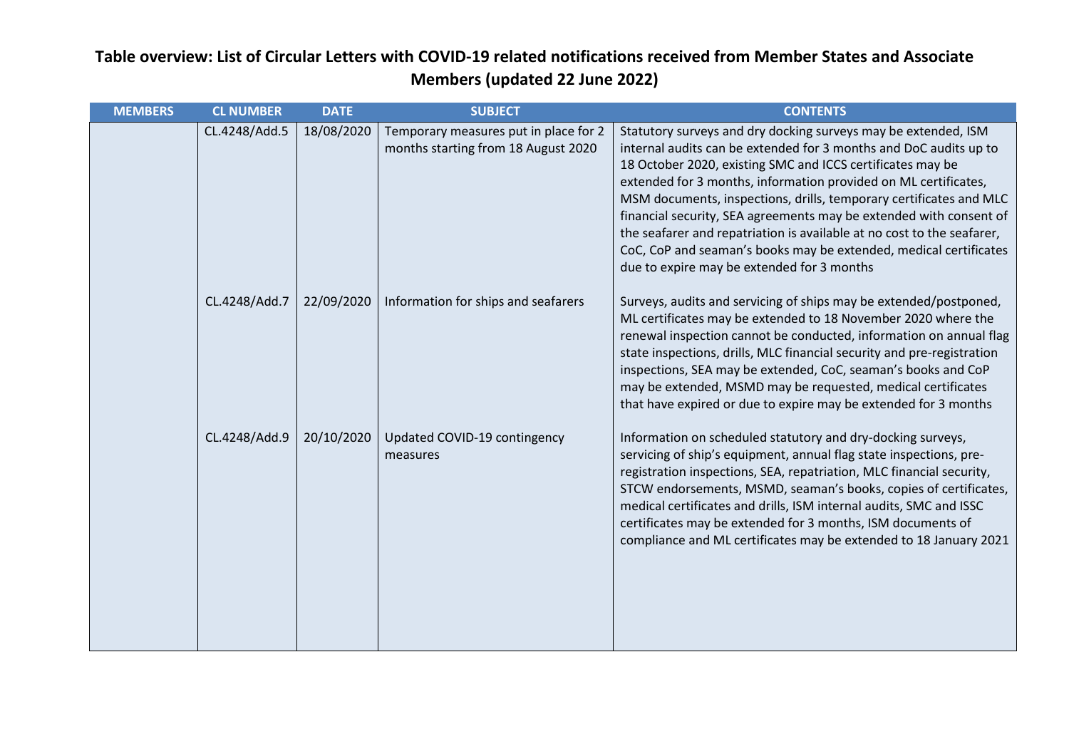| <b>MEMBERS</b> | <b>CL NUMBER</b> | <b>DATE</b> | <b>SUBJECT</b>                                                               | <b>CONTENTS</b>                                                                                                                                                                                                                                                                                                                                                                                                                                                                                                                                                                                               |
|----------------|------------------|-------------|------------------------------------------------------------------------------|---------------------------------------------------------------------------------------------------------------------------------------------------------------------------------------------------------------------------------------------------------------------------------------------------------------------------------------------------------------------------------------------------------------------------------------------------------------------------------------------------------------------------------------------------------------------------------------------------------------|
|                | CL.4248/Add.5    | 18/08/2020  | Temporary measures put in place for 2<br>months starting from 18 August 2020 | Statutory surveys and dry docking surveys may be extended, ISM<br>internal audits can be extended for 3 months and DoC audits up to<br>18 October 2020, existing SMC and ICCS certificates may be<br>extended for 3 months, information provided on ML certificates,<br>MSM documents, inspections, drills, temporary certificates and MLC<br>financial security, SEA agreements may be extended with consent of<br>the seafarer and repatriation is available at no cost to the seafarer,<br>CoC, CoP and seaman's books may be extended, medical certificates<br>due to expire may be extended for 3 months |
|                | CL.4248/Add.7    | 22/09/2020  | Information for ships and seafarers                                          | Surveys, audits and servicing of ships may be extended/postponed,<br>ML certificates may be extended to 18 November 2020 where the<br>renewal inspection cannot be conducted, information on annual flag<br>state inspections, drills, MLC financial security and pre-registration<br>inspections, SEA may be extended, CoC, seaman's books and CoP<br>may be extended, MSMD may be requested, medical certificates<br>that have expired or due to expire may be extended for 3 months                                                                                                                        |
|                | CL.4248/Add.9    | 20/10/2020  | Updated COVID-19 contingency<br>measures                                     | Information on scheduled statutory and dry-docking surveys,<br>servicing of ship's equipment, annual flag state inspections, pre-<br>registration inspections, SEA, repatriation, MLC financial security,<br>STCW endorsements, MSMD, seaman's books, copies of certificates,<br>medical certificates and drills, ISM internal audits, SMC and ISSC<br>certificates may be extended for 3 months, ISM documents of<br>compliance and ML certificates may be extended to 18 January 2021                                                                                                                       |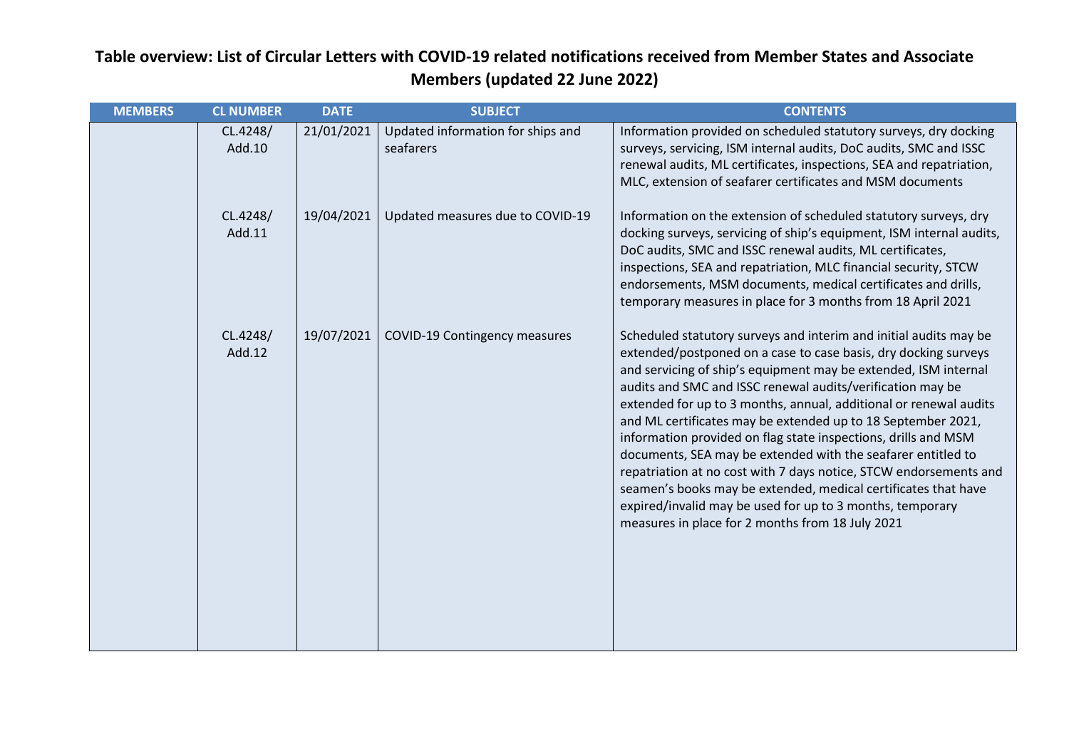| <b>MEMBERS</b> | <b>CL NUMBER</b>   | <b>DATE</b> | <b>SUBJECT</b>                                 | <b>CONTENTS</b>                                                                                                                                                                                                                                                                                                                                                                                                                                                                                                                                                                                                                                                                                                                                                                                      |
|----------------|--------------------|-------------|------------------------------------------------|------------------------------------------------------------------------------------------------------------------------------------------------------------------------------------------------------------------------------------------------------------------------------------------------------------------------------------------------------------------------------------------------------------------------------------------------------------------------------------------------------------------------------------------------------------------------------------------------------------------------------------------------------------------------------------------------------------------------------------------------------------------------------------------------------|
|                | CL.4248/<br>Add.10 | 21/01/2021  | Updated information for ships and<br>seafarers | Information provided on scheduled statutory surveys, dry docking<br>surveys, servicing, ISM internal audits, DoC audits, SMC and ISSC<br>renewal audits, ML certificates, inspections, SEA and repatriation,<br>MLC, extension of seafarer certificates and MSM documents                                                                                                                                                                                                                                                                                                                                                                                                                                                                                                                            |
|                | CL.4248/<br>Add.11 | 19/04/2021  | Updated measures due to COVID-19               | Information on the extension of scheduled statutory surveys, dry<br>docking surveys, servicing of ship's equipment, ISM internal audits,<br>DoC audits, SMC and ISSC renewal audits, ML certificates,<br>inspections, SEA and repatriation, MLC financial security, STCW<br>endorsements, MSM documents, medical certificates and drills,<br>temporary measures in place for 3 months from 18 April 2021                                                                                                                                                                                                                                                                                                                                                                                             |
|                | CL.4248/<br>Add.12 | 19/07/2021  | <b>COVID-19 Contingency measures</b>           | Scheduled statutory surveys and interim and initial audits may be<br>extended/postponed on a case to case basis, dry docking surveys<br>and servicing of ship's equipment may be extended, ISM internal<br>audits and SMC and ISSC renewal audits/verification may be<br>extended for up to 3 months, annual, additional or renewal audits<br>and ML certificates may be extended up to 18 September 2021,<br>information provided on flag state inspections, drills and MSM<br>documents, SEA may be extended with the seafarer entitled to<br>repatriation at no cost with 7 days notice, STCW endorsements and<br>seamen's books may be extended, medical certificates that have<br>expired/invalid may be used for up to 3 months, temporary<br>measures in place for 2 months from 18 July 2021 |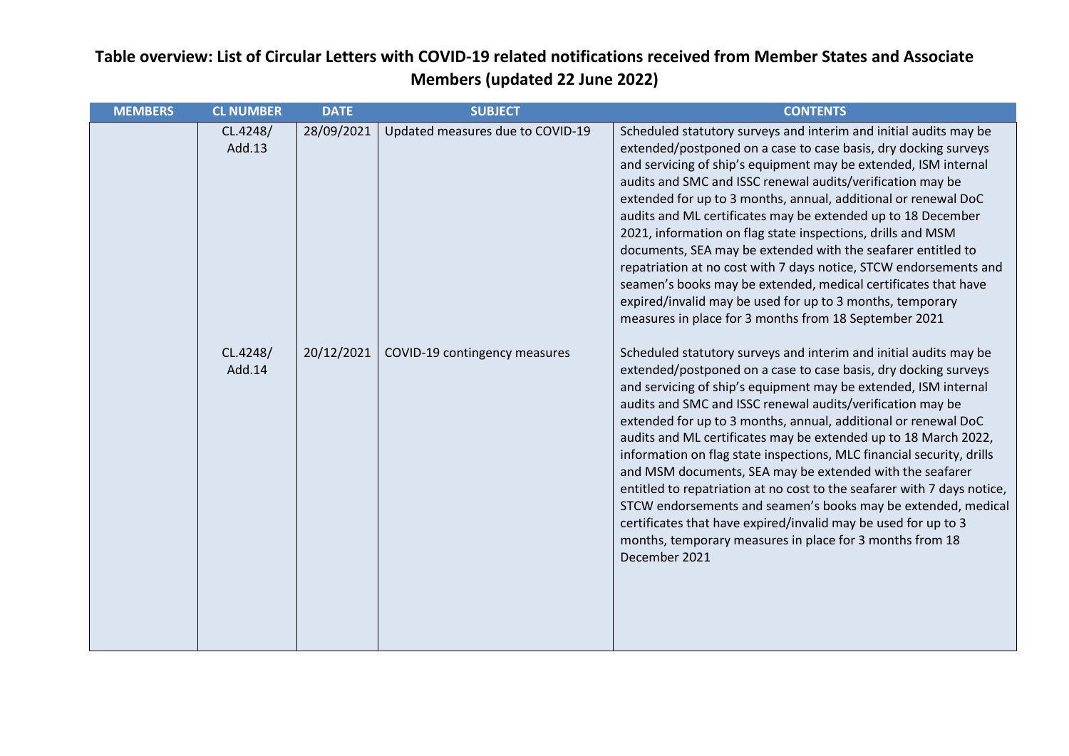| <b>MEMBERS</b> | <b>CL NUMBER</b>   | <b>DATE</b> | <b>SUBJECT</b>                   | <b>CONTENTS</b>                                                                                                                                                                                                                                                                                                                                                                                                                                                                                                                                                                                                                                                                                                                                                                                                                            |
|----------------|--------------------|-------------|----------------------------------|--------------------------------------------------------------------------------------------------------------------------------------------------------------------------------------------------------------------------------------------------------------------------------------------------------------------------------------------------------------------------------------------------------------------------------------------------------------------------------------------------------------------------------------------------------------------------------------------------------------------------------------------------------------------------------------------------------------------------------------------------------------------------------------------------------------------------------------------|
|                | CL.4248/<br>Add.13 | 28/09/2021  | Updated measures due to COVID-19 | Scheduled statutory surveys and interim and initial audits may be<br>extended/postponed on a case to case basis, dry docking surveys<br>and servicing of ship's equipment may be extended, ISM internal<br>audits and SMC and ISSC renewal audits/verification may be<br>extended for up to 3 months, annual, additional or renewal DoC<br>audits and ML certificates may be extended up to 18 December<br>2021, information on flag state inspections, drills and MSM<br>documents, SEA may be extended with the seafarer entitled to<br>repatriation at no cost with 7 days notice, STCW endorsements and<br>seamen's books may be extended, medical certificates that have<br>expired/invalid may be used for up to 3 months, temporary<br>measures in place for 3 months from 18 September 2021                                        |
|                | CL.4248/<br>Add.14 | 20/12/2021  | COVID-19 contingency measures    | Scheduled statutory surveys and interim and initial audits may be<br>extended/postponed on a case to case basis, dry docking surveys<br>and servicing of ship's equipment may be extended, ISM internal<br>audits and SMC and ISSC renewal audits/verification may be<br>extended for up to 3 months, annual, additional or renewal DoC<br>audits and ML certificates may be extended up to 18 March 2022,<br>information on flag state inspections, MLC financial security, drills<br>and MSM documents, SEA may be extended with the seafarer<br>entitled to repatriation at no cost to the seafarer with 7 days notice,<br>STCW endorsements and seamen's books may be extended, medical<br>certificates that have expired/invalid may be used for up to 3<br>months, temporary measures in place for 3 months from 18<br>December 2021 |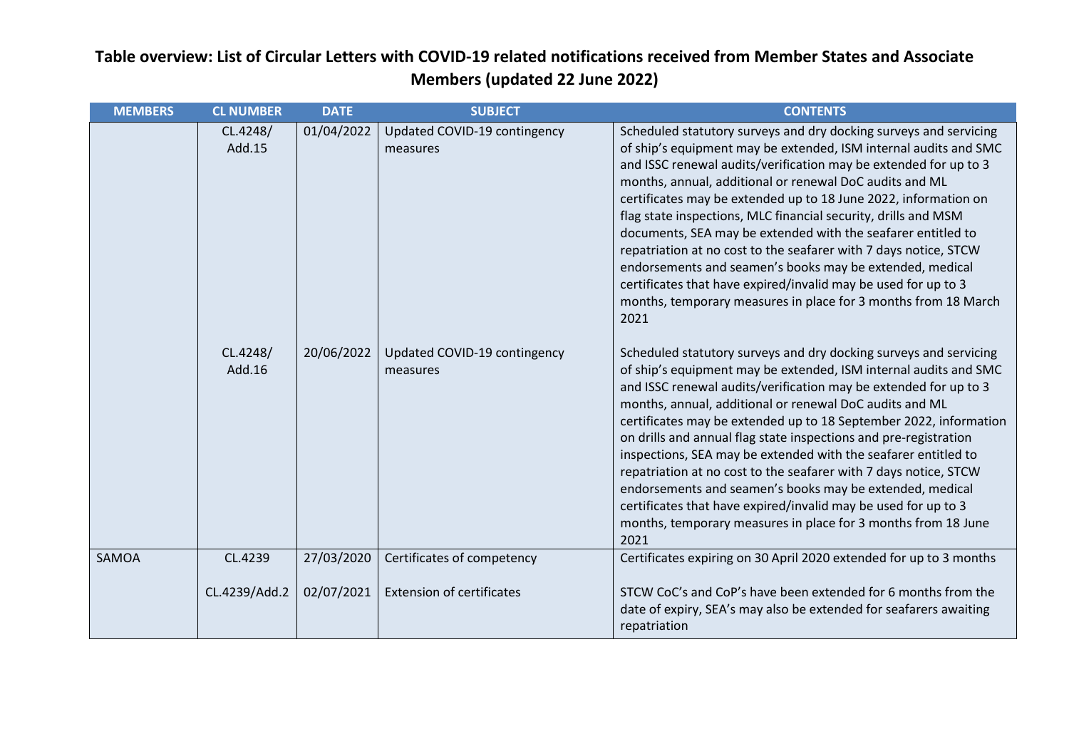| <b>MEMBERS</b> | <b>CL NUMBER</b>   | <b>DATE</b> | <b>SUBJECT</b>                           | <b>CONTENTS</b>                                                                                                                                                                                                                                                                                                                                                                                                                                                                                                                                                                                                                                                                                                                                            |
|----------------|--------------------|-------------|------------------------------------------|------------------------------------------------------------------------------------------------------------------------------------------------------------------------------------------------------------------------------------------------------------------------------------------------------------------------------------------------------------------------------------------------------------------------------------------------------------------------------------------------------------------------------------------------------------------------------------------------------------------------------------------------------------------------------------------------------------------------------------------------------------|
|                | CL.4248/<br>Add.15 | 01/04/2022  | Updated COVID-19 contingency<br>measures | Scheduled statutory surveys and dry docking surveys and servicing<br>of ship's equipment may be extended, ISM internal audits and SMC<br>and ISSC renewal audits/verification may be extended for up to 3<br>months, annual, additional or renewal DoC audits and ML<br>certificates may be extended up to 18 June 2022, information on<br>flag state inspections, MLC financial security, drills and MSM<br>documents, SEA may be extended with the seafarer entitled to<br>repatriation at no cost to the seafarer with 7 days notice, STCW<br>endorsements and seamen's books may be extended, medical<br>certificates that have expired/invalid may be used for up to 3<br>months, temporary measures in place for 3 months from 18 March<br>2021      |
|                | CL.4248/<br>Add.16 | 20/06/2022  | Updated COVID-19 contingency<br>measures | Scheduled statutory surveys and dry docking surveys and servicing<br>of ship's equipment may be extended, ISM internal audits and SMC<br>and ISSC renewal audits/verification may be extended for up to 3<br>months, annual, additional or renewal DoC audits and ML<br>certificates may be extended up to 18 September 2022, information<br>on drills and annual flag state inspections and pre-registration<br>inspections, SEA may be extended with the seafarer entitled to<br>repatriation at no cost to the seafarer with 7 days notice, STCW<br>endorsements and seamen's books may be extended, medical<br>certificates that have expired/invalid may be used for up to 3<br>months, temporary measures in place for 3 months from 18 June<br>2021 |
| SAMOA          | CL.4239            | 27/03/2020  | Certificates of competency               | Certificates expiring on 30 April 2020 extended for up to 3 months                                                                                                                                                                                                                                                                                                                                                                                                                                                                                                                                                                                                                                                                                         |
|                | CL.4239/Add.2      | 02/07/2021  | <b>Extension of certificates</b>         | STCW CoC's and CoP's have been extended for 6 months from the<br>date of expiry, SEA's may also be extended for seafarers awaiting<br>repatriation                                                                                                                                                                                                                                                                                                                                                                                                                                                                                                                                                                                                         |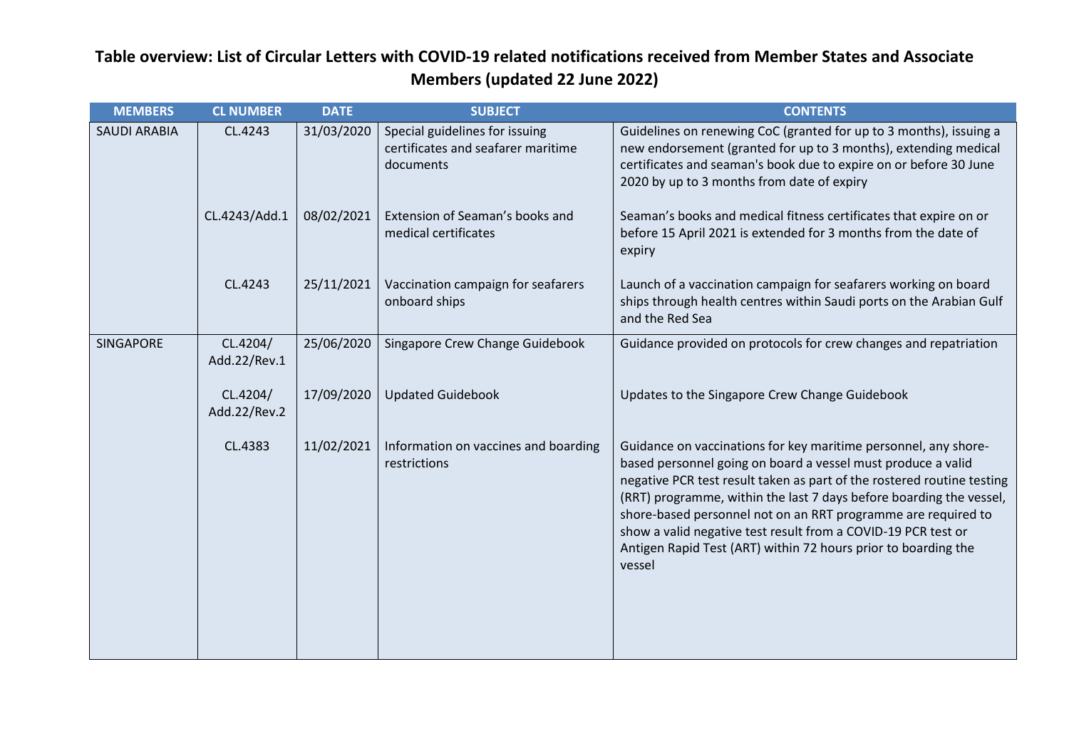| <b>MEMBERS</b>      | <b>CL NUMBER</b>         | <b>DATE</b> | <b>SUBJECT</b>                                                                    | <b>CONTENTS</b>                                                                                                                                                                                                                                                                                                                                                                                                                                                                                |
|---------------------|--------------------------|-------------|-----------------------------------------------------------------------------------|------------------------------------------------------------------------------------------------------------------------------------------------------------------------------------------------------------------------------------------------------------------------------------------------------------------------------------------------------------------------------------------------------------------------------------------------------------------------------------------------|
| <b>SAUDI ARABIA</b> | CL.4243                  | 31/03/2020  | Special guidelines for issuing<br>certificates and seafarer maritime<br>documents | Guidelines on renewing CoC (granted for up to 3 months), issuing a<br>new endorsement (granted for up to 3 months), extending medical<br>certificates and seaman's book due to expire on or before 30 June<br>2020 by up to 3 months from date of expiry                                                                                                                                                                                                                                       |
|                     | CL.4243/Add.1            | 08/02/2021  | Extension of Seaman's books and<br>medical certificates                           | Seaman's books and medical fitness certificates that expire on or<br>before 15 April 2021 is extended for 3 months from the date of<br>expiry                                                                                                                                                                                                                                                                                                                                                  |
|                     | CL.4243                  | 25/11/2021  | Vaccination campaign for seafarers<br>onboard ships                               | Launch of a vaccination campaign for seafarers working on board<br>ships through health centres within Saudi ports on the Arabian Gulf<br>and the Red Sea                                                                                                                                                                                                                                                                                                                                      |
| SINGAPORE           | CL.4204/<br>Add.22/Rev.1 | 25/06/2020  | Singapore Crew Change Guidebook                                                   | Guidance provided on protocols for crew changes and repatriation                                                                                                                                                                                                                                                                                                                                                                                                                               |
|                     | CL.4204/<br>Add.22/Rev.2 | 17/09/2020  | <b>Updated Guidebook</b>                                                          | Updates to the Singapore Crew Change Guidebook                                                                                                                                                                                                                                                                                                                                                                                                                                                 |
|                     | CL.4383                  | 11/02/2021  | Information on vaccines and boarding<br>restrictions                              | Guidance on vaccinations for key maritime personnel, any shore-<br>based personnel going on board a vessel must produce a valid<br>negative PCR test result taken as part of the rostered routine testing<br>(RRT) programme, within the last 7 days before boarding the vessel,<br>shore-based personnel not on an RRT programme are required to<br>show a valid negative test result from a COVID-19 PCR test or<br>Antigen Rapid Test (ART) within 72 hours prior to boarding the<br>vessel |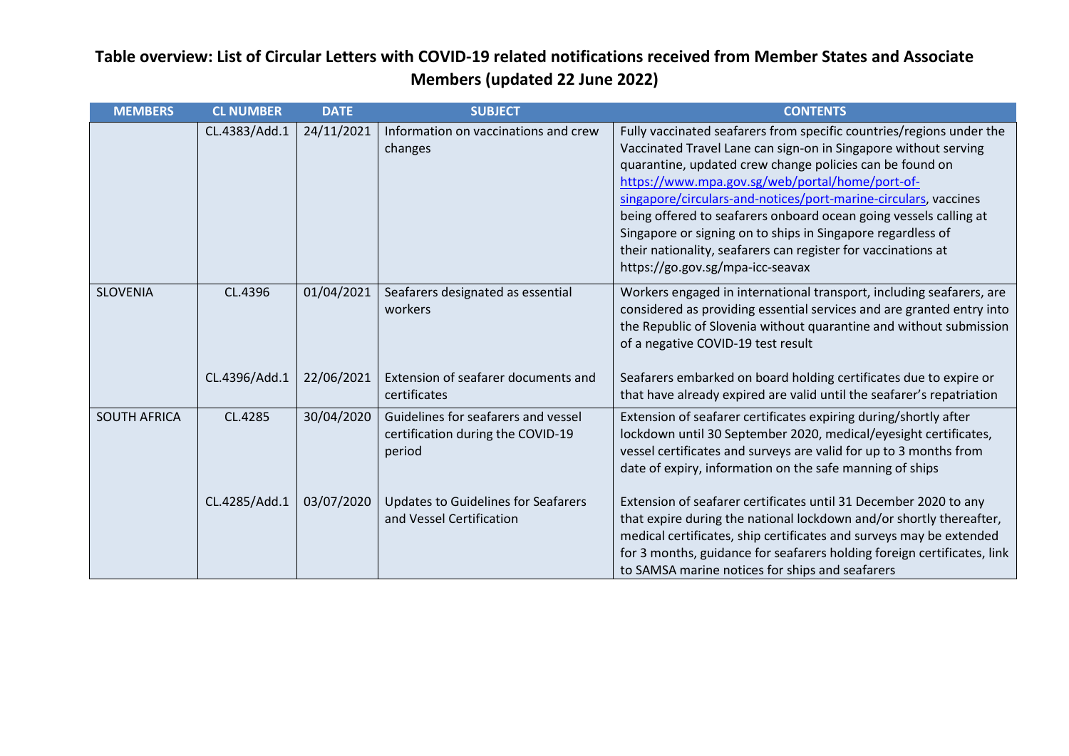| <b>MEMBERS</b>      | <b>CL NUMBER</b> | <b>DATE</b> | <b>SUBJECT</b>                                                                      | <b>CONTENTS</b>                                                                                                                                                                                                                                                                                                                                                                                                                                                                                                                                                    |
|---------------------|------------------|-------------|-------------------------------------------------------------------------------------|--------------------------------------------------------------------------------------------------------------------------------------------------------------------------------------------------------------------------------------------------------------------------------------------------------------------------------------------------------------------------------------------------------------------------------------------------------------------------------------------------------------------------------------------------------------------|
|                     | CL.4383/Add.1    | 24/11/2021  | Information on vaccinations and crew<br>changes                                     | Fully vaccinated seafarers from specific countries/regions under the<br>Vaccinated Travel Lane can sign-on in Singapore without serving<br>quarantine, updated crew change policies can be found on<br>https://www.mpa.gov.sg/web/portal/home/port-of-<br>singapore/circulars-and-notices/port-marine-circulars, vaccines<br>being offered to seafarers onboard ocean going vessels calling at<br>Singapore or signing on to ships in Singapore regardless of<br>their nationality, seafarers can register for vaccinations at<br>https://go.gov.sg/mpa-icc-seavax |
| <b>SLOVENIA</b>     | CL.4396          | 01/04/2021  | Seafarers designated as essential<br>workers<br>Extension of seafarer documents and | Workers engaged in international transport, including seafarers, are<br>considered as providing essential services and are granted entry into<br>the Republic of Slovenia without quarantine and without submission<br>of a negative COVID-19 test result                                                                                                                                                                                                                                                                                                          |
|                     | CL.4396/Add.1    | 22/06/2021  | certificates                                                                        | Seafarers embarked on board holding certificates due to expire or<br>that have already expired are valid until the seafarer's repatriation                                                                                                                                                                                                                                                                                                                                                                                                                         |
| <b>SOUTH AFRICA</b> | CL.4285          | 30/04/2020  | Guidelines for seafarers and vessel<br>certification during the COVID-19<br>period  | Extension of seafarer certificates expiring during/shortly after<br>lockdown until 30 September 2020, medical/eyesight certificates,<br>vessel certificates and surveys are valid for up to 3 months from<br>date of expiry, information on the safe manning of ships                                                                                                                                                                                                                                                                                              |
|                     | CL.4285/Add.1    | 03/07/2020  | <b>Updates to Guidelines for Seafarers</b><br>and Vessel Certification              | Extension of seafarer certificates until 31 December 2020 to any<br>that expire during the national lockdown and/or shortly thereafter,<br>medical certificates, ship certificates and surveys may be extended<br>for 3 months, guidance for seafarers holding foreign certificates, link<br>to SAMSA marine notices for ships and seafarers                                                                                                                                                                                                                       |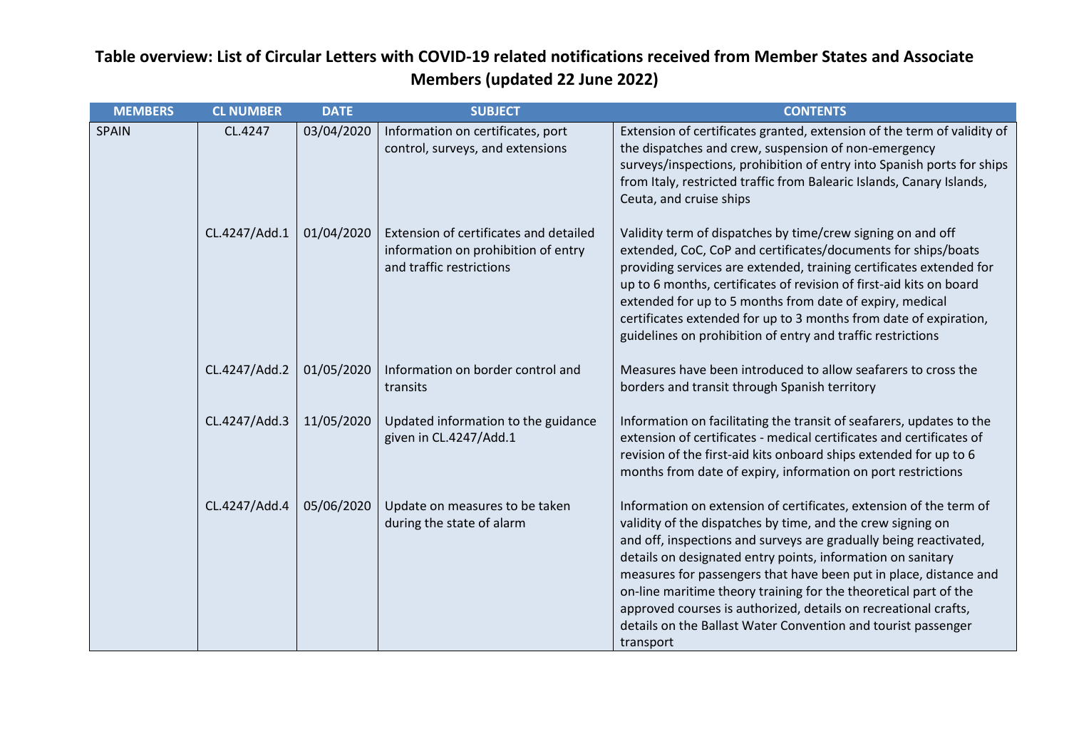| <b>MEMBERS</b> | <b>CL NUMBER</b> | <b>DATE</b> | <b>SUBJECT</b>                                                                                            | <b>CONTENTS</b>                                                                                                                                                                                                                                                                                                                                                                                                                                                                                                                                                 |
|----------------|------------------|-------------|-----------------------------------------------------------------------------------------------------------|-----------------------------------------------------------------------------------------------------------------------------------------------------------------------------------------------------------------------------------------------------------------------------------------------------------------------------------------------------------------------------------------------------------------------------------------------------------------------------------------------------------------------------------------------------------------|
| SPAIN          | CL.4247          | 03/04/2020  | Information on certificates, port<br>control, surveys, and extensions                                     | Extension of certificates granted, extension of the term of validity of<br>the dispatches and crew, suspension of non-emergency<br>surveys/inspections, prohibition of entry into Spanish ports for ships<br>from Italy, restricted traffic from Balearic Islands, Canary Islands,<br>Ceuta, and cruise ships                                                                                                                                                                                                                                                   |
|                | CL.4247/Add.1    | 01/04/2020  | Extension of certificates and detailed<br>information on prohibition of entry<br>and traffic restrictions | Validity term of dispatches by time/crew signing on and off<br>extended, CoC, CoP and certificates/documents for ships/boats<br>providing services are extended, training certificates extended for<br>up to 6 months, certificates of revision of first-aid kits on board<br>extended for up to 5 months from date of expiry, medical<br>certificates extended for up to 3 months from date of expiration,<br>guidelines on prohibition of entry and traffic restrictions                                                                                      |
|                | CL.4247/Add.2    | 01/05/2020  | Information on border control and<br>transits                                                             | Measures have been introduced to allow seafarers to cross the<br>borders and transit through Spanish territory                                                                                                                                                                                                                                                                                                                                                                                                                                                  |
|                | CL.4247/Add.3    | 11/05/2020  | Updated information to the guidance<br>given in CL.4247/Add.1                                             | Information on facilitating the transit of seafarers, updates to the<br>extension of certificates - medical certificates and certificates of<br>revision of the first-aid kits onboard ships extended for up to 6<br>months from date of expiry, information on port restrictions                                                                                                                                                                                                                                                                               |
|                | CL.4247/Add.4    | 05/06/2020  | Update on measures to be taken<br>during the state of alarm                                               | Information on extension of certificates, extension of the term of<br>validity of the dispatches by time, and the crew signing on<br>and off, inspections and surveys are gradually being reactivated,<br>details on designated entry points, information on sanitary<br>measures for passengers that have been put in place, distance and<br>on-line maritime theory training for the theoretical part of the<br>approved courses is authorized, details on recreational crafts,<br>details on the Ballast Water Convention and tourist passenger<br>transport |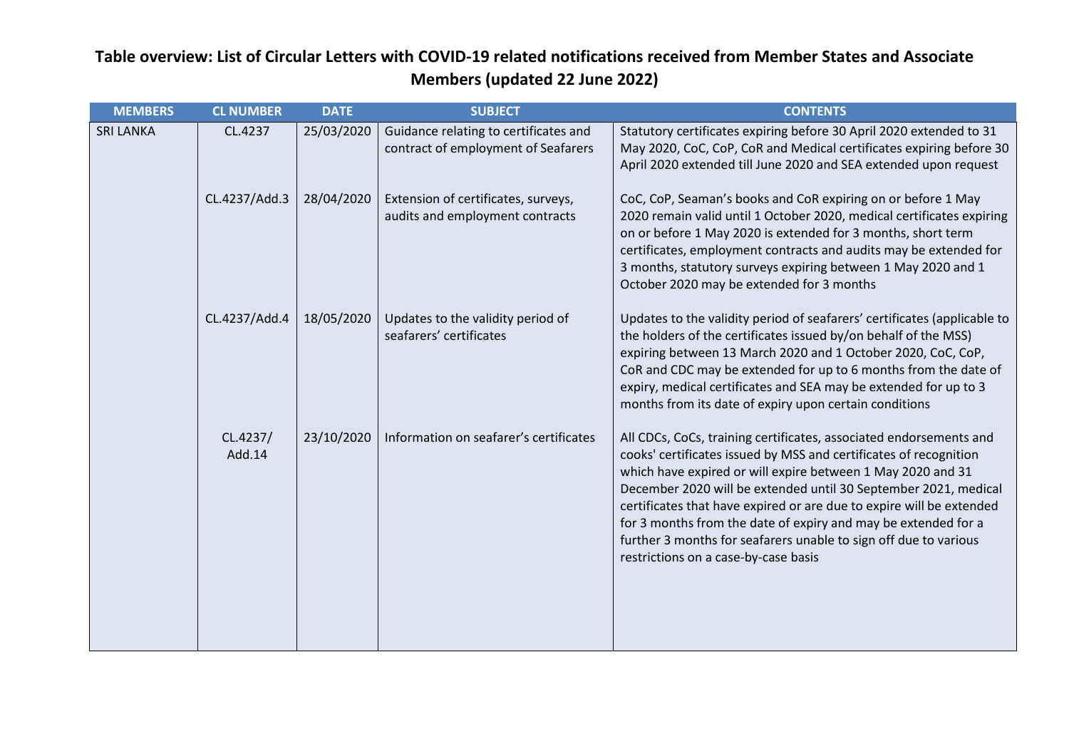| <b>MEMBERS</b>   | <b>CL NUMBER</b>   | <b>DATE</b> | <b>SUBJECT</b>                                                               | <b>CONTENTS</b>                                                                                                                                                                                                                                                                                                                                                                                                                                                                                                                 |
|------------------|--------------------|-------------|------------------------------------------------------------------------------|---------------------------------------------------------------------------------------------------------------------------------------------------------------------------------------------------------------------------------------------------------------------------------------------------------------------------------------------------------------------------------------------------------------------------------------------------------------------------------------------------------------------------------|
| <b>SRI LANKA</b> | CL.4237            | 25/03/2020  | Guidance relating to certificates and<br>contract of employment of Seafarers | Statutory certificates expiring before 30 April 2020 extended to 31<br>May 2020, CoC, CoP, CoR and Medical certificates expiring before 30<br>April 2020 extended till June 2020 and SEA extended upon request                                                                                                                                                                                                                                                                                                                  |
|                  | CL.4237/Add.3      | 28/04/2020  | Extension of certificates, surveys,<br>audits and employment contracts       | CoC, CoP, Seaman's books and CoR expiring on or before 1 May<br>2020 remain valid until 1 October 2020, medical certificates expiring<br>on or before 1 May 2020 is extended for 3 months, short term<br>certificates, employment contracts and audits may be extended for<br>3 months, statutory surveys expiring between 1 May 2020 and 1<br>October 2020 may be extended for 3 months                                                                                                                                        |
|                  | CL.4237/Add.4      | 18/05/2020  | Updates to the validity period of<br>seafarers' certificates                 | Updates to the validity period of seafarers' certificates (applicable to<br>the holders of the certificates issued by/on behalf of the MSS)<br>expiring between 13 March 2020 and 1 October 2020, CoC, CoP,<br>CoR and CDC may be extended for up to 6 months from the date of<br>expiry, medical certificates and SEA may be extended for up to 3<br>months from its date of expiry upon certain conditions                                                                                                                    |
|                  | CL.4237/<br>Add.14 | 23/10/2020  | Information on seafarer's certificates                                       | All CDCs, CoCs, training certificates, associated endorsements and<br>cooks' certificates issued by MSS and certificates of recognition<br>which have expired or will expire between 1 May 2020 and 31<br>December 2020 will be extended until 30 September 2021, medical<br>certificates that have expired or are due to expire will be extended<br>for 3 months from the date of expiry and may be extended for a<br>further 3 months for seafarers unable to sign off due to various<br>restrictions on a case-by-case basis |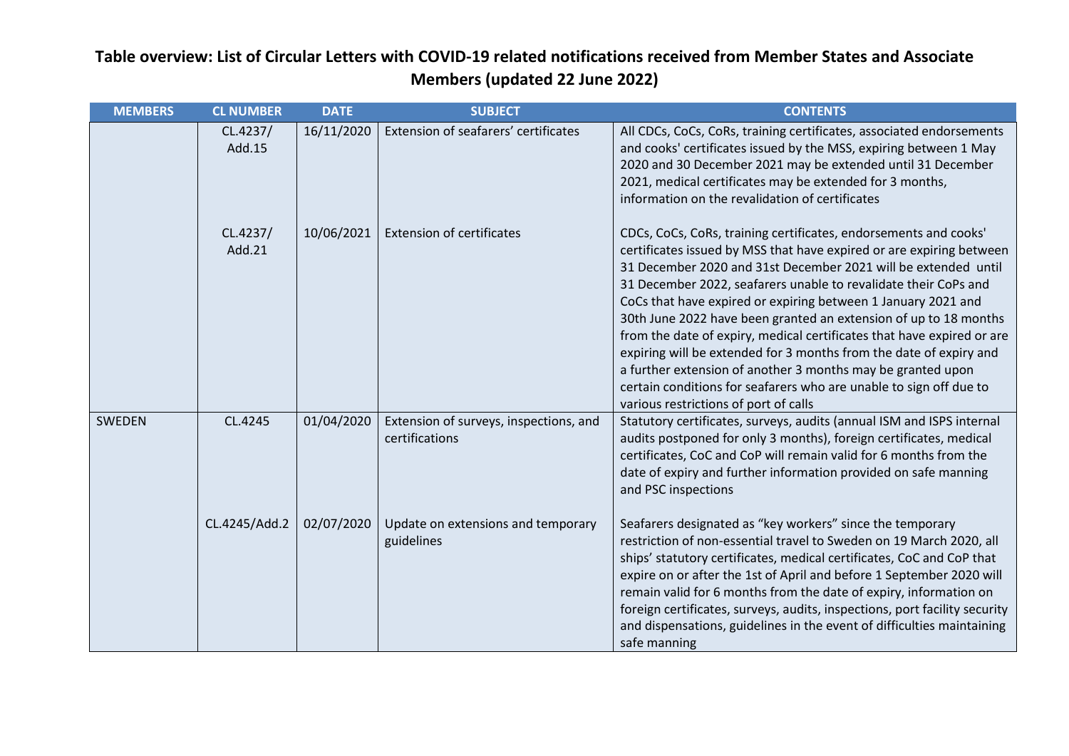| <b>MEMBERS</b> | <b>CL NUMBER</b>   | <b>DATE</b> | <b>SUBJECT</b>                                           | <b>CONTENTS</b>                                                                                                                                                                                                                                                                                                                                                                                                                                                                                                                                                                                                                                                                                                                                  |
|----------------|--------------------|-------------|----------------------------------------------------------|--------------------------------------------------------------------------------------------------------------------------------------------------------------------------------------------------------------------------------------------------------------------------------------------------------------------------------------------------------------------------------------------------------------------------------------------------------------------------------------------------------------------------------------------------------------------------------------------------------------------------------------------------------------------------------------------------------------------------------------------------|
|                | CL.4237/<br>Add.15 | 16/11/2020  | Extension of seafarers' certificates                     | All CDCs, CoCs, CoRs, training certificates, associated endorsements<br>and cooks' certificates issued by the MSS, expiring between 1 May<br>2020 and 30 December 2021 may be extended until 31 December<br>2021, medical certificates may be extended for 3 months,<br>information on the revalidation of certificates                                                                                                                                                                                                                                                                                                                                                                                                                          |
|                | CL.4237/<br>Add.21 | 10/06/2021  | <b>Extension of certificates</b>                         | CDCs, CoCs, CoRs, training certificates, endorsements and cooks'<br>certificates issued by MSS that have expired or are expiring between<br>31 December 2020 and 31st December 2021 will be extended until<br>31 December 2022, seafarers unable to revalidate their CoPs and<br>CoCs that have expired or expiring between 1 January 2021 and<br>30th June 2022 have been granted an extension of up to 18 months<br>from the date of expiry, medical certificates that have expired or are<br>expiring will be extended for 3 months from the date of expiry and<br>a further extension of another 3 months may be granted upon<br>certain conditions for seafarers who are unable to sign off due to<br>various restrictions of port of calls |
| <b>SWEDEN</b>  | CL.4245            | 01/04/2020  | Extension of surveys, inspections, and<br>certifications | Statutory certificates, surveys, audits (annual ISM and ISPS internal<br>audits postponed for only 3 months), foreign certificates, medical<br>certificates, CoC and CoP will remain valid for 6 months from the<br>date of expiry and further information provided on safe manning<br>and PSC inspections                                                                                                                                                                                                                                                                                                                                                                                                                                       |
|                | CL.4245/Add.2      | 02/07/2020  | Update on extensions and temporary<br>guidelines         | Seafarers designated as "key workers" since the temporary<br>restriction of non-essential travel to Sweden on 19 March 2020, all<br>ships' statutory certificates, medical certificates, CoC and CoP that<br>expire on or after the 1st of April and before 1 September 2020 will<br>remain valid for 6 months from the date of expiry, information on<br>foreign certificates, surveys, audits, inspections, port facility security<br>and dispensations, guidelines in the event of difficulties maintaining<br>safe manning                                                                                                                                                                                                                   |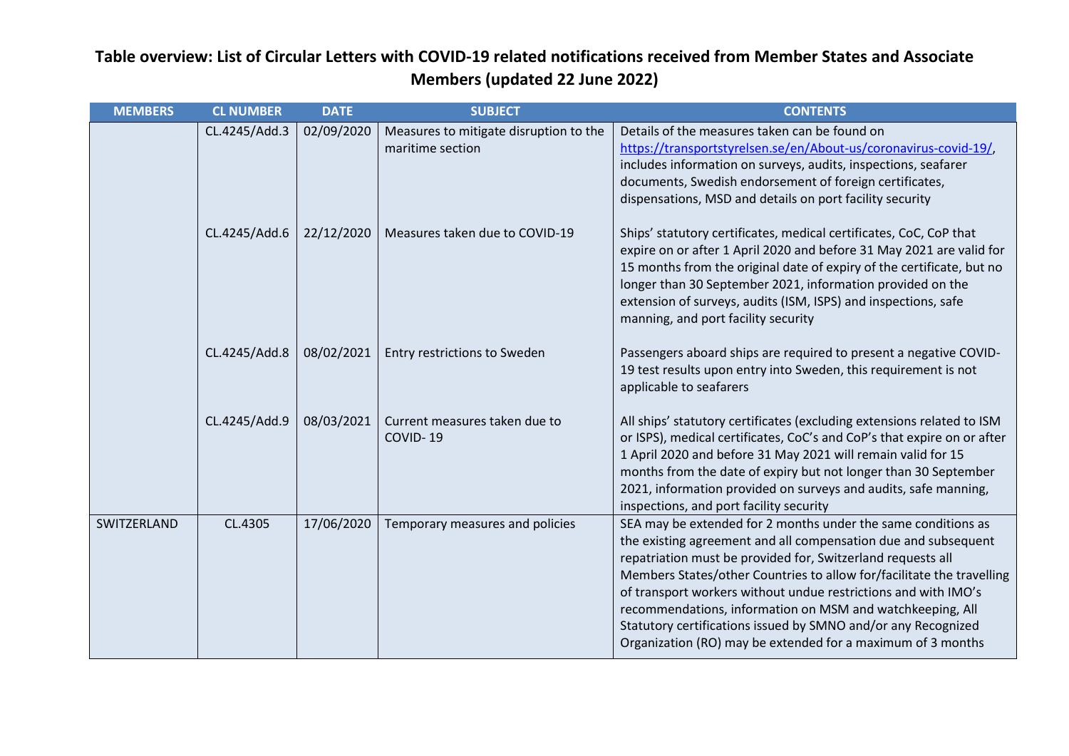| <b>MEMBERS</b> | <b>CL NUMBER</b> | <b>DATE</b> | <b>SUBJECT</b>                                             | <b>CONTENTS</b>                                                                                                                                                                                                                                                                                                                                                                                                                                                                                                                        |
|----------------|------------------|-------------|------------------------------------------------------------|----------------------------------------------------------------------------------------------------------------------------------------------------------------------------------------------------------------------------------------------------------------------------------------------------------------------------------------------------------------------------------------------------------------------------------------------------------------------------------------------------------------------------------------|
|                | CL.4245/Add.3    | 02/09/2020  | Measures to mitigate disruption to the<br>maritime section | Details of the measures taken can be found on<br>https://transportstyrelsen.se/en/About-us/coronavirus-covid-19/,<br>includes information on surveys, audits, inspections, seafarer<br>documents, Swedish endorsement of foreign certificates,<br>dispensations, MSD and details on port facility security                                                                                                                                                                                                                             |
|                | CL.4245/Add.6    | 22/12/2020  | Measures taken due to COVID-19                             | Ships' statutory certificates, medical certificates, CoC, CoP that<br>expire on or after 1 April 2020 and before 31 May 2021 are valid for<br>15 months from the original date of expiry of the certificate, but no<br>longer than 30 September 2021, information provided on the<br>extension of surveys, audits (ISM, ISPS) and inspections, safe<br>manning, and port facility security                                                                                                                                             |
|                | CL.4245/Add.8    | 08/02/2021  | Entry restrictions to Sweden                               | Passengers aboard ships are required to present a negative COVID-<br>19 test results upon entry into Sweden, this requirement is not<br>applicable to seafarers                                                                                                                                                                                                                                                                                                                                                                        |
|                | CL.4245/Add.9    | 08/03/2021  | Current measures taken due to<br>COVID-19                  | All ships' statutory certificates (excluding extensions related to ISM<br>or ISPS), medical certificates, CoC's and CoP's that expire on or after<br>1 April 2020 and before 31 May 2021 will remain valid for 15<br>months from the date of expiry but not longer than 30 September<br>2021, information provided on surveys and audits, safe manning,<br>inspections, and port facility security                                                                                                                                     |
| SWITZERLAND    | CL.4305          | 17/06/2020  | Temporary measures and policies                            | SEA may be extended for 2 months under the same conditions as<br>the existing agreement and all compensation due and subsequent<br>repatriation must be provided for, Switzerland requests all<br>Members States/other Countries to allow for/facilitate the travelling<br>of transport workers without undue restrictions and with IMO's<br>recommendations, information on MSM and watchkeeping, All<br>Statutory certifications issued by SMNO and/or any Recognized<br>Organization (RO) may be extended for a maximum of 3 months |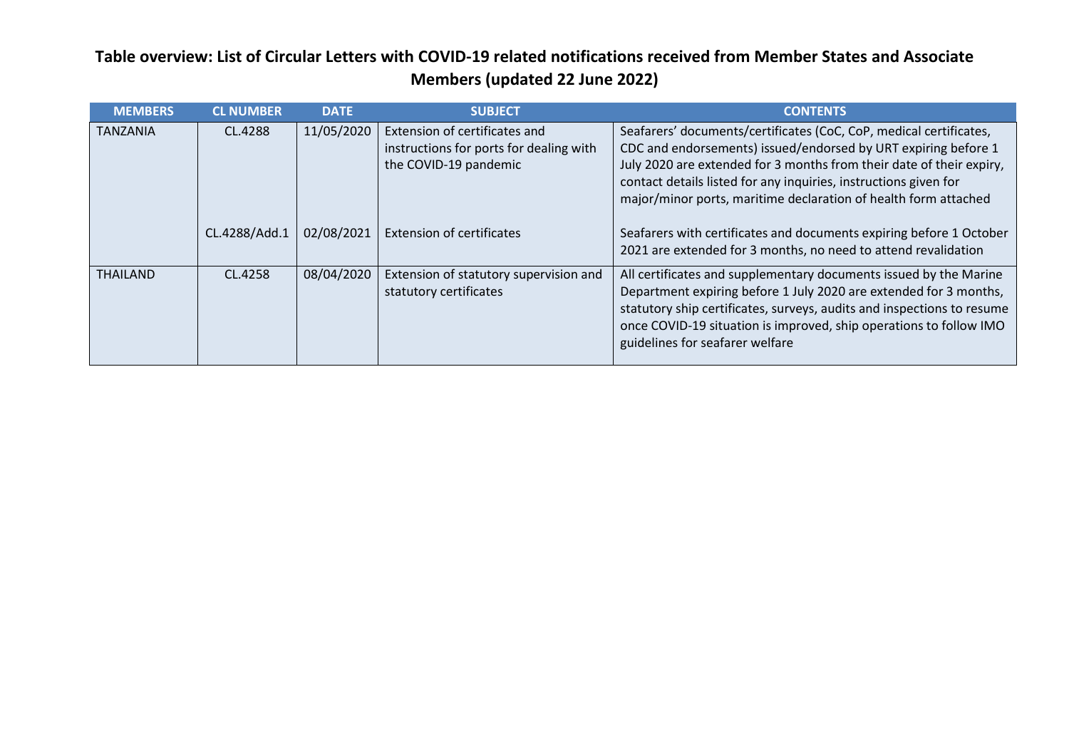| <b>MEMBERS</b>  | <b>CL NUMBER</b> | <b>DATE</b> | <b>SUBJECT</b>                                                                                    | <b>CONTENTS</b>                                                                                                                                                                                                                                                                                                                                     |
|-----------------|------------------|-------------|---------------------------------------------------------------------------------------------------|-----------------------------------------------------------------------------------------------------------------------------------------------------------------------------------------------------------------------------------------------------------------------------------------------------------------------------------------------------|
| <b>TANZANIA</b> | CL.4288          | 11/05/2020  | Extension of certificates and<br>instructions for ports for dealing with<br>the COVID-19 pandemic | Seafarers' documents/certificates (CoC, CoP, medical certificates,<br>CDC and endorsements) issued/endorsed by URT expiring before 1<br>July 2020 are extended for 3 months from their date of their expiry,<br>contact details listed for any inquiries, instructions given for<br>major/minor ports, maritime declaration of health form attached |
|                 | CL.4288/Add.1    | 02/08/2021  | <b>Extension of certificates</b>                                                                  | Seafarers with certificates and documents expiring before 1 October<br>2021 are extended for 3 months, no need to attend revalidation                                                                                                                                                                                                               |
| <b>THAILAND</b> | CL.4258          | 08/04/2020  | Extension of statutory supervision and<br>statutory certificates                                  | All certificates and supplementary documents issued by the Marine<br>Department expiring before 1 July 2020 are extended for 3 months,<br>statutory ship certificates, surveys, audits and inspections to resume<br>once COVID-19 situation is improved, ship operations to follow IMO<br>guidelines for seafarer welfare                           |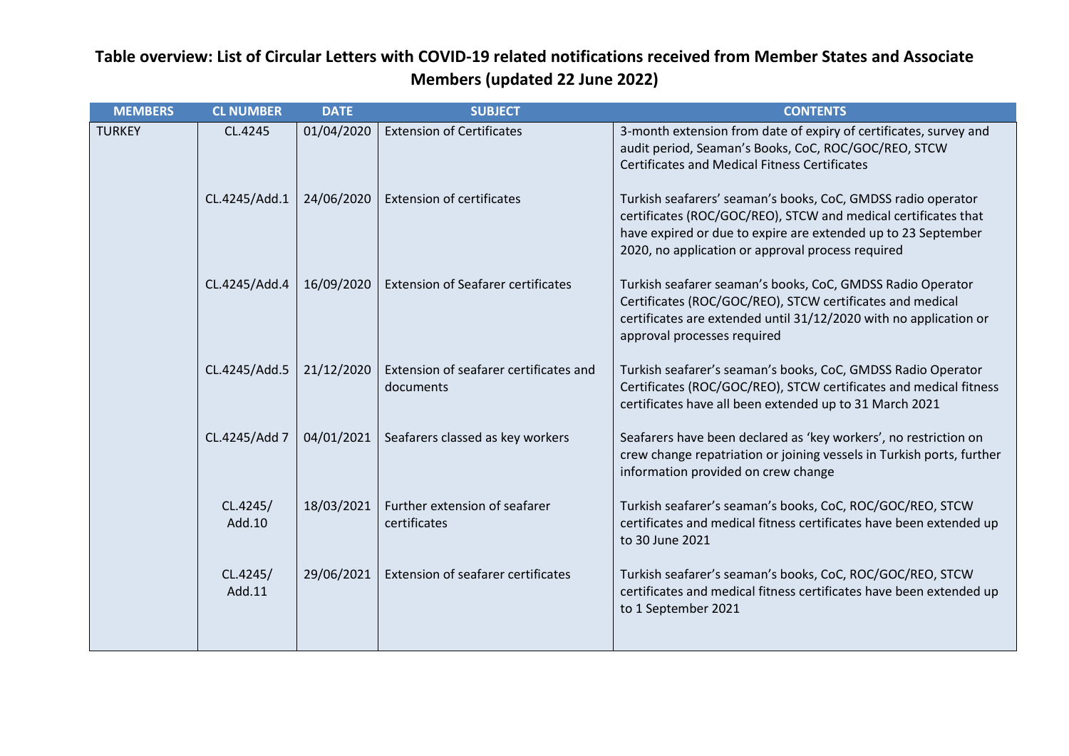| <b>MEMBERS</b> | <b>CL NUMBER</b>   | <b>DATE</b> | <b>SUBJECT</b>                                      | <b>CONTENTS</b>                                                                                                                                                                                                                                      |
|----------------|--------------------|-------------|-----------------------------------------------------|------------------------------------------------------------------------------------------------------------------------------------------------------------------------------------------------------------------------------------------------------|
| <b>TURKEY</b>  | CL.4245            | 01/04/2020  | <b>Extension of Certificates</b>                    | 3-month extension from date of expiry of certificates, survey and<br>audit period, Seaman's Books, CoC, ROC/GOC/REO, STCW<br><b>Certificates and Medical Fitness Certificates</b>                                                                    |
|                | CL.4245/Add.1      | 24/06/2020  | <b>Extension of certificates</b>                    | Turkish seafarers' seaman's books, CoC, GMDSS radio operator<br>certificates (ROC/GOC/REO), STCW and medical certificates that<br>have expired or due to expire are extended up to 23 September<br>2020, no application or approval process required |
|                | CL.4245/Add.4      | 16/09/2020  | <b>Extension of Seafarer certificates</b>           | Turkish seafarer seaman's books, CoC, GMDSS Radio Operator<br>Certificates (ROC/GOC/REO), STCW certificates and medical<br>certificates are extended until 31/12/2020 with no application or<br>approval processes required                          |
|                | CL.4245/Add.5      | 21/12/2020  | Extension of seafarer certificates and<br>documents | Turkish seafarer's seaman's books, CoC, GMDSS Radio Operator<br>Certificates (ROC/GOC/REO), STCW certificates and medical fitness<br>certificates have all been extended up to 31 March 2021                                                         |
|                | CL.4245/Add 7      | 04/01/2021  | Seafarers classed as key workers                    | Seafarers have been declared as 'key workers', no restriction on<br>crew change repatriation or joining vessels in Turkish ports, further<br>information provided on crew change                                                                     |
|                | CL.4245/<br>Add.10 | 18/03/2021  | Further extension of seafarer<br>certificates       | Turkish seafarer's seaman's books, CoC, ROC/GOC/REO, STCW<br>certificates and medical fitness certificates have been extended up<br>to 30 June 2021                                                                                                  |
|                | CL.4245/<br>Add.11 | 29/06/2021  | Extension of seafarer certificates                  | Turkish seafarer's seaman's books, CoC, ROC/GOC/REO, STCW<br>certificates and medical fitness certificates have been extended up<br>to 1 September 2021                                                                                              |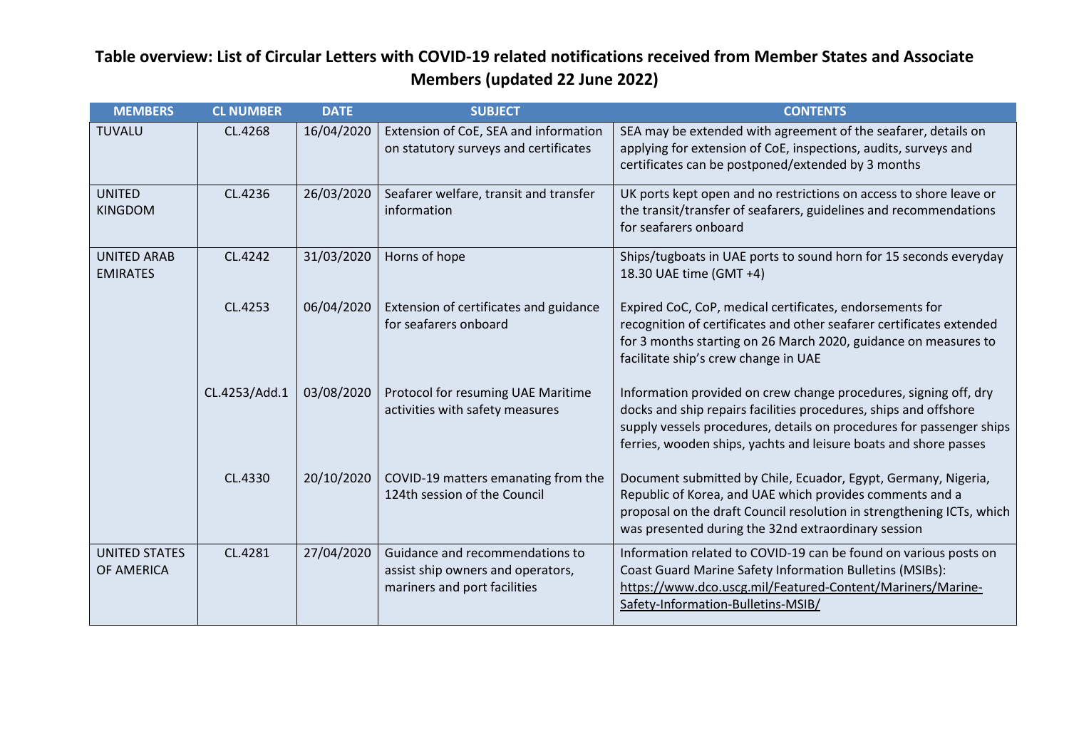| <b>MEMBERS</b>                        | <b>CL NUMBER</b> | <b>DATE</b> | <b>SUBJECT</b>                                                                                       | <b>CONTENTS</b>                                                                                                                                                                                                                                                                  |
|---------------------------------------|------------------|-------------|------------------------------------------------------------------------------------------------------|----------------------------------------------------------------------------------------------------------------------------------------------------------------------------------------------------------------------------------------------------------------------------------|
| <b>TUVALU</b>                         | CL.4268          | 16/04/2020  | Extension of CoE, SEA and information<br>on statutory surveys and certificates                       | SEA may be extended with agreement of the seafarer, details on<br>applying for extension of CoE, inspections, audits, surveys and<br>certificates can be postponed/extended by 3 months                                                                                          |
| <b>UNITED</b><br><b>KINGDOM</b>       | CL.4236          | 26/03/2020  | Seafarer welfare, transit and transfer<br>information                                                | UK ports kept open and no restrictions on access to shore leave or<br>the transit/transfer of seafarers, guidelines and recommendations<br>for seafarers onboard                                                                                                                 |
| <b>UNITED ARAB</b><br><b>EMIRATES</b> | CL.4242          | 31/03/2020  | Horns of hope                                                                                        | Ships/tugboats in UAE ports to sound horn for 15 seconds everyday<br>18.30 UAE time (GMT +4)                                                                                                                                                                                     |
|                                       | CL.4253          | 06/04/2020  | Extension of certificates and guidance<br>for seafarers onboard                                      | Expired CoC, CoP, medical certificates, endorsements for<br>recognition of certificates and other seafarer certificates extended<br>for 3 months starting on 26 March 2020, guidance on measures to<br>facilitate ship's crew change in UAE                                      |
|                                       | CL.4253/Add.1    | 03/08/2020  | Protocol for resuming UAE Maritime<br>activities with safety measures                                | Information provided on crew change procedures, signing off, dry<br>docks and ship repairs facilities procedures, ships and offshore<br>supply vessels procedures, details on procedures for passenger ships<br>ferries, wooden ships, yachts and leisure boats and shore passes |
|                                       | CL.4330          | 20/10/2020  | COVID-19 matters emanating from the<br>124th session of the Council                                  | Document submitted by Chile, Ecuador, Egypt, Germany, Nigeria,<br>Republic of Korea, and UAE which provides comments and a<br>proposal on the draft Council resolution in strengthening ICTs, which<br>was presented during the 32nd extraordinary session                       |
| <b>UNITED STATES</b><br>OF AMERICA    | CL.4281          | 27/04/2020  | Guidance and recommendations to<br>assist ship owners and operators,<br>mariners and port facilities | Information related to COVID-19 can be found on various posts on<br>Coast Guard Marine Safety Information Bulletins (MSIBs):<br>https://www.dco.uscg.mil/Featured-Content/Mariners/Marine-<br>Safety-Information-Bulletins-MSIB/                                                 |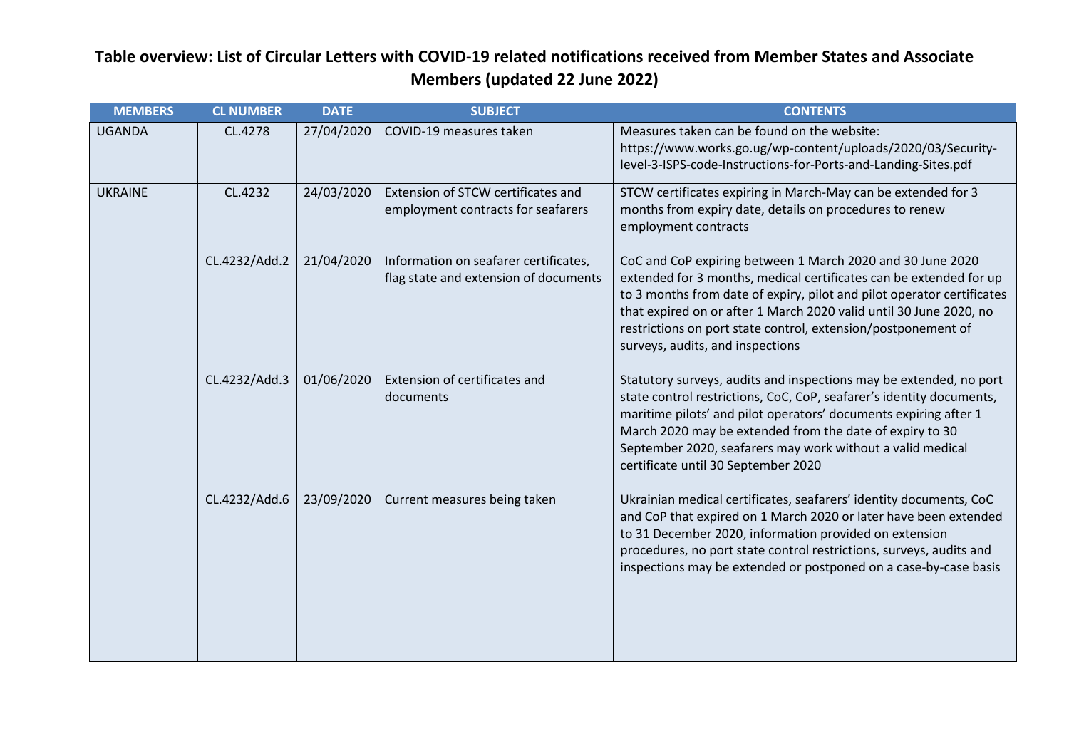| <b>MEMBERS</b> | <b>CL NUMBER</b> | <b>DATE</b> | <b>SUBJECT</b>                                                                 | <b>CONTENTS</b>                                                                                                                                                                                                                                                                                                                                                                       |
|----------------|------------------|-------------|--------------------------------------------------------------------------------|---------------------------------------------------------------------------------------------------------------------------------------------------------------------------------------------------------------------------------------------------------------------------------------------------------------------------------------------------------------------------------------|
| <b>UGANDA</b>  | CL.4278          | 27/04/2020  | COVID-19 measures taken                                                        | Measures taken can be found on the website:<br>https://www.works.go.ug/wp-content/uploads/2020/03/Security-<br>level-3-ISPS-code-Instructions-for-Ports-and-Landing-Sites.pdf                                                                                                                                                                                                         |
| <b>UKRAINE</b> | CL.4232          | 24/03/2020  | Extension of STCW certificates and<br>employment contracts for seafarers       | STCW certificates expiring in March-May can be extended for 3<br>months from expiry date, details on procedures to renew<br>employment contracts                                                                                                                                                                                                                                      |
|                | CL.4232/Add.2    | 21/04/2020  | Information on seafarer certificates,<br>flag state and extension of documents | CoC and CoP expiring between 1 March 2020 and 30 June 2020<br>extended for 3 months, medical certificates can be extended for up<br>to 3 months from date of expiry, pilot and pilot operator certificates<br>that expired on or after 1 March 2020 valid until 30 June 2020, no<br>restrictions on port state control, extension/postponement of<br>surveys, audits, and inspections |
|                | CL.4232/Add.3    | 01/06/2020  | Extension of certificates and<br>documents                                     | Statutory surveys, audits and inspections may be extended, no port<br>state control restrictions, CoC, CoP, seafarer's identity documents,<br>maritime pilots' and pilot operators' documents expiring after 1<br>March 2020 may be extended from the date of expiry to 30<br>September 2020, seafarers may work without a valid medical<br>certificate until 30 September 2020       |
|                | CL.4232/Add.6    | 23/09/2020  | Current measures being taken                                                   | Ukrainian medical certificates, seafarers' identity documents, CoC<br>and CoP that expired on 1 March 2020 or later have been extended<br>to 31 December 2020, information provided on extension<br>procedures, no port state control restrictions, surveys, audits and<br>inspections may be extended or postponed on a case-by-case basis                                           |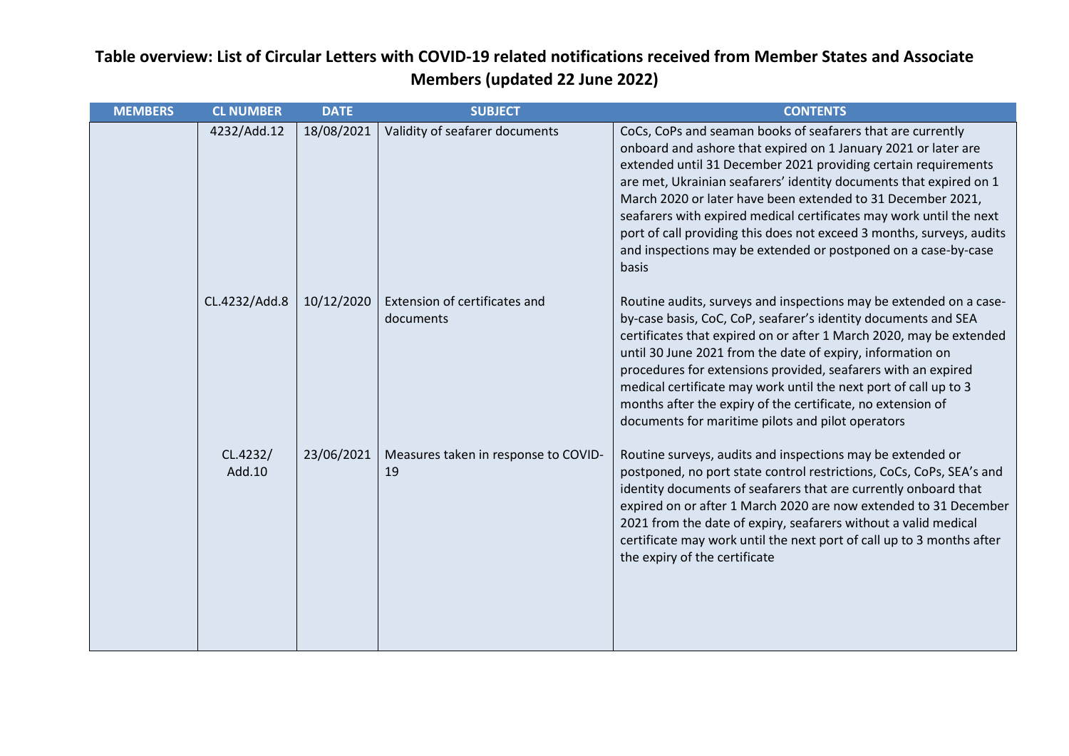| <b>MEMBERS</b> | <b>CL NUMBER</b>   | <b>DATE</b> | <b>SUBJECT</b>                             | <b>CONTENTS</b>                                                                                                                                                                                                                                                                                                                                                                                                                                                                                                                                                 |
|----------------|--------------------|-------------|--------------------------------------------|-----------------------------------------------------------------------------------------------------------------------------------------------------------------------------------------------------------------------------------------------------------------------------------------------------------------------------------------------------------------------------------------------------------------------------------------------------------------------------------------------------------------------------------------------------------------|
|                | 4232/Add.12        | 18/08/2021  | Validity of seafarer documents             | CoCs, CoPs and seaman books of seafarers that are currently<br>onboard and ashore that expired on 1 January 2021 or later are<br>extended until 31 December 2021 providing certain requirements<br>are met, Ukrainian seafarers' identity documents that expired on 1<br>March 2020 or later have been extended to 31 December 2021,<br>seafarers with expired medical certificates may work until the next<br>port of call providing this does not exceed 3 months, surveys, audits<br>and inspections may be extended or postponed on a case-by-case<br>basis |
|                | CL.4232/Add.8      | 10/12/2020  | Extension of certificates and<br>documents | Routine audits, surveys and inspections may be extended on a case-<br>by-case basis, CoC, CoP, seafarer's identity documents and SEA<br>certificates that expired on or after 1 March 2020, may be extended<br>until 30 June 2021 from the date of expiry, information on<br>procedures for extensions provided, seafarers with an expired<br>medical certificate may work until the next port of call up to 3<br>months after the expiry of the certificate, no extension of<br>documents for maritime pilots and pilot operators                              |
|                | CL.4232/<br>Add.10 | 23/06/2021  | Measures taken in response to COVID-<br>19 | Routine surveys, audits and inspections may be extended or<br>postponed, no port state control restrictions, CoCs, CoPs, SEA's and<br>identity documents of seafarers that are currently onboard that<br>expired on or after 1 March 2020 are now extended to 31 December<br>2021 from the date of expiry, seafarers without a valid medical<br>certificate may work until the next port of call up to 3 months after<br>the expiry of the certificate                                                                                                          |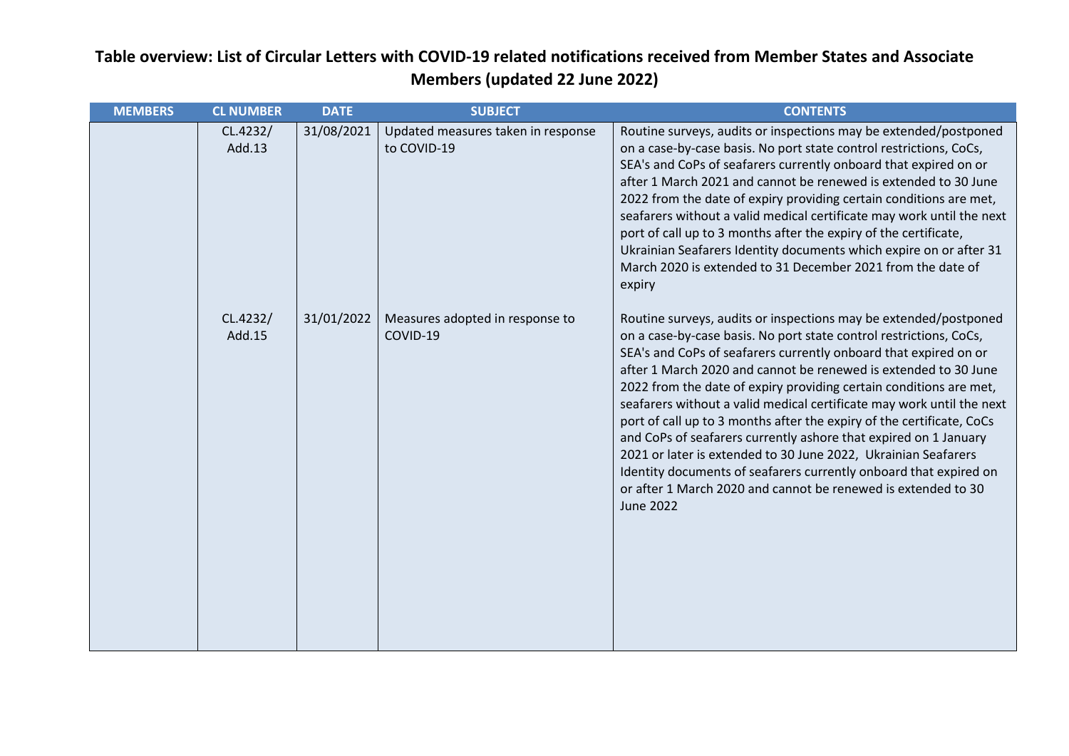| <b>MEMBERS</b> | <b>CL NUMBER</b>   | <b>DATE</b> | <b>SUBJECT</b>                                    | <b>CONTENTS</b>                                                                                                                                                                                                                                                                                                                                                                                                                                                                                                                                                                                                                                                                                                                                                                                       |
|----------------|--------------------|-------------|---------------------------------------------------|-------------------------------------------------------------------------------------------------------------------------------------------------------------------------------------------------------------------------------------------------------------------------------------------------------------------------------------------------------------------------------------------------------------------------------------------------------------------------------------------------------------------------------------------------------------------------------------------------------------------------------------------------------------------------------------------------------------------------------------------------------------------------------------------------------|
|                | CL.4232/<br>Add.13 | 31/08/2021  | Updated measures taken in response<br>to COVID-19 | Routine surveys, audits or inspections may be extended/postponed<br>on a case-by-case basis. No port state control restrictions, CoCs,<br>SEA's and CoPs of seafarers currently onboard that expired on or<br>after 1 March 2021 and cannot be renewed is extended to 30 June<br>2022 from the date of expiry providing certain conditions are met,<br>seafarers without a valid medical certificate may work until the next<br>port of call up to 3 months after the expiry of the certificate,<br>Ukrainian Seafarers Identity documents which expire on or after 31<br>March 2020 is extended to 31 December 2021 from the date of<br>expiry                                                                                                                                                       |
|                | CL.4232/<br>Add.15 | 31/01/2022  | Measures adopted in response to<br>COVID-19       | Routine surveys, audits or inspections may be extended/postponed<br>on a case-by-case basis. No port state control restrictions, CoCs,<br>SEA's and CoPs of seafarers currently onboard that expired on or<br>after 1 March 2020 and cannot be renewed is extended to 30 June<br>2022 from the date of expiry providing certain conditions are met,<br>seafarers without a valid medical certificate may work until the next<br>port of call up to 3 months after the expiry of the certificate, CoCs<br>and CoPs of seafarers currently ashore that expired on 1 January<br>2021 or later is extended to 30 June 2022, Ukrainian Seafarers<br>Identity documents of seafarers currently onboard that expired on<br>or after 1 March 2020 and cannot be renewed is extended to 30<br><b>June 2022</b> |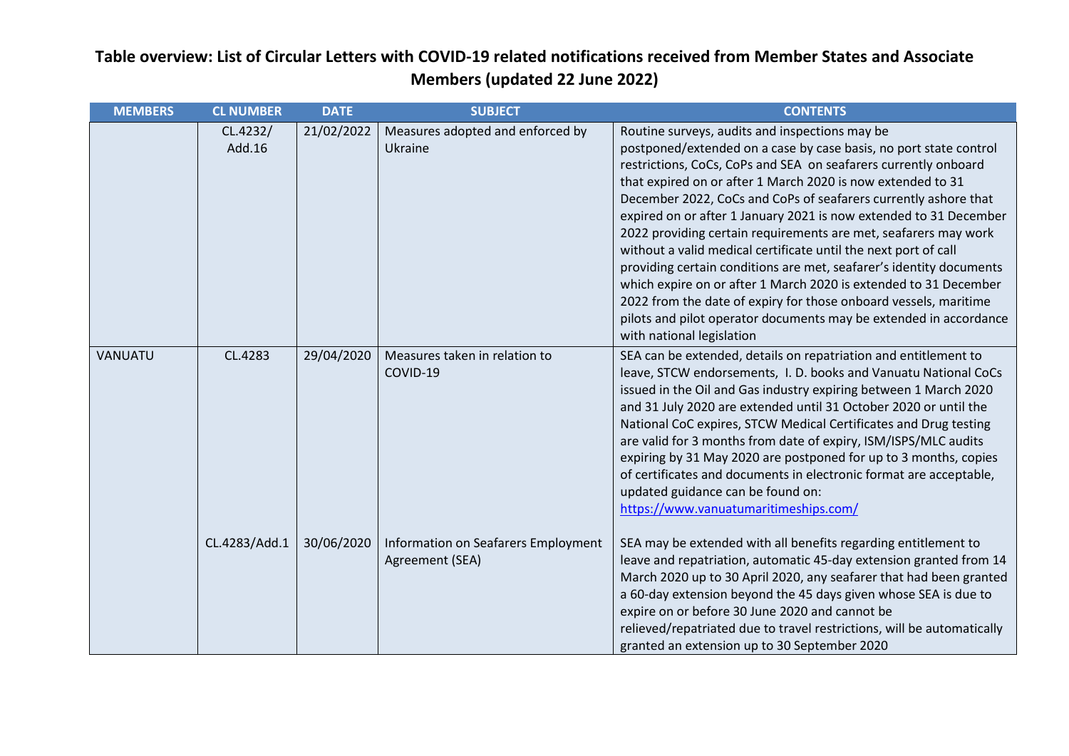| <b>MEMBERS</b> | <b>CL NUMBER</b>   | <b>DATE</b> | <b>SUBJECT</b>                                         | <b>CONTENTS</b>                                                                                                                                                                                                                                                                                                                                                                                                                                                                                                                                                                                                                                                                                                                                                                                                                                      |
|----------------|--------------------|-------------|--------------------------------------------------------|------------------------------------------------------------------------------------------------------------------------------------------------------------------------------------------------------------------------------------------------------------------------------------------------------------------------------------------------------------------------------------------------------------------------------------------------------------------------------------------------------------------------------------------------------------------------------------------------------------------------------------------------------------------------------------------------------------------------------------------------------------------------------------------------------------------------------------------------------|
|                | CL.4232/<br>Add.16 | 21/02/2022  | Measures adopted and enforced by<br>Ukraine            | Routine surveys, audits and inspections may be<br>postponed/extended on a case by case basis, no port state control<br>restrictions, CoCs, CoPs and SEA on seafarers currently onboard<br>that expired on or after 1 March 2020 is now extended to 31<br>December 2022, CoCs and CoPs of seafarers currently ashore that<br>expired on or after 1 January 2021 is now extended to 31 December<br>2022 providing certain requirements are met, seafarers may work<br>without a valid medical certificate until the next port of call<br>providing certain conditions are met, seafarer's identity documents<br>which expire on or after 1 March 2020 is extended to 31 December<br>2022 from the date of expiry for those onboard vessels, maritime<br>pilots and pilot operator documents may be extended in accordance<br>with national legislation |
| <b>VANUATU</b> | CL.4283            | 29/04/2020  | Measures taken in relation to<br>COVID-19              | SEA can be extended, details on repatriation and entitlement to<br>leave, STCW endorsements, I. D. books and Vanuatu National CoCs<br>issued in the Oil and Gas industry expiring between 1 March 2020<br>and 31 July 2020 are extended until 31 October 2020 or until the<br>National CoC expires, STCW Medical Certificates and Drug testing<br>are valid for 3 months from date of expiry, ISM/ISPS/MLC audits<br>expiring by 31 May 2020 are postponed for up to 3 months, copies<br>of certificates and documents in electronic format are acceptable,<br>updated guidance can be found on:<br>https://www.vanuatumaritimeships.com/                                                                                                                                                                                                            |
|                | CL.4283/Add.1      | 30/06/2020  | Information on Seafarers Employment<br>Agreement (SEA) | SEA may be extended with all benefits regarding entitlement to<br>leave and repatriation, automatic 45-day extension granted from 14<br>March 2020 up to 30 April 2020, any seafarer that had been granted<br>a 60-day extension beyond the 45 days given whose SEA is due to<br>expire on or before 30 June 2020 and cannot be<br>relieved/repatriated due to travel restrictions, will be automatically<br>granted an extension up to 30 September 2020                                                                                                                                                                                                                                                                                                                                                                                            |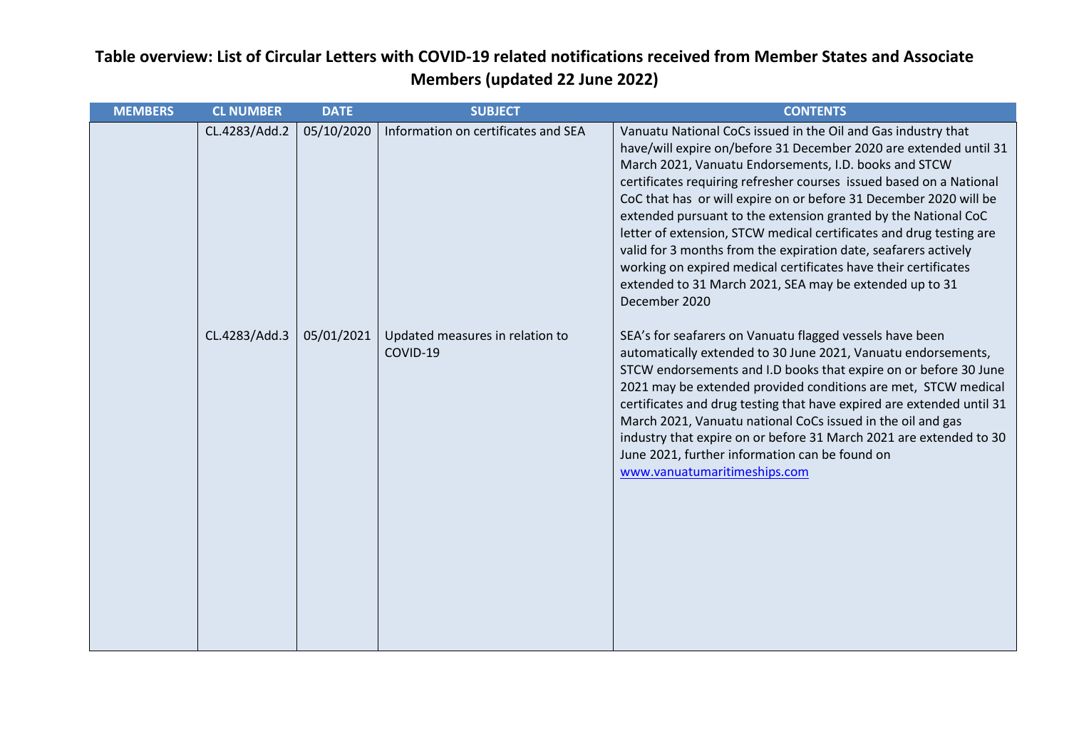| <b>MEMBERS</b> | <b>CL NUMBER</b> | <b>DATE</b> | <b>SUBJECT</b>                              | <b>CONTENTS</b>                                                                                                                                                                                                                                                                                                                                                                                                                                                                                                                                                                                                                                                                                    |
|----------------|------------------|-------------|---------------------------------------------|----------------------------------------------------------------------------------------------------------------------------------------------------------------------------------------------------------------------------------------------------------------------------------------------------------------------------------------------------------------------------------------------------------------------------------------------------------------------------------------------------------------------------------------------------------------------------------------------------------------------------------------------------------------------------------------------------|
|                | CL.4283/Add.2    | 05/10/2020  | Information on certificates and SEA         | Vanuatu National CoCs issued in the Oil and Gas industry that<br>have/will expire on/before 31 December 2020 are extended until 31<br>March 2021, Vanuatu Endorsements, I.D. books and STCW<br>certificates requiring refresher courses issued based on a National<br>CoC that has or will expire on or before 31 December 2020 will be<br>extended pursuant to the extension granted by the National CoC<br>letter of extension, STCW medical certificates and drug testing are<br>valid for 3 months from the expiration date, seafarers actively<br>working on expired medical certificates have their certificates<br>extended to 31 March 2021, SEA may be extended up to 31<br>December 2020 |
|                | CL.4283/Add.3    | 05/01/2021  | Updated measures in relation to<br>COVID-19 | SEA's for seafarers on Vanuatu flagged vessels have been<br>automatically extended to 30 June 2021, Vanuatu endorsements,<br>STCW endorsements and I.D books that expire on or before 30 June<br>2021 may be extended provided conditions are met, STCW medical<br>certificates and drug testing that have expired are extended until 31<br>March 2021, Vanuatu national CoCs issued in the oil and gas<br>industry that expire on or before 31 March 2021 are extended to 30<br>June 2021, further information can be found on<br>www.vanuatumaritimeships.com                                                                                                                                    |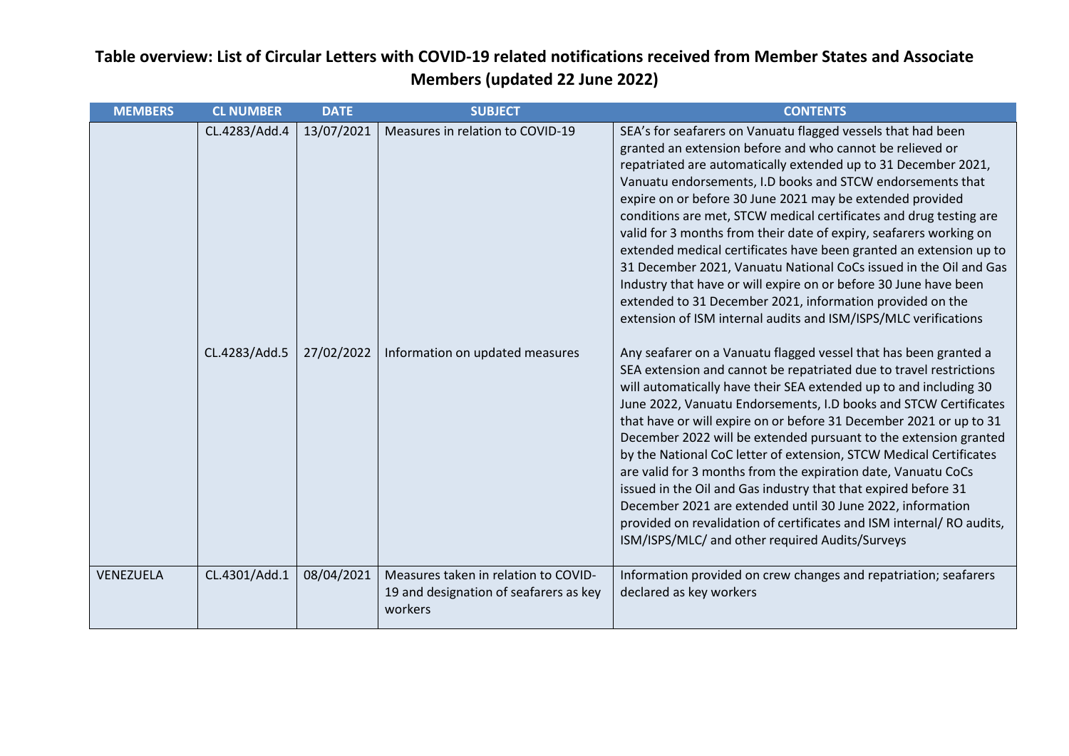| <b>MEMBERS</b> | <b>CL NUMBER</b> | <b>DATE</b> | <b>SUBJECT</b>                                                                            | <b>CONTENTS</b>                                                                                                                                                                                                                                                                                                                                                                                                                                                                                                                                                                                                                                                                                                                                                                                                             |
|----------------|------------------|-------------|-------------------------------------------------------------------------------------------|-----------------------------------------------------------------------------------------------------------------------------------------------------------------------------------------------------------------------------------------------------------------------------------------------------------------------------------------------------------------------------------------------------------------------------------------------------------------------------------------------------------------------------------------------------------------------------------------------------------------------------------------------------------------------------------------------------------------------------------------------------------------------------------------------------------------------------|
|                | CL.4283/Add.4    | 13/07/2021  | Measures in relation to COVID-19                                                          | SEA's for seafarers on Vanuatu flagged vessels that had been<br>granted an extension before and who cannot be relieved or<br>repatriated are automatically extended up to 31 December 2021,<br>Vanuatu endorsements, I.D books and STCW endorsements that<br>expire on or before 30 June 2021 may be extended provided<br>conditions are met, STCW medical certificates and drug testing are<br>valid for 3 months from their date of expiry, seafarers working on<br>extended medical certificates have been granted an extension up to<br>31 December 2021, Vanuatu National CoCs issued in the Oil and Gas<br>Industry that have or will expire on or before 30 June have been<br>extended to 31 December 2021, information provided on the<br>extension of ISM internal audits and ISM/ISPS/MLC verifications           |
|                | CL.4283/Add.5    | 27/02/2022  | Information on updated measures                                                           | Any seafarer on a Vanuatu flagged vessel that has been granted a<br>SEA extension and cannot be repatriated due to travel restrictions<br>will automatically have their SEA extended up to and including 30<br>June 2022, Vanuatu Endorsements, I.D books and STCW Certificates<br>that have or will expire on or before 31 December 2021 or up to 31<br>December 2022 will be extended pursuant to the extension granted<br>by the National CoC letter of extension, STCW Medical Certificates<br>are valid for 3 months from the expiration date, Vanuatu CoCs<br>issued in the Oil and Gas industry that that expired before 31<br>December 2021 are extended until 30 June 2022, information<br>provided on revalidation of certificates and ISM internal/RO audits,<br>ISM/ISPS/MLC/ and other required Audits/Surveys |
| VENEZUELA      | CL.4301/Add.1    | 08/04/2021  | Measures taken in relation to COVID-<br>19 and designation of seafarers as key<br>workers | Information provided on crew changes and repatriation; seafarers<br>declared as key workers                                                                                                                                                                                                                                                                                                                                                                                                                                                                                                                                                                                                                                                                                                                                 |